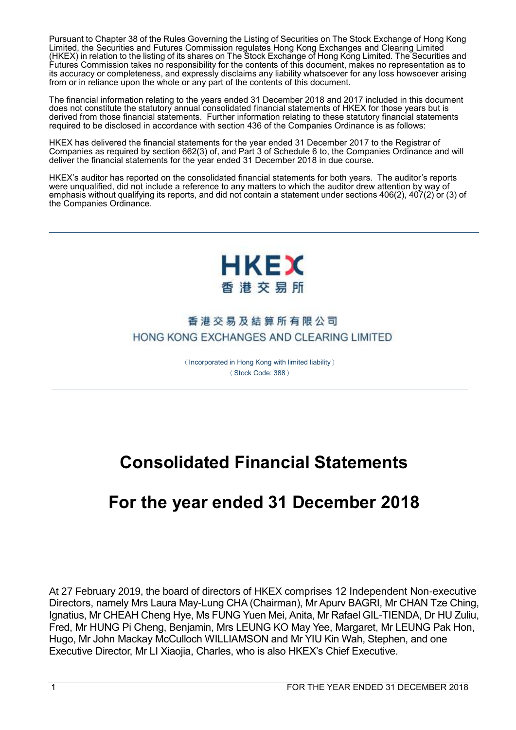Pursuant to Chapter 38 of the Rules Governing the Listing of Securities on The Stock Exchange of Hong Kong Limited, the Securities and Futures Commission regulates Hong Kong Exchanges and Clearing Limited (HKEX) in relation to the listing of its shares on The Stock Exchange of Hong Kong Limited. The Securities and Futures Commission takes no responsibility for the contents of this document, makes no representation as to its accuracy or completeness, and expressly disclaims any liability whatsoever for any loss howsoever arising from or in reliance upon the whole or any part of the contents of this document.

The financial information relating to the years ended 31 December 2018 and 2017 included in this document does not constitute the statutory annual consolidated financial statements of HKEX for those years but is derived from those financial statements. Further information relating to these statutory financial statements required to be disclosed in accordance with section 436 of the Companies Ordinance is as follows:

HKEX has delivered the financial statements for the year ended 31 December 2017 to the Registrar of Companies as required by section 662(3) of, and Part 3 of Schedule 6 to, the Companies Ordinance and will deliver the financial statements for the year ended 31 December 2018 in due course.

HKEX's auditor has reported on the consolidated financial statements for both years. The auditor's reports were unqualified, did not include a reference to any matters to which the auditor drew attention by way of emphasis without qualifying its reports, and did not contain a statement under sections 406(2), 407(2) or (3) of the Companies Ordinance.



## 香港交易及結算所有限公司 HONG KONG EXCHANGES AND CLEARING LIMITED

(Incorporated in Hong Kong with limited liability) (Stock Code: 388)

# **Consolidated Financial Statements**

# **For the year ended 31 December 2018**

At 27 February 2019, the board of directors of HKEX comprises 12 Independent Non-executive Directors, namely Mrs Laura May-Lung CHA (Chairman), Mr Apurv BAGRI, Mr CHAN Tze Ching, Ignatius, Mr CHEAH Cheng Hye, Ms FUNG Yuen Mei, Anita, Mr Rafael GIL-TIENDA, Dr HU Zuliu, Fred, Mr HUNG Pi Cheng, Benjamin, Mrs LEUNG KO May Yee, Margaret, Mr LEUNG Pak Hon, Hugo, Mr John Mackay McCulloch WILLIAMSON and Mr YIU Kin Wah, Stephen, and one Executive Director, Mr LI Xiaojia, Charles, who is also HKEX's Chief Executive.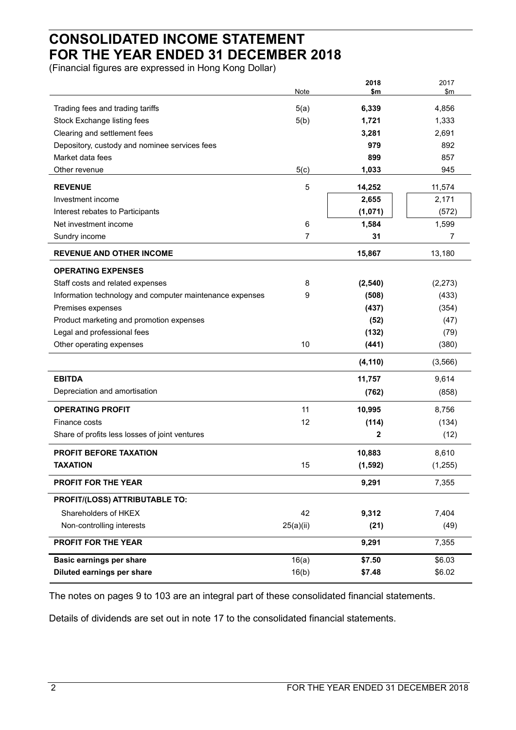## **CONSOLIDATED INCOME STATEMENT FOR THE YEAR ENDED 31 DECEMBER 2018**

(Financial figures are expressed in Hong Kong Dollar)

|                                                          | Note           | 2018<br>\$m | 2017<br>\$m |
|----------------------------------------------------------|----------------|-------------|-------------|
|                                                          |                |             |             |
| Trading fees and trading tariffs                         | 5(a)           | 6,339       | 4,856       |
| Stock Exchange listing fees                              | 5(b)           | 1,721       | 1,333       |
| Clearing and settlement fees                             |                | 3,281       | 2,691       |
| Depository, custody and nominee services fees            |                | 979         | 892         |
| Market data fees                                         |                | 899         | 857         |
| Other revenue                                            | 5(c)           | 1,033       | 945         |
| <b>REVENUE</b>                                           | 5              | 14,252      | 11,574      |
| Investment income                                        |                | 2,655       | 2,171       |
| Interest rebates to Participants                         |                | (1,071)     | (572)       |
| Net investment income                                    | 6              | 1,584       | 1,599       |
| Sundry income                                            | $\overline{7}$ | 31          | 7           |
| <b>REVENUE AND OTHER INCOME</b>                          |                | 15,867      | 13,180      |
| <b>OPERATING EXPENSES</b>                                |                |             |             |
| Staff costs and related expenses                         | 8              | (2, 540)    | (2, 273)    |
| Information technology and computer maintenance expenses | 9              | (508)       | (433)       |
| Premises expenses                                        |                | (437)       | (354)       |
| Product marketing and promotion expenses                 |                | (52)        | (47)        |
| Legal and professional fees                              |                | (132)       | (79)        |
| Other operating expenses                                 | 10             | (441)       | (380)       |
|                                                          |                | (4, 110)    | (3, 566)    |
| <b>EBITDA</b>                                            |                | 11,757      | 9,614       |
| Depreciation and amortisation                            |                | (762)       | (858)       |
| <b>OPERATING PROFIT</b>                                  | 11             | 10,995      | 8,756       |
| Finance costs                                            | 12             | (114)       | (134)       |
| Share of profits less losses of joint ventures           |                | 2           | (12)        |
| <b>PROFIT BEFORE TAXATION</b>                            |                | 10,883      | 8,610       |
| TAXATION                                                 | 15             | (1, 592)    | (1, 255)    |
| <b>PROFIT FOR THE YEAR</b>                               |                | 9,291       | 7,355       |
| PROFIT/(LOSS) ATTRIBUTABLE TO:                           |                |             |             |
| Shareholders of HKEX                                     | 42             | 9,312       | 7,404       |
| Non-controlling interests                                | 25(a)(ii)      | (21)        | (49)        |
| PROFIT FOR THE YEAR                                      |                | 9,291       | 7,355       |
| <b>Basic earnings per share</b>                          | 16(a)          | \$7.50      | \$6.03      |
| Diluted earnings per share                               | 16(b)          | \$7.48      | \$6.02      |
|                                                          |                |             |             |

The notes on pages 9 to 103 are an integral part of these consolidated financial statements.

Details of dividends are set out in note 17 to the consolidated financial statements.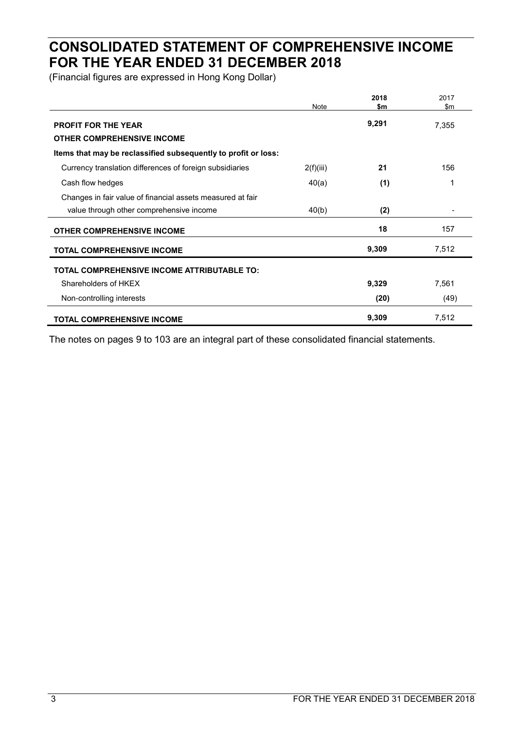## **CONSOLIDATED STATEMENT OF COMPREHENSIVE INCOME FOR THE YEAR ENDED 31 DECEMBER 2018**

(Financial figures are expressed in Hong Kong Dollar)

|                                                                 | Note      | 2018<br>\$m | 2017<br>$\mathsf{Sm}$ |
|-----------------------------------------------------------------|-----------|-------------|-----------------------|
| <b>PROFIT FOR THE YEAR</b><br><b>OTHER COMPREHENSIVE INCOME</b> |           | 9,291       | 7,355                 |
| Items that may be reclassified subsequently to profit or loss:  |           |             |                       |
| Currency translation differences of foreign subsidiaries        | 2(f)(iii) | 21          | 156                   |
| Cash flow hedges                                                | 40(a)     | (1)         | 1                     |
| Changes in fair value of financial assets measured at fair      |           |             |                       |
| value through other comprehensive income                        | 40(b)     | (2)         |                       |
| <b>OTHER COMPREHENSIVE INCOME</b>                               |           | 18          | 157                   |
| <b>TOTAL COMPREHENSIVE INCOME</b>                               |           | 9,309       | 7,512                 |
| TOTAL COMPREHENSIVE INCOME ATTRIBUTABLE TO:                     |           |             |                       |
| Shareholders of HKFX                                            |           | 9,329       | 7,561                 |
| Non-controlling interests                                       |           | (20)        | (49)                  |
| <b>TOTAL COMPREHENSIVE INCOME</b>                               |           | 9,309       | 7,512                 |

The notes on pages 9 to 103 are an integral part of these consolidated financial statements.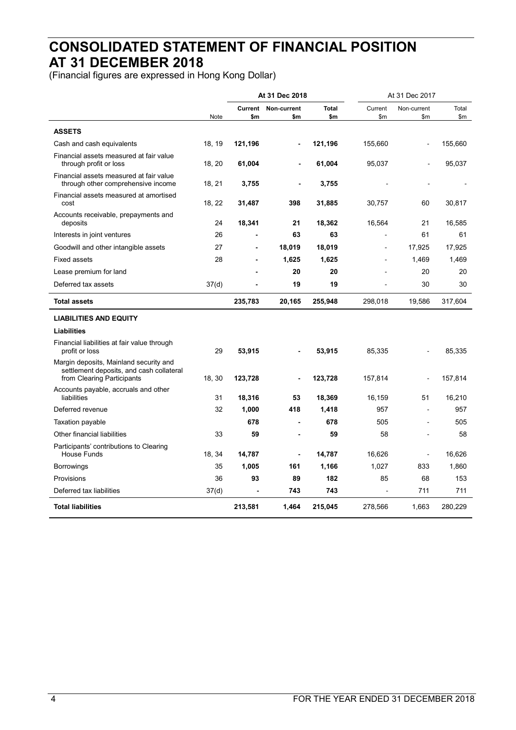## **CONSOLIDATED STATEMENT OF FINANCIAL POSITION AT 31 DECEMBER 2018**

(Financial figures are expressed in Hong Kong Dollar)

|                                                                                                                  |                   |         | At 31 Dec 2018               | At 31 Dec 2017 |         |                |         |
|------------------------------------------------------------------------------------------------------------------|-------------------|---------|------------------------------|----------------|---------|----------------|---------|
|                                                                                                                  |                   | Current | Non-current                  | <b>Total</b>   | Current | Non-current    | Total   |
|                                                                                                                  | Note              | \$m     | \$m                          | \$m            | \$m     | \$m\$          | \$m\$   |
| <b>ASSETS</b>                                                                                                    |                   |         |                              |                |         |                |         |
| Cash and cash equivalents                                                                                        | 18, 19            | 121,196 | $\qquad \qquad \blacksquare$ | 121,196        | 155,660 | ÷,             | 155,660 |
| Financial assets measured at fair value<br>through profit or loss                                                | 18, 20            | 61,004  |                              | 61,004         | 95,037  |                | 95,037  |
| Financial assets measured at fair value<br>through other comprehensive income                                    | 18, 21            | 3,755   |                              | 3,755          |         |                |         |
| Financial assets measured at amortised<br>cost                                                                   | 18, 22            | 31,487  | 398                          | 31,885         | 30,757  | 60             | 30,817  |
| Accounts receivable, prepayments and<br>deposits                                                                 | 24                | 18,341  | 21                           | 18,362         | 16,564  | 21             | 16,585  |
| Interests in joint ventures                                                                                      | 26                |         | 63                           | 63             |         | 61             | 61      |
| Goodwill and other intangible assets                                                                             | 27                |         | 18,019                       | 18,019         | L       | 17,925         | 17,925  |
| <b>Fixed assets</b>                                                                                              | 28                | ٠       | 1,625                        | 1,625          |         | 1,469          | 1,469   |
| Lease premium for land                                                                                           |                   |         | 20                           | 20             |         | 20             | 20      |
| Deferred tax assets                                                                                              | 37 <sub>(d)</sub> |         | 19                           | 19             |         | 30             | 30      |
| <b>Total assets</b>                                                                                              |                   | 235,783 | 20,165                       | 255,948        | 298,018 | 19,586         | 317,604 |
| <b>LIABILITIES AND EQUITY</b>                                                                                    |                   |         |                              |                |         |                |         |
| <b>Liabilities</b>                                                                                               |                   |         |                              |                |         |                |         |
| Financial liabilities at fair value through<br>profit or loss                                                    | 29                | 53,915  |                              | 53,915         | 85,335  |                | 85,335  |
| Margin deposits, Mainland security and<br>settlement deposits, and cash collateral<br>from Clearing Participants | 18, 30            | 123,728 |                              | 123,728        | 157,814 |                | 157,814 |
| Accounts payable, accruals and other<br>liabilities                                                              | 31                | 18,316  | 53                           | 18,369         | 16,159  | 51             | 16,210  |
| Deferred revenue                                                                                                 | 32                | 1,000   | 418                          | 1,418          | 957     |                | 957     |
| <b>Taxation payable</b>                                                                                          |                   | 678     | $\blacksquare$               | 678            | 505     | $\overline{a}$ | 505     |
| Other financial liabilities                                                                                      | 33                | 59      |                              | 59             | 58      |                | 58      |
| Participants' contributions to Clearing<br><b>House Funds</b>                                                    | 18, 34            | 14,787  | $\blacksquare$               | 14,787         | 16,626  | ä,             | 16,626  |
| <b>Borrowings</b>                                                                                                | 35                | 1,005   | 161                          | 1,166          | 1,027   | 833            | 1,860   |
| Provisions                                                                                                       | 36                | 93      | 89                           | 182            | 85      | 68             | 153     |
| Deferred tax liabilities                                                                                         | 37(d)             |         | 743                          | 743            | L.      | 711            | 711     |
| <b>Total liabilities</b>                                                                                         |                   | 213,581 | 1,464                        | 215,045        | 278,566 | 1,663          | 280,229 |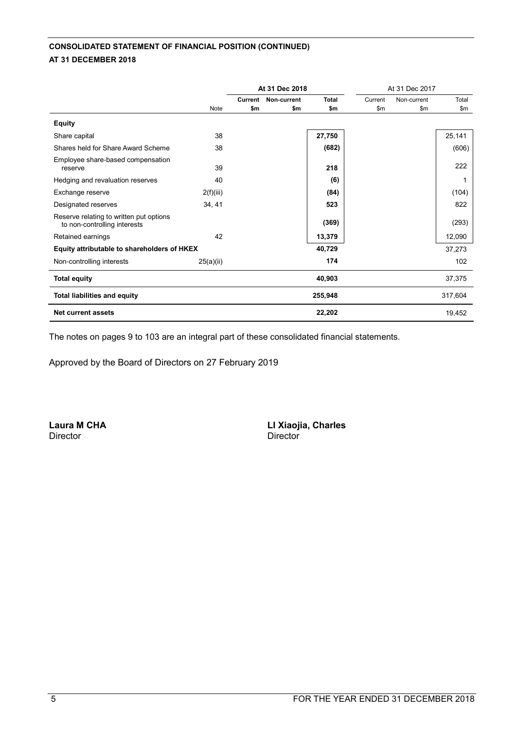## **CONSOLIDATED STATEMENT OF FINANCIAL POSITION (CONTINUED) AT 31 DECEMBER 2018**

|                                                                         |             | At 31 Dec 2018 |                            |              | At 31 Dec 2017 |               |         |
|-------------------------------------------------------------------------|-------------|----------------|----------------------------|--------------|----------------|---------------|---------|
|                                                                         |             |                | <b>Current Non-current</b> | <b>Total</b> | Current        | Non-current   | Total   |
|                                                                         | <b>Note</b> | \$m            | \$m                        | \$m          | \$m\$          | $\mathsf{Sm}$ | \$m     |
| <b>Equity</b>                                                           |             |                |                            |              |                |               |         |
| Share capital                                                           | 38          |                |                            | 27,750       |                |               | 25,141  |
| Shares held for Share Award Scheme                                      | 38          |                |                            | (682)        |                |               | (606)   |
| Employee share-based compensation<br>reserve                            | 39          |                |                            | 218          |                |               | 222     |
| Hedging and revaluation reserves                                        | 40          |                |                            | (6)          |                |               |         |
| Exchange reserve                                                        | 2(f)(iii)   |                |                            | (84)         |                |               | (104)   |
| Designated reserves                                                     | 34, 41      |                |                            | 523          |                |               | 822     |
| Reserve relating to written put options<br>to non-controlling interests |             |                |                            | (369)        |                |               | (293)   |
| Retained earnings                                                       | 42          |                |                            | 13,379       |                |               | 12,090  |
| Equity attributable to shareholders of HKEX                             |             |                |                            | 40,729       |                |               | 37,273  |
| Non-controlling interests                                               | 25(a)(ii)   |                |                            | 174          |                |               | 102     |
| <b>Total equity</b>                                                     |             |                |                            | 40,903       |                |               | 37,375  |
| <b>Total liabilities and equity</b>                                     |             |                |                            | 255,948      |                |               | 317,604 |
| <b>Net current assets</b>                                               |             |                |                            | 22,202       |                |               | 19,452  |

The notes on pages 9 to 103 are an integral part of these consolidated financial statements.

Approved by the Board of Directors on 27 February 2019

Director Director

**Laura M CHA LI Xiaojia, Charles**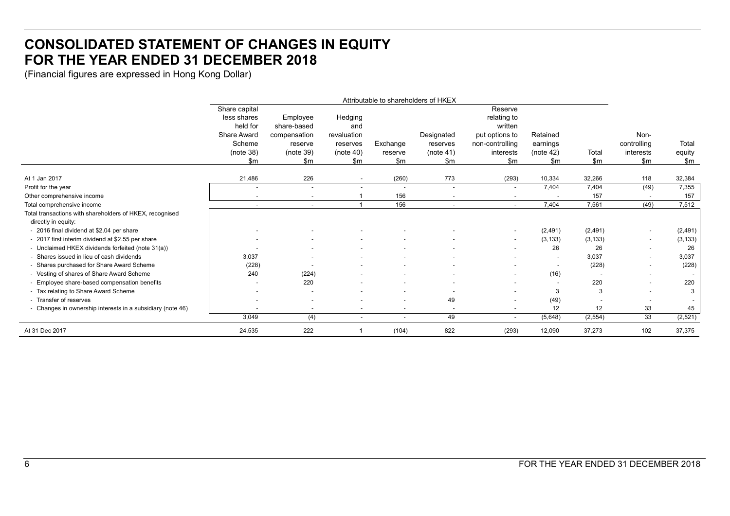## **CONSOLIDATED STATEMENT OF CHANGES IN EQUITY FOR THE YEAR ENDED 31 DECEMBER 2018**

(Financial figures are expressed in Hong Kong Dollar)

|                                                            | Attributable to shareholders of HKEX |                          |                          |                          |                          |                          |           |          |                          |          |
|------------------------------------------------------------|--------------------------------------|--------------------------|--------------------------|--------------------------|--------------------------|--------------------------|-----------|----------|--------------------------|----------|
|                                                            | Share capital                        |                          |                          |                          |                          | Reserve                  |           |          |                          |          |
|                                                            | less shares                          | Employee                 | Hedging                  |                          |                          | relating to              |           |          |                          |          |
|                                                            | held for                             | share-based              | and                      |                          |                          | written                  |           |          |                          |          |
|                                                            | <b>Share Award</b>                   | compensation             | revaluation              |                          | Designated               | put options to           | Retained  |          | Non-                     |          |
|                                                            | Scheme                               | reserve                  | reserves                 | Exchange                 | reserves                 | non-controlling          | earnings  |          | controlling              | Total    |
|                                                            | (note 38)                            | (note 39)                | (note 40)                | reserve                  | (note 41)                | interests                | (note 42) | Total    | interests                | equity   |
|                                                            | \$m                                  | \$m                      | \$m                      | \$m\$                    | \$m                      | \$m\$                    | \$m       | \$m\$    | \$m\$                    | \$m      |
|                                                            |                                      |                          |                          |                          |                          |                          |           |          |                          |          |
| At 1 Jan 2017                                              | 21,486                               | 226                      |                          | (260)                    | 773                      | (293)                    | 10,334    | 32,266   | 118                      | 32,384   |
| Profit for the year                                        |                                      | $\overline{\phantom{a}}$ | $\overline{\phantom{a}}$ |                          | $\overline{\phantom{a}}$ | $\sim$                   | 7,404     | 7.404    | (49)                     | 7,355    |
| Other comprehensive income                                 | $\blacksquare$                       | $\sim$                   |                          | 156                      |                          |                          |           | 157      | $\overline{\phantom{a}}$ | 157      |
| Total comprehensive income                                 |                                      | $\sim$                   |                          | 156                      | $\sim$                   | $\sim$                   | 7,404     | 7.561    | (49)                     | 7,512    |
| Total transactions with shareholders of HKEX, recognised   |                                      |                          |                          |                          |                          |                          |           |          |                          |          |
| directly in equity:                                        |                                      |                          |                          |                          |                          |                          |           |          |                          |          |
| - 2016 final dividend at \$2.04 per share                  |                                      |                          |                          |                          |                          | $\overline{\phantom{a}}$ | (2,491)   | (2, 491) | ٠                        | (2, 491) |
| - 2017 first interim dividend at \$2.55 per share          |                                      |                          |                          |                          |                          | $\sim$                   | (3, 133)  | (3, 133) | $\sim$                   | (3, 133) |
| - Unclaimed HKEX dividends forfeited (note 31(a))          |                                      |                          |                          |                          |                          |                          | 26        | 26       | $\sim$                   | 26       |
| - Shares issued in lieu of cash dividends                  | 3,037                                | $\overline{\phantom{a}}$ |                          |                          |                          |                          | $\sim$    | 3,037    | $\sim$                   | 3,037    |
| - Shares purchased for Share Award Scheme                  | (228)                                | $\overline{\phantom{a}}$ |                          | $\overline{\phantom{a}}$ | $\overline{\phantom{a}}$ | $\sim$                   | $\sim$    | (228)    | $\sim$                   | (228)    |
| - Vesting of shares of Share Award Scheme                  | 240                                  | (224)                    |                          |                          |                          | $\sim$                   | (16)      |          | $\sim$                   |          |
| - Employee share-based compensation benefits               |                                      | 220                      |                          | $\sim$                   |                          | $\sim$                   |           | 220      | $\sim$                   | 220      |
| - Tax relating to Share Award Scheme                       |                                      | $\overline{\phantom{a}}$ |                          | $\sim$                   |                          | $\overline{\phantom{0}}$ | 3         | 3        | $\sim$                   | 3        |
| - Transfer of reserves                                     |                                      |                          |                          | $\overline{\phantom{a}}$ | 49                       | $\overline{\phantom{a}}$ | (49)      |          | $\overline{\phantom{a}}$ |          |
| - Changes in ownership interests in a subsidiary (note 46) |                                      | $\sim$                   |                          | $\sim$                   | $\overline{\phantom{a}}$ | $\sim$                   | 12        | 12       | 33                       | 45       |
|                                                            | 3,049                                | (4)                      | $\overline{\phantom{a}}$ | $\sim$                   | 49                       | $\sim$                   | (5,648)   | (2, 554) | 33                       | (2, 521) |
| At 31 Dec 2017                                             | 24,535                               | 222                      |                          | (104)                    | 822                      | (293)                    | 12,090    | 37.273   | 102                      | 37,375   |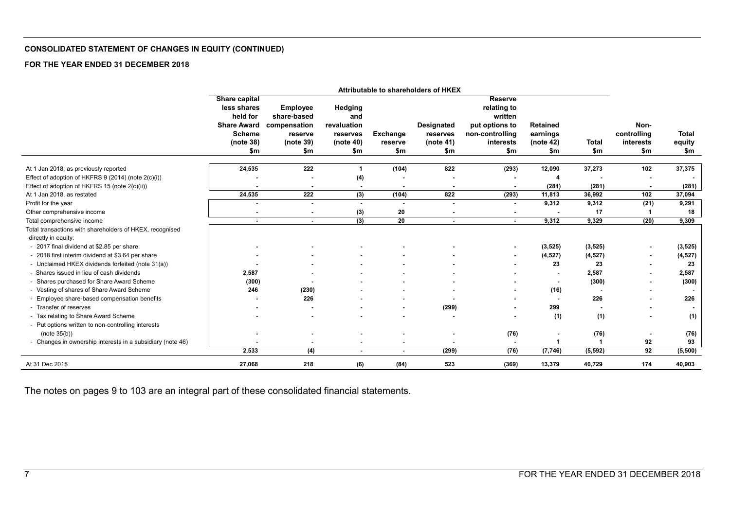#### **CONSOLIDATED STATEMENT OF CHANGES IN EQUITY (CONTINUED)**

#### **FOR THE YEAR ENDED 31 DECEMBER 2018**

|                                                            | Attributable to shareholders of HKEX |                 |                |                 |                          |                 |                 |              |                |                |
|------------------------------------------------------------|--------------------------------------|-----------------|----------------|-----------------|--------------------------|-----------------|-----------------|--------------|----------------|----------------|
|                                                            | Share capital                        |                 |                |                 |                          | <b>Reserve</b>  |                 |              |                |                |
|                                                            | less shares                          | <b>Employee</b> | Hedging        |                 |                          | relating to     |                 |              |                |                |
|                                                            | held for                             | share-based     | and            |                 |                          | written         |                 |              |                |                |
|                                                            | <b>Share Award</b>                   | compensation    | revaluation    |                 | <b>Designated</b>        | put options to  | <b>Retained</b> |              | Non-           |                |
|                                                            | <b>Scheme</b>                        | reserve         | reserves       | Exchange        | reserves                 | non-controlling | earnings        |              | controlling    | <b>Total</b>   |
|                                                            | (note 38)                            | (note 39)       | (note 40)      | reserve         | (note 41)                | interests       | (note 42)       | <b>Total</b> | interests      | equity         |
|                                                            | \$m                                  | \$m             | \$m            | \$m             | \$m                      | \$m             | \$m             | \$m          | \$m            | \$m            |
|                                                            |                                      |                 |                |                 |                          |                 |                 |              |                |                |
| At 1 Jan 2018, as previously reported                      | 24,535                               | 222             | -1             | (104)           | 822                      | (293)           | 12,090          | 37,273       | 102            | 37,375         |
| Effect of adoption of HKFRS 9 (2014) (note 2(c)(i))        |                                      |                 | (4)            |                 |                          |                 |                 |              |                | $\blacksquare$ |
| Effect of adoption of HKFRS 15 (note 2(c)(ii))             |                                      | $\blacksquare$  | $\sim$         | $\blacksquare$  | $\blacksquare$           | $\blacksquare$  | (281)           | (281)        | $\blacksquare$ | (281)          |
| At 1 Jan 2018, as restated                                 | 24,535                               | 222             | (3)            | (104)           | 822                      | (293)           | 11,813          | 36,992       | 102            | 37,094         |
| Profit for the year                                        |                                      |                 |                |                 |                          |                 | 9,312           | 9,312        | (21)           | 9,291          |
| Other comprehensive income                                 |                                      | $\blacksquare$  | (3)            | 20              | $\overline{\phantom{a}}$ | $\sim$          |                 | 17           |                | 18             |
| Total comprehensive income                                 | $\sim$                               | $\sim$          | (3)            | $\overline{20}$ | $\sim$                   | $\sim$          | 9,312           | 9,329        | (20)           | 9,309          |
| Total transactions with shareholders of HKEX, recognised   |                                      |                 |                |                 |                          |                 |                 |              |                |                |
| directly in equity:                                        |                                      |                 |                |                 |                          |                 |                 |              |                |                |
| - 2017 final dividend at \$2.85 per share                  |                                      |                 |                |                 |                          | $\blacksquare$  | (3, 525)        | (3, 525)     |                | (3, 525)       |
| - 2018 first interim dividend at \$3.64 per share          |                                      |                 |                |                 |                          | $\blacksquare$  | (4, 527)        | (4, 527)     |                | (4, 527)       |
| - Unclaimed HKEX dividends forfeited (note 31(a))          |                                      |                 |                |                 |                          |                 | 23              | 23           |                | 23             |
| - Shares issued in lieu of cash dividends                  | 2,587                                |                 |                |                 |                          |                 |                 | 2,587        |                | 2,587          |
| - Shares purchased for Share Award Scheme                  | (300)                                |                 |                |                 |                          |                 | $\blacksquare$  | (300)        |                | (300)          |
| - Vesting of shares of Share Award Scheme                  | 246                                  | (230)           |                |                 |                          | $\blacksquare$  | (16)            |              |                |                |
| - Employee share-based compensation benefits               |                                      | 226             |                |                 |                          | $\blacksquare$  |                 | 226          |                | 226            |
| - Transfer of reserves                                     |                                      |                 |                |                 | (299)                    | $\blacksquare$  | 299             |              |                | $\blacksquare$ |
| - Tax relating to Share Award Scheme                       |                                      |                 |                |                 | $\overline{\phantom{a}}$ |                 | (1)             | (1)          |                | (1)            |
| - Put options written to non-controlling interests         |                                      |                 |                |                 |                          |                 |                 |              |                |                |
| (note 35(b))                                               |                                      |                 |                |                 |                          | (76)            |                 | (76)         |                | (76)           |
| - Changes in ownership interests in a subsidiary (note 46) |                                      |                 | $\blacksquare$ | $\blacksquare$  |                          | $\sim$          |                 |              | 92             | 93             |
|                                                            | 2,533                                | (4)             | $\blacksquare$ | $\blacksquare$  | (299)                    | (76)            | (7, 746)        | (5, 592)     | 92             | (5,500)        |
| At 31 Dec 2018                                             | 27,068                               | 218             | (6)            | (84)            | 523                      | (369)           | 13,379          | 40,729       | 174            | 40,903         |

The notes on pages 9 to 103 are an integral part of these consolidated financial statements.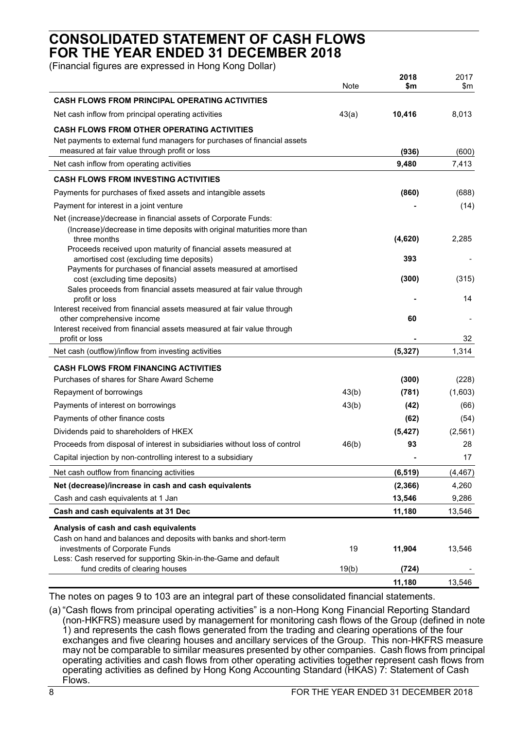## **CONSOLIDATED STATEMENT OF CASH FLOWS FOR THE YEAR ENDED 31 DECEMBER 2018**

(Financial figures are expressed in Hong Kong Dollar)

|                                                                                                                                                                                 | Note  | 2018<br>\$m    | 2017<br>\$m    |
|---------------------------------------------------------------------------------------------------------------------------------------------------------------------------------|-------|----------------|----------------|
| <b>CASH FLOWS FROM PRINCIPAL OPERATING ACTIVITIES</b>                                                                                                                           |       |                |                |
| Net cash inflow from principal operating activities                                                                                                                             | 43(a) | 10,416         | 8,013          |
| <b>CASH FLOWS FROM OTHER OPERATING ACTIVITIES</b><br>Net payments to external fund managers for purchases of financial assets<br>measured at fair value through profit or loss  |       |                |                |
| Net cash inflow from operating activities                                                                                                                                       |       | (936)<br>9,480 | (600)<br>7,413 |
|                                                                                                                                                                                 |       |                |                |
| <b>CASH FLOWS FROM INVESTING ACTIVITIES</b>                                                                                                                                     |       |                |                |
| Payments for purchases of fixed assets and intangible assets                                                                                                                    |       | (860)          | (688)          |
| Payment for interest in a joint venture                                                                                                                                         |       |                | (14)           |
| Net (increase)/decrease in financial assets of Corporate Funds:<br>(Increase)/decrease in time deposits with original maturities more than<br>three months                      |       | (4,620)        | 2,285          |
| Proceeds received upon maturity of financial assets measured at<br>amortised cost (excluding time deposits)<br>Payments for purchases of financial assets measured at amortised |       | 393            |                |
| cost (excluding time deposits)<br>Sales proceeds from financial assets measured at fair value through                                                                           |       | (300)          | (315)          |
| profit or loss<br>Interest received from financial assets measured at fair value through                                                                                        |       |                | 14             |
| other comprehensive income<br>Interest received from financial assets measured at fair value through                                                                            |       | 60             |                |
| profit or loss                                                                                                                                                                  |       |                | 32             |
| Net cash (outflow)/inflow from investing activities                                                                                                                             |       | (5, 327)       | 1,314          |
| <b>CASH FLOWS FROM FINANCING ACTIVITIES</b>                                                                                                                                     |       |                |                |
| Purchases of shares for Share Award Scheme                                                                                                                                      |       | (300)          | (228)          |
| Repayment of borrowings                                                                                                                                                         | 43(b) | (781)          | (1,603)        |
| Payments of interest on borrowings                                                                                                                                              | 43(b) | (42)           | (66)           |
| Payments of other finance costs                                                                                                                                                 |       | (62)           | (54)           |
| Dividends paid to shareholders of HKEX                                                                                                                                          |       | (5, 427)       | (2, 561)       |
| Proceeds from disposal of interest in subsidiaries without loss of control                                                                                                      | 46(b) | 93             | 28             |
| Capital injection by non-controlling interest to a subsidiary                                                                                                                   |       |                | 17             |
| Net cash outflow from financing activities                                                                                                                                      |       | (6, 519)       | (4, 467)       |
| Net (decrease)/increase in cash and cash equivalents                                                                                                                            |       | (2, 366)       | 4,260          |
| Cash and cash equivalents at 1 Jan                                                                                                                                              |       | 13,546         | 9,286          |
| Cash and cash equivalents at 31 Dec                                                                                                                                             |       | 11,180         | 13,546         |
| Analysis of cash and cash equivalents                                                                                                                                           |       |                |                |
| Cash on hand and balances and deposits with banks and short-term                                                                                                                |       |                |                |
| investments of Corporate Funds                                                                                                                                                  | 19    | 11,904         | 13,546         |
| Less: Cash reserved for supporting Skin-in-the-Game and default<br>fund credits of clearing houses                                                                              | 19(b) | (724)          |                |
|                                                                                                                                                                                 |       | 11,180         | 13,546         |

The notes on pages 9 to 103 are an integral part of these consolidated financial statements.

(a) "Cash flows from principal operating activities" is a non-Hong Kong Financial Reporting Standard (non-HKFRS) measure used by management for monitoring cash flows of the Group (defined in note 1) and represents the cash flows generated from the trading and clearing operations of the four exchanges and five clearing houses and ancillary services of the Group. This non-HKFRS measure may not be comparable to similar measures presented by other companies. Cash flows from principal operating activities and cash flows from other operating activities together represent cash flows from operating activities as defined by Hong Kong Accounting Standard (HKAS) 7: Statement of Cash Flows.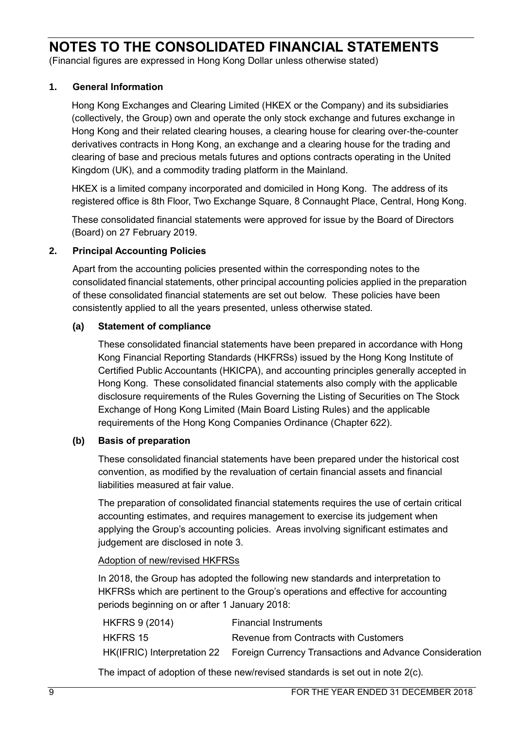(Financial figures are expressed in Hong Kong Dollar unless otherwise stated)

## **1. General Information**

Hong Kong Exchanges and Clearing Limited (HKEX or the Company) and its subsidiaries (collectively, the Group) own and operate the only stock exchange and futures exchange in Hong Kong and their related clearing houses, a clearing house for clearing over-the-counter derivatives contracts in Hong Kong, an exchange and a clearing house for the trading and clearing of base and precious metals futures and options contracts operating in the United Kingdom (UK), and a commodity trading platform in the Mainland.

HKEX is a limited company incorporated and domiciled in Hong Kong. The address of its registered office is 8th Floor, Two Exchange Square, 8 Connaught Place, Central, Hong Kong.

These consolidated financial statements were approved for issue by the Board of Directors (Board) on 27 February 2019.

### **2. Principal Accounting Policies**

Apart from the accounting policies presented within the corresponding notes to the consolidated financial statements, other principal accounting policies applied in the preparation of these consolidated financial statements are set out below. These policies have been consistently applied to all the years presented, unless otherwise stated.

## **(a) Statement of compliance**

These consolidated financial statements have been prepared in accordance with Hong Kong Financial Reporting Standards (HKFRSs) issued by the Hong Kong Institute of Certified Public Accountants (HKICPA), and accounting principles generally accepted in Hong Kong. These consolidated financial statements also comply with the applicable disclosure requirements of the Rules Governing the Listing of Securities on The Stock Exchange of Hong Kong Limited (Main Board Listing Rules) and the applicable requirements of the Hong Kong Companies Ordinance (Chapter 622).

### **(b) Basis of preparation**

These consolidated financial statements have been prepared under the historical cost convention, as modified by the revaluation of certain financial assets and financial liabilities measured at fair value.

The preparation of consolidated financial statements requires the use of certain critical accounting estimates, and requires management to exercise its judgement when applying the Group's accounting policies. Areas involving significant estimates and judgement are disclosed in note 3.

## Adoption of new/revised HKFRSs

In 2018, the Group has adopted the following new standards and interpretation to HKFRSs which are pertinent to the Group's operations and effective for accounting periods beginning on or after 1 January 2018:

| <b>HKFRS 9 (2014)</b> | <b>Financial Instruments</b>                                                        |
|-----------------------|-------------------------------------------------------------------------------------|
| <b>HKFRS 15</b>       | Revenue from Contracts with Customers                                               |
|                       | HK(IFRIC) Interpretation 22 Foreign Currency Transactions and Advance Consideration |

The impact of adoption of these new/revised standards is set out in note 2(c).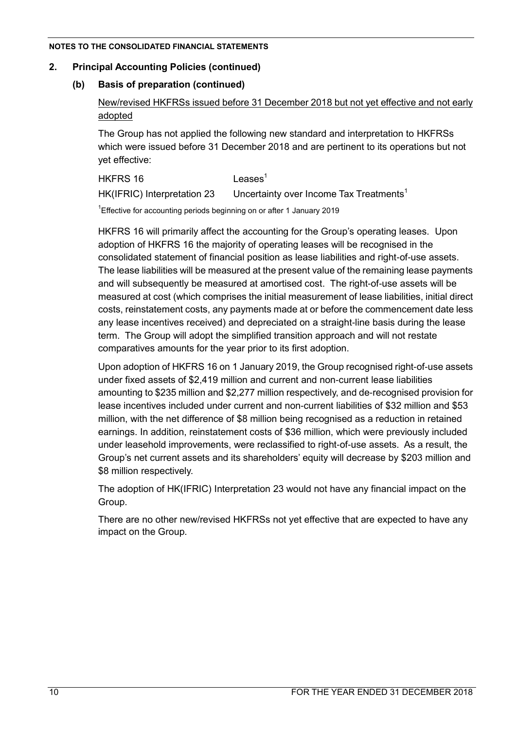## **2. Principal Accounting Policies (continued)**

## **(b) Basis of preparation (continued)**

New/revised HKFRSs issued before 31 December 2018 but not yet effective and not early adopted

The Group has not applied the following new standard and interpretation to HKFRSs which were issued before 31 December 2018 and are pertinent to its operations but not yet effective:

 $HKFRS$  16  $Leases<sup>1</sup>$  $HK(IFRIC)$  Interpretation 23 Uncertainty over Income Tax Treatments<sup>1</sup>

<sup>1</sup> Effective for accounting periods beginning on or after 1 January 2019

HKFRS 16 will primarily affect the accounting for the Group's operating leases. Upon adoption of HKFRS 16 the majority of operating leases will be recognised in the consolidated statement of financial position as lease liabilities and right-of-use assets. The lease liabilities will be measured at the present value of the remaining lease payments and will subsequently be measured at amortised cost. The right-of-use assets will be measured at cost (which comprises the initial measurement of lease liabilities, initial direct costs, reinstatement costs, any payments made at or before the commencement date less any lease incentives received) and depreciated on a straight-line basis during the lease term. The Group will adopt the simplified transition approach and will not restate comparatives amounts for the year prior to its first adoption.

Upon adoption of HKFRS 16 on 1 January 2019, the Group recognised right-of-use assets under fixed assets of \$2,419 million and current and non-current lease liabilities amounting to \$235 million and \$2,277 million respectively, and de-recognised provision for lease incentives included under current and non-current liabilities of \$32 million and \$53 million, with the net difference of \$8 million being recognised as a reduction in retained earnings. In addition, reinstatement costs of \$36 million, which were previously included under leasehold improvements, were reclassified to right-of-use assets. As a result, the Group's net current assets and its shareholders' equity will decrease by \$203 million and \$8 million respectively.

The adoption of HK(IFRIC) Interpretation 23 would not have any financial impact on the Group.

There are no other new/revised HKFRSs not yet effective that are expected to have any impact on the Group.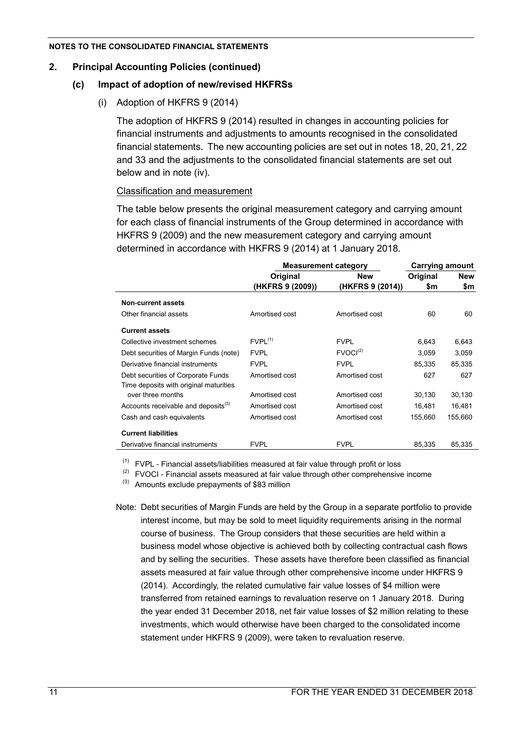## **2. Principal Accounting Policies (continued)**

## **(c) Impact of adoption of new/revised HKFRSs**

(i) Adoption of HKFRS 9 (2014)

The adoption of HKFRS 9 (2014) resulted in changes in accounting policies for financial instruments and adjustments to amounts recognised in the consolidated financial statements. The new accounting policies are set out in notes 18, 20, 21, 22 and 33 and the adjustments to the consolidated financial statements are set out below and in note (iv).

### Classification and measurement

The table below presents the original measurement category and carrying amount for each class of financial instruments of the Group determined in accordance with HKFRS 9 (2009) and the new measurement category and carrying amount determined in accordance with HKFRS 9 (2014) at 1 January 2018.

|                                                 | <b>Measurement category</b> |                      | <b>Carrying amount</b> |            |
|-------------------------------------------------|-----------------------------|----------------------|------------------------|------------|
|                                                 | Original                    | New                  | Original               | <b>New</b> |
|                                                 | (HKFRS 9 (2009))            | (HKFRS 9 (2014))     | \$m                    | \$m        |
| <b>Non-current assets</b>                       |                             |                      |                        |            |
| Other financial assets                          | Amortised cost              | Amortised cost       | 60                     | 60         |
| <b>Current assets</b>                           |                             |                      |                        |            |
| Collective investment schemes                   | $FVPL^{(1)}$                | <b>FVPL</b>          | 6,643                  | 6,643      |
| Debt securities of Margin Funds (note)          | <b>FVPL</b>                 | FVOCI <sup>(2)</sup> | 3,059                  | 3,059      |
| Derivative financial instruments                | <b>FVPL</b>                 | <b>FVPL</b>          | 85,335                 | 85,335     |
| Debt securities of Corporate Funds              | Amortised cost              | Amortised cost       | 627                    | 627        |
| Time deposits with original maturities          |                             |                      |                        |            |
| over three months                               | Amortised cost              | Amortised cost       | 30,130                 | 30,130     |
| Accounts receivable and deposits <sup>(3)</sup> | Amortised cost              | Amortised cost       | 16,481                 | 16,481     |
| Cash and cash equivalents                       | Amortised cost              | Amortised cost       | 155,660                | 155,660    |
| <b>Current liabilities</b>                      |                             |                      |                        |            |
| Derivative financial instruments                | <b>FVPL</b>                 | <b>FVPL</b>          | 85,335                 | 85,335     |

 $(1)$  FVPL - Financial assets/liabilities measured at fair value through profit or loss

 $(2)$  FVOCI - Financial assets measured at fair value through other comprehensive income

 $^{(3)}$  Amounts exclude prepayments of \$83 million

Note: Debt securities of Margin Funds are held by the Group in a separate portfolio to provide interest income, but may be sold to meet liquidity requirements arising in the normal course of business. The Group considers that these securities are held within a business model whose objective is achieved both by collecting contractual cash flows and by selling the securities. These assets have therefore been classified as financial assets measured at fair value through other comprehensive income under HKFRS 9 (2014). Accordingly, the related cumulative fair value losses of \$4 million were transferred from retained earnings to revaluation reserve on 1 January 2018. During the year ended 31 December 2018, net fair value losses of \$2 million relating to these investments, which would otherwise have been charged to the consolidated income statement under HKFRS 9 (2009), were taken to revaluation reserve.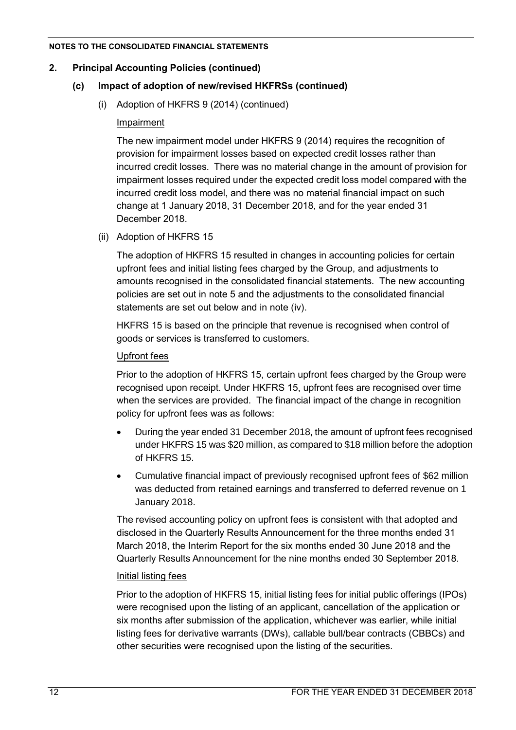## **2. Principal Accounting Policies (continued)**

## **(c) Impact of adoption of new/revised HKFRSs (continued)**

(i) Adoption of HKFRS 9 (2014) (continued)

## Impairment

The new impairment model under HKFRS 9 (2014) requires the recognition of provision for impairment losses based on expected credit losses rather than incurred credit losses. There was no material change in the amount of provision for impairment losses required under the expected credit loss model compared with the incurred credit loss model, and there was no material financial impact on such change at 1 January 2018, 31 December 2018, and for the year ended 31 December 2018.

(ii) Adoption of HKFRS 15

The adoption of HKFRS 15 resulted in changes in accounting policies for certain upfront fees and initial listing fees charged by the Group, and adjustments to amounts recognised in the consolidated financial statements. The new accounting policies are set out in note 5 and the adjustments to the consolidated financial statements are set out below and in note (iv).

HKFRS 15 is based on the principle that revenue is recognised when control of goods or services is transferred to customers.

## Upfront fees

Prior to the adoption of HKFRS 15, certain upfront fees charged by the Group were recognised upon receipt. Under HKFRS 15, upfront fees are recognised over time when the services are provided. The financial impact of the change in recognition policy for upfront fees was as follows:

- During the year ended 31 December 2018, the amount of upfront fees recognised under HKFRS 15 was \$20 million, as compared to \$18 million before the adoption of HKFRS 15.
- Cumulative financial impact of previously recognised upfront fees of \$62 million was deducted from retained earnings and transferred to deferred revenue on 1 January 2018.

The revised accounting policy on upfront fees is consistent with that adopted and disclosed in the Quarterly Results Announcement for the three months ended 31 March 2018, the Interim Report for the six months ended 30 June 2018 and the Quarterly Results Announcement for the nine months ended 30 September 2018.

### Initial listing fees

Prior to the adoption of HKFRS 15, initial listing fees for initial public offerings (IPOs) were recognised upon the listing of an applicant, cancellation of the application or six months after submission of the application, whichever was earlier, while initial listing fees for derivative warrants (DWs), callable bull/bear contracts (CBBCs) and other securities were recognised upon the listing of the securities.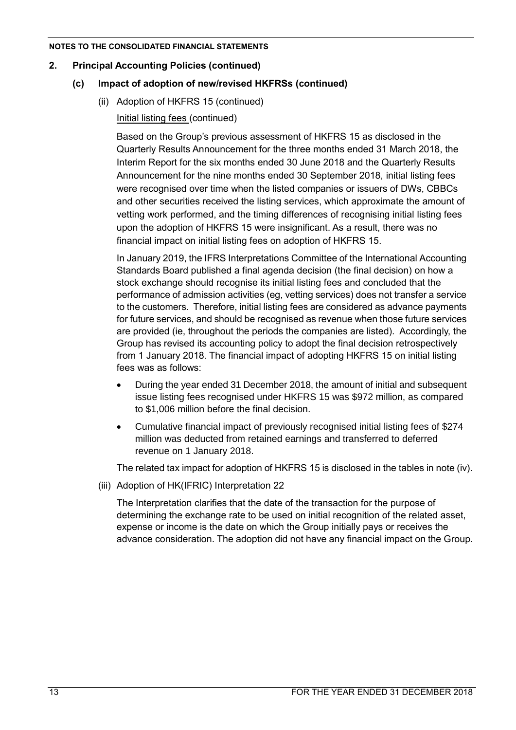## **2. Principal Accounting Policies (continued)**

## **(c) Impact of adoption of new/revised HKFRSs (continued)**

(ii) Adoption of HKFRS 15 (continued)

Initial listing fees (continued)

Based on the Group's previous assessment of HKFRS 15 as disclosed in the Quarterly Results Announcement for the three months ended 31 March 2018, the Interim Report for the six months ended 30 June 2018 and the Quarterly Results Announcement for the nine months ended 30 September 2018, initial listing fees were recognised over time when the listed companies or issuers of DWs, CBBCs and other securities received the listing services, which approximate the amount of vetting work performed, and the timing differences of recognising initial listing fees upon the adoption of HKFRS 15 were insignificant. As a result, there was no financial impact on initial listing fees on adoption of HKFRS 15.

In January 2019, the IFRS Interpretations Committee of the International Accounting Standards Board published a final agenda decision (the final decision) on how a stock exchange should recognise its initial listing fees and concluded that the performance of admission activities (eg, vetting services) does not transfer a service to the customers. Therefore, initial listing fees are considered as advance payments for future services, and should be recognised as revenue when those future services are provided (ie, throughout the periods the companies are listed). Accordingly, the Group has revised its accounting policy to adopt the final decision retrospectively from 1 January 2018. The financial impact of adopting HKFRS 15 on initial listing fees was as follows:

- During the year ended 31 December 2018, the amount of initial and subsequent issue listing fees recognised under HKFRS 15 was \$972 million, as compared to \$1,006 million before the final decision.
- Cumulative financial impact of previously recognised initial listing fees of \$274 million was deducted from retained earnings and transferred to deferred revenue on 1 January 2018.

The related tax impact for adoption of HKFRS 15 is disclosed in the tables in note (iv).

(iii) Adoption of HK(IFRIC) Interpretation 22

The Interpretation clarifies that the date of the transaction for the purpose of determining the exchange rate to be used on initial recognition of the related asset, expense or income is the date on which the Group initially pays or receives the advance consideration. The adoption did not have any financial impact on the Group.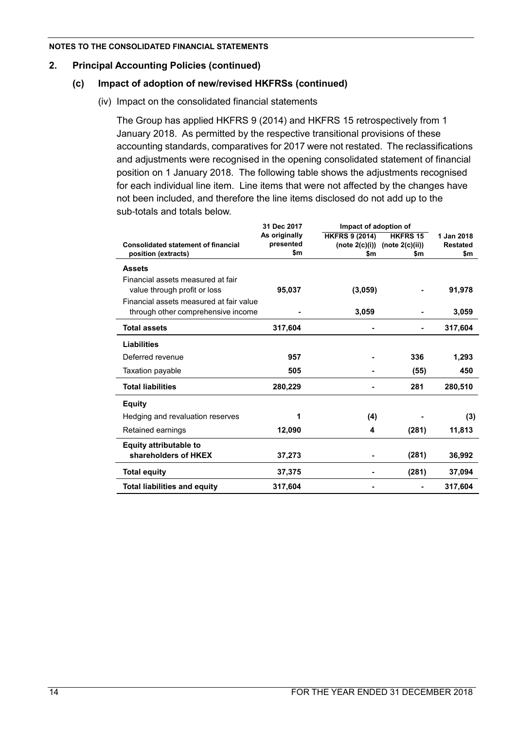## **2. Principal Accounting Policies (continued)**

## **(c) Impact of adoption of new/revised HKFRSs (continued)**

(iv) Impact on the consolidated financial statements

The Group has applied HKFRS 9 (2014) and HKFRS 15 retrospectively from 1 January 2018. As permitted by the respective transitional provisions of these accounting standards, comparatives for 2017 were not restated. The reclassifications and adjustments were recognised in the opening consolidated statement of financial position on 1 January 2018. The following table shows the adjustments recognised for each individual line item. Line items that were not affected by the changes have not been included, and therefore the line items disclosed do not add up to the sub-totals and totals below.

|                                            | 31 Dec 2017<br>Impact of adoption of |                       |                                      |                 |
|--------------------------------------------|--------------------------------------|-----------------------|--------------------------------------|-----------------|
|                                            | As originally                        | <b>HKFRS 9 (2014)</b> | <b>HKFRS 15</b>                      | 1 Jan 2018      |
| <b>Consolidated statement of financial</b> | presented                            |                       | (note $2(c)(i)$ ) (note $2(c)(ii)$ ) | <b>Restated</b> |
| position (extracts)                        | \$m                                  | \$m                   | \$m                                  | \$m             |
| <b>Assets</b>                              |                                      |                       |                                      |                 |
| Financial assets measured at fair          |                                      |                       |                                      |                 |
| value through profit or loss               | 95,037                               | (3,059)               |                                      | 91,978          |
| Financial assets measured at fair value    |                                      |                       |                                      |                 |
| through other comprehensive income         |                                      | 3,059                 |                                      | 3,059           |
| <b>Total assets</b>                        | 317,604                              |                       |                                      | 317,604         |
| Liabilities                                |                                      |                       |                                      |                 |
| Deferred revenue                           | 957                                  |                       | 336                                  | 1,293           |
| Taxation payable                           | 505                                  |                       | (55)                                 | 450             |
| <b>Total liabilities</b>                   | 280,229                              |                       | 281                                  | 280,510         |
| <b>Equity</b>                              |                                      |                       |                                      |                 |
| Hedging and revaluation reserves           | 1                                    | (4)                   |                                      | (3)             |
| Retained earnings                          | 12,090                               | 4                     | (281)                                | 11,813          |
| <b>Equity attributable to</b>              |                                      |                       |                                      |                 |
| shareholders of HKEX                       | 37,273                               |                       | (281)                                | 36,992          |
| <b>Total equity</b>                        | 37,375                               |                       | (281)                                | 37,094          |
| <b>Total liabilities and equity</b>        | 317,604                              |                       |                                      | 317,604         |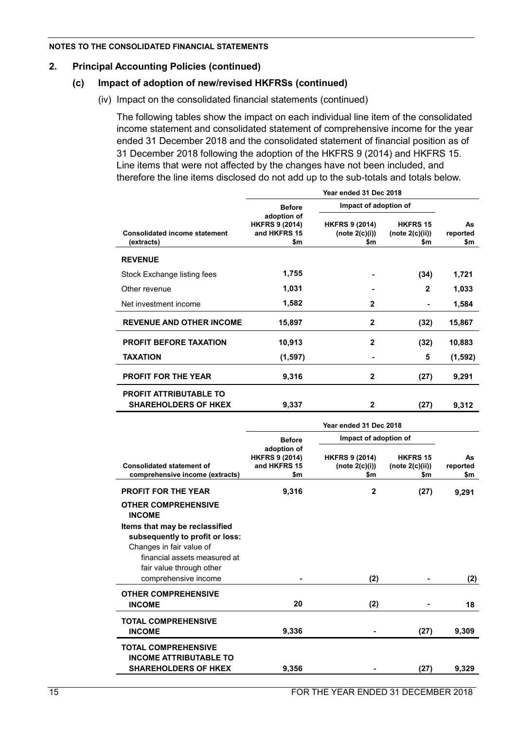## **2. Principal Accounting Policies (continued)**

## **(c) Impact of adoption of new/revised HKFRSs (continued)**

(iv) Impact on the consolidated financial statements (continued)

The following tables show the impact on each individual line item of the consolidated income statement and consolidated statement of comprehensive income for the year ended 31 December 2018 and the consolidated statement of financial position as of 31 December 2018 following the adoption of the HKFRS 9 (2014) and HKFRS 15. Line items that were not affected by the changes have not been included, and therefore the line items disclosed do not add up to the sub-totals and totals below.

|                                                              | Year ended 31 Dec 2018                                      |                                                   |                                           |                       |  |  |  |  |
|--------------------------------------------------------------|-------------------------------------------------------------|---------------------------------------------------|-------------------------------------------|-----------------------|--|--|--|--|
|                                                              | <b>Before</b>                                               | Impact of adoption of                             |                                           |                       |  |  |  |  |
| <b>Consolidated income statement</b><br>(extracts)           | adoption of<br><b>HKFRS 9 (2014)</b><br>and HKFRS 15<br>\$m | <b>HKFRS 9 (2014)</b><br>(note $2(c)(i)$ )<br>\$m | <b>HKFRS 15</b><br>(note 2(c)(ii))<br>\$m | As<br>reported<br>\$m |  |  |  |  |
| <b>REVENUE</b>                                               |                                                             |                                                   |                                           |                       |  |  |  |  |
| Stock Exchange listing fees                                  | 1,755                                                       |                                                   | (34)                                      | 1,721                 |  |  |  |  |
| Other revenue                                                | 1,031                                                       |                                                   | $\mathbf{2}$                              | 1,033                 |  |  |  |  |
| Net investment income                                        | 1,582                                                       | $\mathbf{2}$                                      | ۰                                         | 1,584                 |  |  |  |  |
| <b>REVENUE AND OTHER INCOME</b>                              | 15,897                                                      | $\mathbf{2}$                                      | (32)                                      | 15,867                |  |  |  |  |
| <b>PROFIT BEFORE TAXATION</b>                                | 10,913                                                      | $\mathbf{2}$                                      | (32)                                      | 10,883                |  |  |  |  |
| <b>TAXATION</b>                                              | (1, 597)                                                    |                                                   | 5                                         | (1, 592)              |  |  |  |  |
| <b>PROFIT FOR THE YEAR</b>                                   | 9,316                                                       | $\mathbf{2}$                                      | (27)                                      | 9,291                 |  |  |  |  |
| <b>PROFIT ATTRIBUTABLE TO</b><br><b>SHAREHOLDERS OF HKEX</b> | 9,337                                                       | 2                                                 | (27)                                      | 9,312                 |  |  |  |  |

|                                                                                                                                                           | Year ended 31 Dec 2018                                      |                                                |                                           |                       |  |  |  |  |
|-----------------------------------------------------------------------------------------------------------------------------------------------------------|-------------------------------------------------------------|------------------------------------------------|-------------------------------------------|-----------------------|--|--|--|--|
|                                                                                                                                                           | <b>Before</b>                                               | Impact of adoption of                          |                                           |                       |  |  |  |  |
| <b>Consolidated statement of</b><br>comprehensive income (extracts)                                                                                       | adoption of<br><b>HKFRS 9 (2014)</b><br>and HKFRS 15<br>\$m | <b>HKFRS 9 (2014)</b><br>(note 2(c)(i))<br>\$m | <b>HKFRS 15</b><br>(note 2(c)(ii))<br>\$m | As<br>reported<br>\$m |  |  |  |  |
| <b>PROFIT FOR THE YEAR</b>                                                                                                                                | 9,316                                                       | $\mathbf{2}$                                   | (27)                                      | 9,291                 |  |  |  |  |
| <b>OTHER COMPREHENSIVE</b><br><b>INCOME</b>                                                                                                               |                                                             |                                                |                                           |                       |  |  |  |  |
| Items that may be reclassified<br>subsequently to profit or loss:<br>Changes in fair value of<br>financial assets measured at<br>fair value through other |                                                             |                                                |                                           |                       |  |  |  |  |
| comprehensive income                                                                                                                                      |                                                             | (2)                                            |                                           | (2)                   |  |  |  |  |
| <b>OTHER COMPREHENSIVE</b><br><b>INCOME</b>                                                                                                               | 20                                                          | (2)                                            |                                           | 18                    |  |  |  |  |
| <b>TOTAL COMPREHENSIVE</b><br><b>INCOME</b>                                                                                                               | 9,336                                                       |                                                | (27)                                      | 9,309                 |  |  |  |  |
| <b>TOTAL COMPREHENSIVE</b><br><b>INCOME ATTRIBUTABLE TO</b><br><b>SHAREHOLDERS OF HKEX</b>                                                                | 9,356                                                       |                                                | (27)                                      | 9,329                 |  |  |  |  |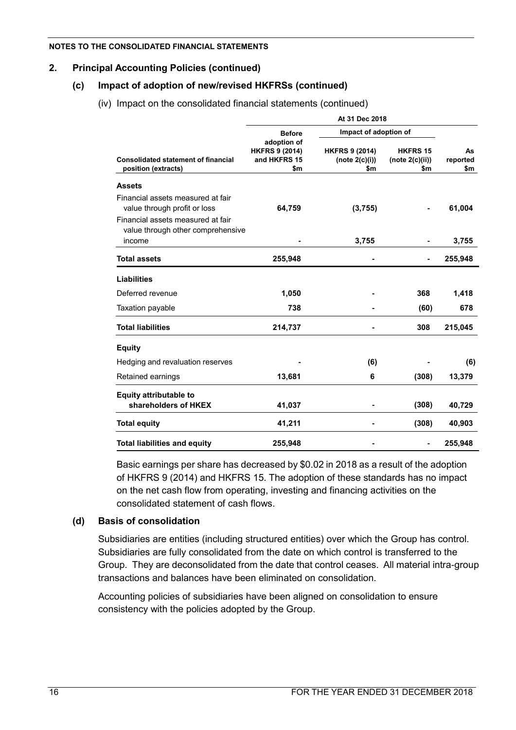## **2. Principal Accounting Policies (continued)**

## **(c) Impact of adoption of new/revised HKFRSs (continued)**

(iv) Impact on the consolidated financial statements (continued)

| At 31 Dec 2018                                                                   |                                                             |                                                |                                           |                       |  |  |  |
|----------------------------------------------------------------------------------|-------------------------------------------------------------|------------------------------------------------|-------------------------------------------|-----------------------|--|--|--|
|                                                                                  | <b>Before</b>                                               |                                                | Impact of adoption of                     |                       |  |  |  |
| <b>Consolidated statement of financial</b><br>position (extracts)                | adoption of<br><b>HKFRS 9 (2014)</b><br>and HKFRS 15<br>\$m | <b>HKFRS 9 (2014)</b><br>(note 2(c)(i))<br>\$m | <b>HKFRS 15</b><br>(note 2(c)(ii))<br>\$m | As<br>reported<br>\$m |  |  |  |
| <b>Assets</b>                                                                    |                                                             |                                                |                                           |                       |  |  |  |
| Financial assets measured at fair<br>value through profit or loss                | 64,759                                                      | (3,755)                                        |                                           | 61,004                |  |  |  |
| Financial assets measured at fair<br>value through other comprehensive<br>income |                                                             | 3,755                                          |                                           | 3,755                 |  |  |  |
| <b>Total assets</b>                                                              | 255,948                                                     |                                                |                                           | 255,948               |  |  |  |
| <b>Liabilities</b>                                                               |                                                             |                                                |                                           |                       |  |  |  |
| Deferred revenue                                                                 | 1,050                                                       |                                                | 368                                       | 1,418                 |  |  |  |
| Taxation payable                                                                 | 738                                                         |                                                | (60)                                      | 678                   |  |  |  |
| <b>Total liabilities</b>                                                         | 214,737                                                     |                                                | 308                                       | 215,045               |  |  |  |
| <b>Equity</b>                                                                    |                                                             |                                                |                                           |                       |  |  |  |
| Hedging and revaluation reserves                                                 |                                                             | (6)                                            |                                           | (6)                   |  |  |  |
| Retained earnings                                                                | 13,681                                                      | 6                                              | (308)                                     | 13,379                |  |  |  |
| Equity attributable to                                                           |                                                             |                                                |                                           |                       |  |  |  |
| shareholders of HKEX                                                             | 41,037                                                      |                                                | (308)                                     | 40,729                |  |  |  |
| <b>Total equity</b>                                                              | 41,211                                                      |                                                | (308)                                     | 40,903                |  |  |  |
| <b>Total liabilities and equity</b>                                              | 255,948                                                     |                                                |                                           | 255,948               |  |  |  |

Basic earnings per share has decreased by \$0.02 in 2018 as a result of the adoption of HKFRS 9 (2014) and HKFRS 15. The adoption of these standards has no impact on the net cash flow from operating, investing and financing activities on the consolidated statement of cash flows.

### **(d) Basis of consolidation**

Subsidiaries are entities (including structured entities) over which the Group has control. Subsidiaries are fully consolidated from the date on which control is transferred to the Group. They are deconsolidated from the date that control ceases. All material intra-group transactions and balances have been eliminated on consolidation.

Accounting policies of subsidiaries have been aligned on consolidation to ensure consistency with the policies adopted by the Group.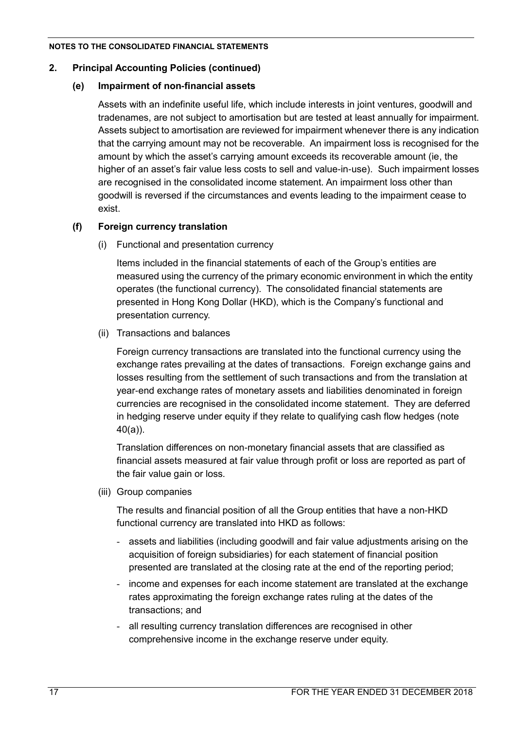## **2. Principal Accounting Policies (continued)**

## **(e) Impairment of non-financial assets**

Assets with an indefinite useful life, which include interests in joint ventures, goodwill and tradenames, are not subject to amortisation but are tested at least annually for impairment. Assets subject to amortisation are reviewed for impairment whenever there is any indication that the carrying amount may not be recoverable. An impairment loss is recognised for the amount by which the asset's carrying amount exceeds its recoverable amount (ie, the higher of an asset's fair value less costs to sell and value-in-use). Such impairment losses are recognised in the consolidated income statement. An impairment loss other than goodwill is reversed if the circumstances and events leading to the impairment cease to exist.

## **(f) Foreign currency translation**

(i) Functional and presentation currency

Items included in the financial statements of each of the Group's entities are measured using the currency of the primary economic environment in which the entity operates (the functional currency). The consolidated financial statements are presented in Hong Kong Dollar (HKD), which is the Company's functional and presentation currency.

(ii) Transactions and balances

Foreign currency transactions are translated into the functional currency using the exchange rates prevailing at the dates of transactions. Foreign exchange gains and losses resulting from the settlement of such transactions and from the translation at year-end exchange rates of monetary assets and liabilities denominated in foreign currencies are recognised in the consolidated income statement. They are deferred in hedging reserve under equity if they relate to qualifying cash flow hedges (note 40(a)).

Translation differences on non-monetary financial assets that are classified as financial assets measured at fair value through profit or loss are reported as part of the fair value gain or loss.

(iii) Group companies

The results and financial position of all the Group entities that have a non-HKD functional currency are translated into HKD as follows:

- assets and liabilities (including goodwill and fair value adjustments arising on the acquisition of foreign subsidiaries) for each statement of financial position presented are translated at the closing rate at the end of the reporting period;
- income and expenses for each income statement are translated at the exchange rates approximating the foreign exchange rates ruling at the dates of the transactions; and
- all resulting currency translation differences are recognised in other comprehensive income in the exchange reserve under equity.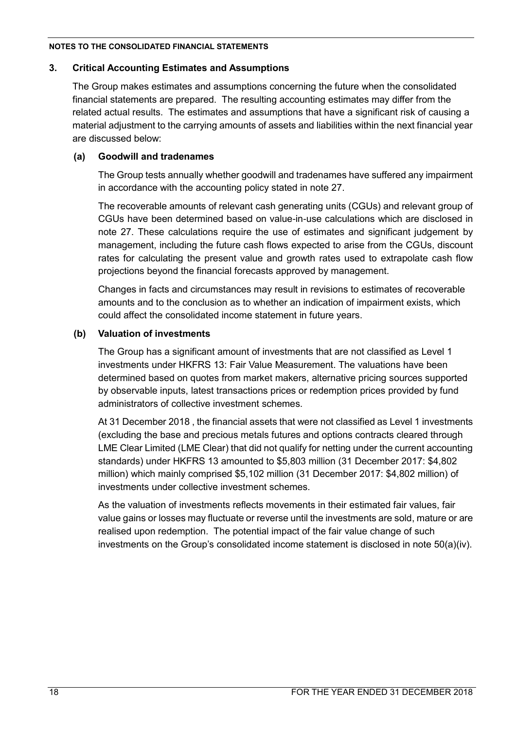#### **3. Critical Accounting Estimates and Assumptions**

The Group makes estimates and assumptions concerning the future when the consolidated financial statements are prepared. The resulting accounting estimates may differ from the related actual results. The estimates and assumptions that have a significant risk of causing a material adjustment to the carrying amounts of assets and liabilities within the next financial year are discussed below:

## **(a) Goodwill and tradenames**

The Group tests annually whether goodwill and tradenames have suffered any impairment in accordance with the accounting policy stated in note 27.

The recoverable amounts of relevant cash generating units (CGUs) and relevant group of CGUs have been determined based on value-in-use calculations which are disclosed in note 27. These calculations require the use of estimates and significant judgement by management, including the future cash flows expected to arise from the CGUs, discount rates for calculating the present value and growth rates used to extrapolate cash flow projections beyond the financial forecasts approved by management.

Changes in facts and circumstances may result in revisions to estimates of recoverable amounts and to the conclusion as to whether an indication of impairment exists, which could affect the consolidated income statement in future years.

## **(b) Valuation of investments**

The Group has a significant amount of investments that are not classified as Level 1 investments under HKFRS 13: Fair Value Measurement. The valuations have been determined based on quotes from market makers, alternative pricing sources supported by observable inputs, latest transactions prices or redemption prices provided by fund administrators of collective investment schemes.

At 31 December 2018 , the financial assets that were not classified as Level 1 investments (excluding the base and precious metals futures and options contracts cleared through LME Clear Limited (LME Clear) that did not qualify for netting under the current accounting standards) under HKFRS 13 amounted to \$5,803 million (31 December 2017: \$4,802 million) which mainly comprised \$5,102 million (31 December 2017: \$4,802 million) of investments under collective investment schemes.

As the valuation of investments reflects movements in their estimated fair values, fair value gains or losses may fluctuate or reverse until the investments are sold, mature or are realised upon redemption. The potential impact of the fair value change of such investments on the Group's consolidated income statement is disclosed in note 50(a)(iv).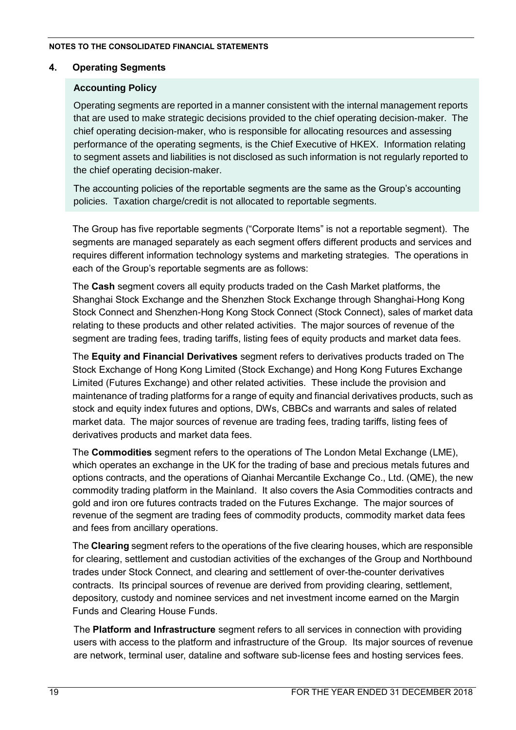## **4. Operating Segments**

## **Accounting Policy**

Operating segments are reported in a manner consistent with the internal management reports that are used to make strategic decisions provided to the chief operating decision-maker. The chief operating decision-maker, who is responsible for allocating resources and assessing performance of the operating segments, is the Chief Executive of HKEX. Information relating to segment assets and liabilities is not disclosed as such information is not regularly reported to the chief operating decision-maker.

The accounting policies of the reportable segments are the same as the Group's accounting policies. Taxation charge/credit is not allocated to reportable segments.

The Group has five reportable segments ("Corporate Items" is not a reportable segment). The segments are managed separately as each segment offers different products and services and requires different information technology systems and marketing strategies. The operations in each of the Group's reportable segments are as follows:

The **Cash** segment covers all equity products traded on the Cash Market platforms, the Shanghai Stock Exchange and the Shenzhen Stock Exchange through Shanghai-Hong Kong Stock Connect and Shenzhen-Hong Kong Stock Connect (Stock Connect), sales of market data relating to these products and other related activities. The major sources of revenue of the segment are trading fees, trading tariffs, listing fees of equity products and market data fees.

The **Equity and Financial Derivatives** segment refers to derivatives products traded on The Stock Exchange of Hong Kong Limited (Stock Exchange) and Hong Kong Futures Exchange Limited (Futures Exchange) and other related activities. These include the provision and maintenance of trading platforms for a range of equity and financial derivatives products, such as stock and equity index futures and options, DWs, CBBCs and warrants and sales of related market data. The major sources of revenue are trading fees, trading tariffs, listing fees of derivatives products and market data fees.

The **Commodities** segment refers to the operations of The London Metal Exchange (LME), which operates an exchange in the UK for the trading of base and precious metals futures and options contracts, and the operations of Qianhai Mercantile Exchange Co., Ltd. (QME), the new commodity trading platform in the Mainland. It also covers the Asia Commodities contracts and gold and iron ore futures contracts traded on the Futures Exchange. The major sources of revenue of the segment are trading fees of commodity products, commodity market data fees and fees from ancillary operations.

The **Clearing** segment refers to the operations of the five clearing houses, which are responsible for clearing, settlement and custodian activities of the exchanges of the Group and Northbound trades under Stock Connect, and clearing and settlement of over-the-counter derivatives contracts. Its principal sources of revenue are derived from providing clearing, settlement, depository, custody and nominee services and net investment income earned on the Margin Funds and Clearing House Funds.

The **Platform and Infrastructure** segment refers to all services in connection with providing users with access to the platform and infrastructure of the Group. Its major sources of revenue are network, terminal user, dataline and software sub-license fees and hosting services fees.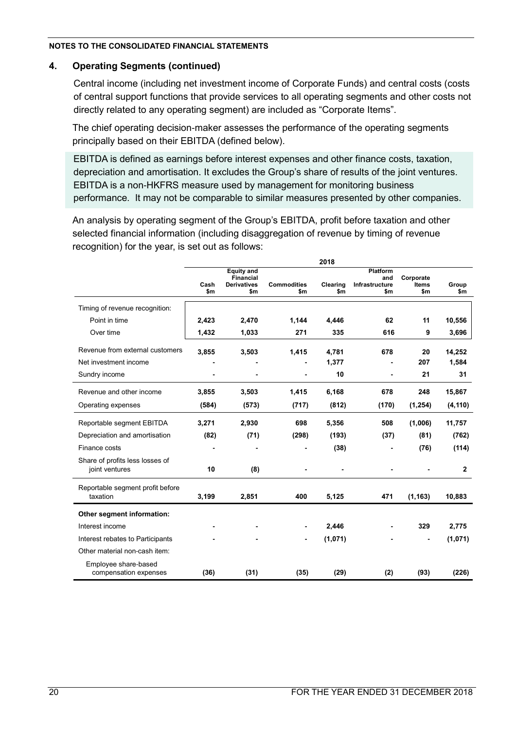## **4. Operating Segments (continued)**

Central income (including net investment income of Corporate Funds) and central costs (costs of central support functions that provide services to all operating segments and other costs not directly related to any operating segment) are included as "Corporate Items".

The chief operating decision-maker assesses the performance of the operating segments principally based on their EBITDA (defined below).

EBITDA is defined as earnings before interest expenses and other finance costs, taxation, depreciation and amortisation. It excludes the Group's share of results of the joint ventures. EBITDA is a non-HKFRS measure used by management for monitoring business performance. It may not be comparable to similar measures presented by other companies.

An analysis by operating segment of the Group's EBITDA, profit before taxation and other selected financial information (including disaggregation of revenue by timing of revenue recognition) for the year, is set out as follows:

|                                                   |             |                                                                    |                           | 2018            |                                                 |                                  |              |
|---------------------------------------------------|-------------|--------------------------------------------------------------------|---------------------------|-----------------|-------------------------------------------------|----------------------------------|--------------|
|                                                   | Cash<br>\$m | <b>Equity and</b><br><b>Financial</b><br><b>Derivatives</b><br>\$m | <b>Commodities</b><br>\$m | Clearing<br>\$m | <b>Platform</b><br>and<br>Infrastructure<br>\$m | Corporate<br><b>Items</b><br>\$m | Group<br>\$m |
| Timing of revenue recognition:                    |             |                                                                    |                           |                 |                                                 |                                  |              |
| Point in time                                     | 2,423       | 2,470                                                              | 1,144                     | 4,446           | 62                                              | 11                               | 10,556       |
| Over time                                         | 1,432       | 1,033                                                              | 271                       | 335             | 616                                             | 9                                | 3,696        |
| Revenue from external customers                   | 3,855       | 3,503                                                              | 1,415                     | 4,781           | 678                                             | 20                               | 14,252       |
| Net investment income                             |             |                                                                    |                           | 1,377           |                                                 | 207                              | 1,584        |
| Sundry income                                     |             |                                                                    |                           | 10              | $\overline{a}$                                  | 21                               | 31           |
| Revenue and other income                          | 3,855       | 3,503                                                              | 1.415                     | 6,168           | 678                                             | 248                              | 15,867       |
| Operating expenses                                | (584)       | (573)                                                              | (717)                     | (812)           | (170)                                           | (1, 254)                         | (4, 110)     |
| Reportable segment EBITDA                         | 3,271       | 2,930                                                              | 698                       | 5,356           | 508                                             | (1,006)                          | 11,757       |
| Depreciation and amortisation                     | (82)        | (71)                                                               | (298)                     | (193)           | (37)                                            | (81)                             | (762)        |
| Finance costs                                     |             |                                                                    |                           | (38)            |                                                 | (76)                             | (114)        |
| Share of profits less losses of<br>joint ventures | 10          | (8)                                                                |                           |                 |                                                 |                                  | $\mathbf{2}$ |
| Reportable segment profit before<br>taxation      | 3,199       | 2,851                                                              | 400                       | 5,125           | 471                                             | (1, 163)                         | 10,883       |
| Other segment information:                        |             |                                                                    |                           |                 |                                                 |                                  |              |
| Interest income                                   |             |                                                                    |                           | 2,446           |                                                 | 329                              | 2,775        |
| Interest rebates to Participants                  |             |                                                                    |                           | (1,071)         |                                                 |                                  | (1,071)      |
| Other material non-cash item:                     |             |                                                                    |                           |                 |                                                 |                                  |              |
| Employee share-based<br>compensation expenses     | (36)        | (31)                                                               | (35)                      | (29)            | (2)                                             | (93)                             | (226)        |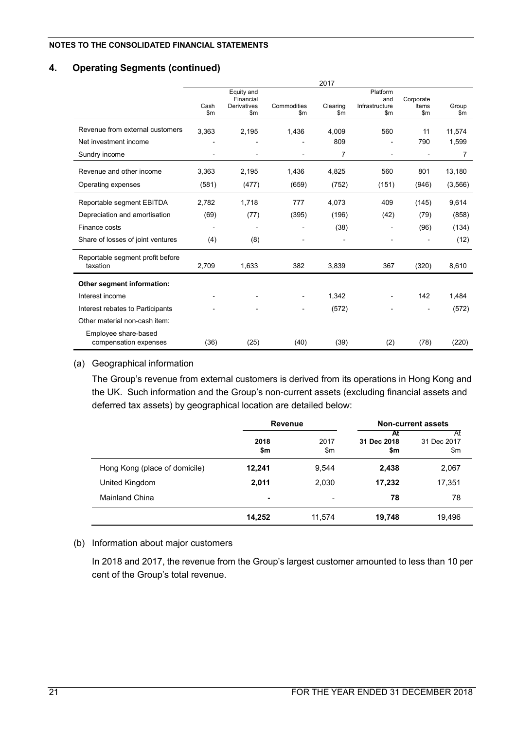### **4. Operating Segments (continued)**

|                                               | 2017                     |                                                         |                              |                 |                                                     |                                     |                        |
|-----------------------------------------------|--------------------------|---------------------------------------------------------|------------------------------|-----------------|-----------------------------------------------------|-------------------------------------|------------------------|
|                                               | Cash<br>$\mathsf{Sm}$    | Equity and<br>Financial<br>Derivatives<br>$\mathsf{Sm}$ | Commodities<br>$\mathsf{Sm}$ | Clearing<br>\$m | Platform<br>and<br>Infrastructure<br>$\mathsf{S}$ m | Corporate<br>Items<br>$\mathsf{Sm}$ | Group<br>$\mathsf{Sm}$ |
| Revenue from external customers               | 3,363                    | 2,195                                                   | 1,436                        | 4,009           | 560                                                 | 11                                  | 11,574                 |
| Net investment income                         |                          |                                                         |                              | 809             |                                                     | 790                                 | 1,599                  |
| Sundry income                                 |                          |                                                         |                              | 7               | $\blacksquare$                                      | $\blacksquare$                      | 7                      |
| Revenue and other income                      | 3,363                    | 2,195                                                   | 1,436                        | 4,825           | 560                                                 | 801                                 | 13,180                 |
| Operating expenses                            | (581)                    | (477)                                                   | (659)                        | (752)           | (151)                                               | (946)                               | (3,566)                |
| Reportable segment EBITDA                     | 2,782                    | 1,718                                                   | 777                          | 4,073           | 409                                                 | (145)                               | 9,614                  |
| Depreciation and amortisation                 | (69)                     | (77)                                                    | (395)                        | (196)           | (42)                                                | (79)                                | (858)                  |
| Finance costs                                 | $\overline{\phantom{a}}$ |                                                         |                              | (38)            |                                                     | (96)                                | (134)                  |
| Share of losses of joint ventures             | (4)                      | (8)                                                     |                              |                 |                                                     |                                     | (12)                   |
| Reportable segment profit before<br>taxation  | 2,709                    | 1,633                                                   | 382                          | 3,839           | 367                                                 | (320)                               | 8,610                  |
| Other segment information:                    |                          |                                                         |                              |                 |                                                     |                                     |                        |
| Interest income                               |                          |                                                         |                              | 1,342           |                                                     | 142                                 | 1.484                  |
| Interest rebates to Participants              |                          |                                                         |                              | (572)           |                                                     |                                     | (572)                  |
| Other material non-cash item:                 |                          |                                                         |                              |                 |                                                     |                                     |                        |
| Employee share-based<br>compensation expenses | (36)                     | (25)                                                    | (40)                         | (39)            | (2)                                                 | (78)                                | (220)                  |

#### (a) Geographical information

The Group's revenue from external customers is derived from its operations in Hong Kong and the UK. Such information and the Group's non-current assets (excluding financial assets and deferred tax assets) by geographical location are detailed below:

|                               | <b>Revenue</b> |                       |                          | <b>Non-current assets</b> |
|-------------------------------|----------------|-----------------------|--------------------------|---------------------------|
|                               | 2018<br>\$m    | 2017<br>$\mathsf{Sm}$ | At<br>31 Dec 2018<br>\$m | At<br>31 Dec 2017<br>\$m  |
| Hong Kong (place of domicile) | 12,241         | 9,544                 | 2,438                    | 2,067                     |
| United Kingdom                | 2,011          | 2,030                 | 17,232                   | 17,351                    |
| Mainland China                | ۰              | ٠                     | 78                       | 78                        |
|                               | 14,252         | 11,574                | 19,748                   | 19,496                    |

#### (b) Information about major customers

In 2018 and 2017, the revenue from the Group's largest customer amounted to less than 10 per cent of the Group's total revenue.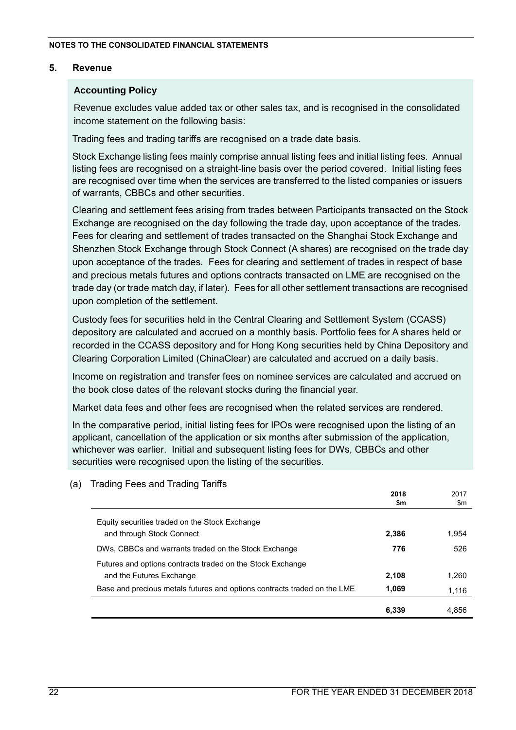#### **5. Revenue**

### **Accounting Policy**

Revenue excludes value added tax or other sales tax, and is recognised in the consolidated income statement on the following basis:

Trading fees and trading tariffs are recognised on a trade date basis.

Stock Exchange listing fees mainly comprise annual listing fees and initial listing fees. Annual listing fees are recognised on a straight-line basis over the period covered. Initial listing fees are recognised over time when the services are transferred to the listed companies or issuers of warrants, CBBCs and other securities.

Clearing and settlement fees arising from trades between Participants transacted on the Stock Exchange are recognised on the day following the trade day, upon acceptance of the trades. Fees for clearing and settlement of trades transacted on the Shanghai Stock Exchange and Shenzhen Stock Exchange through Stock Connect (A shares) are recognised on the trade day upon acceptance of the trades. Fees for clearing and settlement of trades in respect of base and precious metals futures and options contracts transacted on LME are recognised on the trade day (or trade match day, if later). Fees for all other settlement transactions are recognised upon completion of the settlement.

Custody fees for securities held in the Central Clearing and Settlement System (CCASS) depository are calculated and accrued on a monthly basis. Portfolio fees for A shares held or recorded in the CCASS depository and for Hong Kong securities held by China Depository and Clearing Corporation Limited (ChinaClear) are calculated and accrued on a daily basis.

Income on registration and transfer fees on nominee services are calculated and accrued on the book close dates of the relevant stocks during the financial year.

Market data fees and other fees are recognised when the related services are rendered.

In the comparative period, initial listing fees for IPOs were recognised upon the listing of an applicant, cancellation of the application or six months after submission of the application, whichever was earlier. Initial and subsequent listing fees for DWs, CBBCs and other securities were recognised upon the listing of the securities.

|                                                                          | \$m   | \$m   |
|--------------------------------------------------------------------------|-------|-------|
| Equity securities traded on the Stock Exchange                           |       |       |
| and through Stock Connect                                                | 2,386 | 1,954 |
| DWs, CBBCs and warrants traded on the Stock Exchange                     | 776   | 526   |
| Futures and options contracts traded on the Stock Exchange               |       |       |
| and the Futures Exchange                                                 | 2.108 | 1.260 |
| Base and precious metals futures and options contracts traded on the LME | 1.069 | 1,116 |
|                                                                          | 6.339 | 4.856 |

(a) Trading Fees and Trading Tariffs

**2018**

2017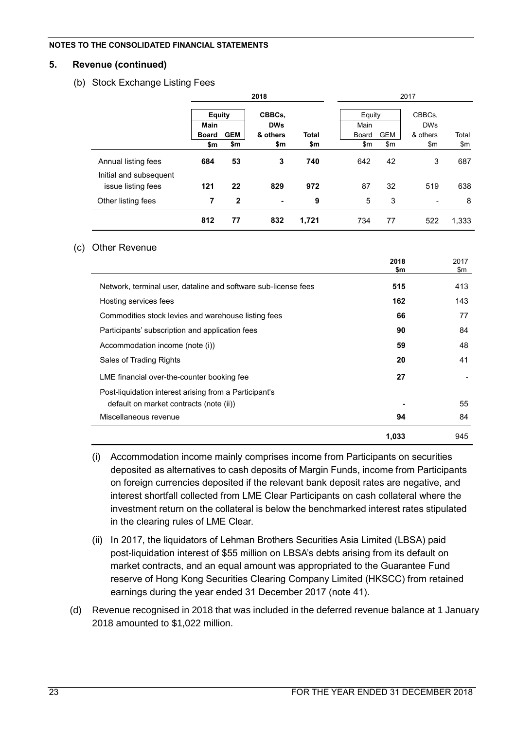#### **5. Revenue (continued)**

#### (b) Stock Exchange Listing Fees

|                        |               |              | 2018           |              | 2017   |            |            |       |
|------------------------|---------------|--------------|----------------|--------------|--------|------------|------------|-------|
|                        | <b>Equity</b> |              | CBBCs,         |              | Equity |            | CBBCs.     |       |
|                        | Main          |              | <b>DWs</b>     |              | Main   |            | <b>DWs</b> |       |
|                        | <b>Board</b>  | <b>GEM</b>   | & others       | <b>Total</b> | Board  | <b>GEM</b> | & others   | Total |
|                        | \$m           | \$m          | \$m            | \$m          | \$m\$  | \$m\$      | \$m        | \$m   |
| Annual listing fees    | 684           | 53           | 3              | 740          | 642    | 42         | 3          | 687   |
| Initial and subsequent |               |              |                |              |        |            |            |       |
| issue listing fees     | 121           | 22           | 829            | 972          | 87     | 32         | 519        | 638   |
| Other listing fees     | 7             | $\mathbf{2}$ | $\blacksquare$ | 9            | 5      | 3          | ٠          | 8     |
|                        | 812           | 77           | 832            | 1,721        | 734    | 77         | 522        | 1,333 |

#### (c) Other Revenue

|                                                                                                   | 2018<br>\$m | 2017<br>\$m |
|---------------------------------------------------------------------------------------------------|-------------|-------------|
| Network, terminal user, dataline and software sub-license fees                                    | 515         | 413         |
| Hosting services fees                                                                             | 162         | 143         |
| Commodities stock levies and warehouse listing fees                                               | 66          | 77          |
| Participants' subscription and application fees                                                   | 90          | 84          |
| Accommodation income (note (i))                                                                   | 59          | 48          |
| Sales of Trading Rights                                                                           | 20          | 41          |
| LME financial over-the-counter booking fee                                                        | 27          |             |
| Post-liquidation interest arising from a Participant's<br>default on market contracts (note (ii)) |             | 55          |
| Miscellaneous revenue                                                                             | 94          | 84          |
|                                                                                                   | 1,033       | 945         |

- (i) Accommodation income mainly comprises income from Participants on securities deposited as alternatives to cash deposits of Margin Funds, income from Participants on foreign currencies deposited if the relevant bank deposit rates are negative, and interest shortfall collected from LME Clear Participants on cash collateral where the investment return on the collateral is below the benchmarked interest rates stipulated in the clearing rules of LME Clear.
- (ii) In 2017, the liquidators of Lehman Brothers Securities Asia Limited (LBSA) paid post-liquidation interest of \$55 million on LBSA's debts arising from its default on market contracts, and an equal amount was appropriated to the Guarantee Fund reserve of Hong Kong Securities Clearing Company Limited (HKSCC) from retained earnings during the year ended 31 December 2017 (note 41).
- (d) Revenue recognised in 2018 that was included in the deferred revenue balance at 1 January 2018 amounted to \$1,022 million.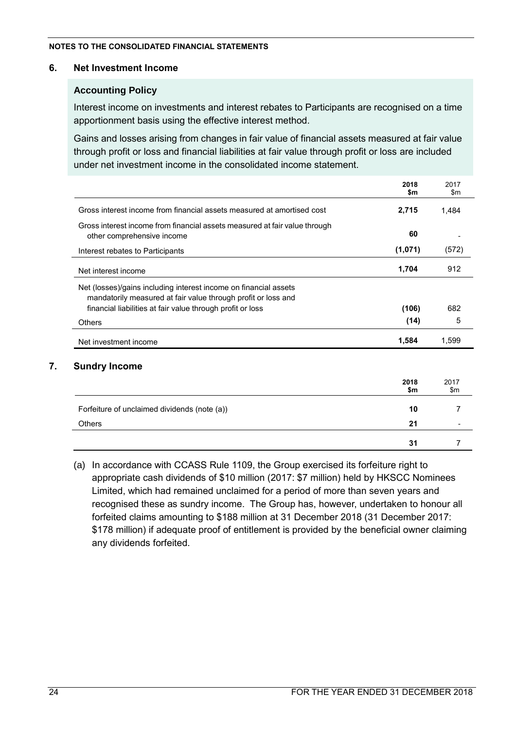## **6. Net Investment Income**

## **Accounting Policy**

Interest income on investments and interest rebates to Participants are recognised on a time apportionment basis using the effective interest method.

Gains and losses arising from changes in fair value of financial assets measured at fair value through profit or loss and financial liabilities at fair value through profit or loss are included under net investment income in the consolidated income statement.

|                                                                                                          | 2018<br>\$m | 2017<br>\$m |
|----------------------------------------------------------------------------------------------------------|-------------|-------------|
| Gross interest income from financial assets measured at amortised cost                                   | 2,715       | 1,484       |
| Gross interest income from financial assets measured at fair value through<br>other comprehensive income | 60          |             |
| Interest rebates to Participants                                                                         | (1,071)     | (572)       |
| Net interest income                                                                                      | 1,704       | 912         |
| Net (losses)/gains including interest income on financial assets                                         |             |             |
| mandatorily measured at fair value through profit or loss and                                            |             |             |
| financial liabilities at fair value through profit or loss                                               | (106)       | 682         |
| Others                                                                                                   | (14)        | 5           |
| Net investment income                                                                                    | 1,584       | 1,599       |
| <b>Sundry Income</b>                                                                                     |             |             |
|                                                                                                          |             |             |
|                                                                                                          | 2018<br>\$m | 2017<br>\$m |
|                                                                                                          |             |             |
| Forfeiture of unclaimed dividends (note (a))                                                             | 10          |             |
| Others                                                                                                   | 21          |             |

(a) In accordance with CCASS Rule 1109, the Group exercised its forfeiture right to appropriate cash dividends of \$10 million (2017: \$7 million) held by HKSCC Nominees Limited, which had remained unclaimed for a period of more than seven years and recognised these as sundry income. The Group has, however, undertaken to honour all forfeited claims amounting to \$188 million at 31 December 2018 (31 December 2017: \$178 million) if adequate proof of entitlement is provided by the beneficial owner claiming any dividends forfeited.

**31** 7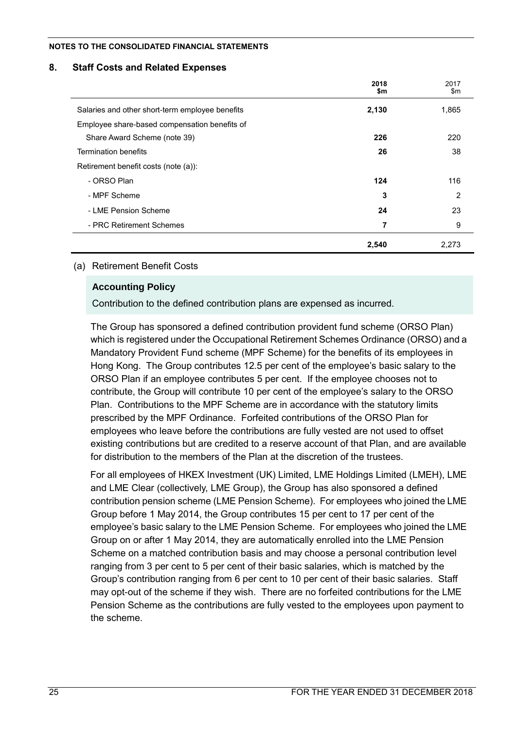#### **8. Staff Costs and Related Expenses**

|                                                 | 2018<br>\$m | 2017<br>\$m |
|-------------------------------------------------|-------------|-------------|
| Salaries and other short-term employee benefits | 2,130       | 1,865       |
| Employee share-based compensation benefits of   |             |             |
| Share Award Scheme (note 39)                    | 226         | 220         |
| <b>Termination benefits</b>                     | 26          | 38          |
| Retirement benefit costs (note (a)):            |             |             |
| - ORSO Plan                                     | 124         | 116         |
| - MPF Scheme                                    | 3           | 2           |
| - LME Pension Scheme                            | 24          | 23          |
| - PRC Retirement Schemes                        | 7           | 9           |
|                                                 | 2,540       | 2,273       |

#### (a) Retirement Benefit Costs

### **Accounting Policy**

Contribution to the defined contribution plans are expensed as incurred.

The Group has sponsored a defined contribution provident fund scheme (ORSO Plan) which is registered under the Occupational Retirement Schemes Ordinance (ORSO) and a Mandatory Provident Fund scheme (MPF Scheme) for the benefits of its employees in Hong Kong. The Group contributes 12.5 per cent of the employee's basic salary to the ORSO Plan if an employee contributes 5 per cent. If the employee chooses not to contribute, the Group will contribute 10 per cent of the employee's salary to the ORSO Plan. Contributions to the MPF Scheme are in accordance with the statutory limits prescribed by the MPF Ordinance. Forfeited contributions of the ORSO Plan for employees who leave before the contributions are fully vested are not used to offset existing contributions but are credited to a reserve account of that Plan, and are available for distribution to the members of the Plan at the discretion of the trustees.

For all employees of HKEX Investment (UK) Limited, LME Holdings Limited (LMEH), LME and LME Clear (collectively, LME Group), the Group has also sponsored a defined contribution pension scheme (LME Pension Scheme). For employees who joined the LME Group before 1 May 2014, the Group contributes 15 per cent to 17 per cent of the employee's basic salary to the LME Pension Scheme. For employees who joined the LME Group on or after 1 May 2014, they are automatically enrolled into the LME Pension Scheme on a matched contribution basis and may choose a personal contribution level ranging from 3 per cent to 5 per cent of their basic salaries, which is matched by the Group's contribution ranging from 6 per cent to 10 per cent of their basic salaries. Staff may opt-out of the scheme if they wish. There are no forfeited contributions for the LME Pension Scheme as the contributions are fully vested to the employees upon payment to the scheme.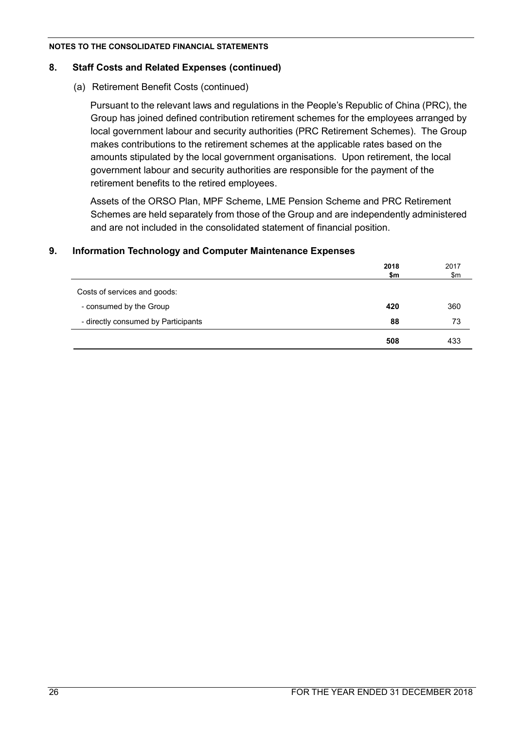#### **8. Staff Costs and Related Expenses (continued)**

### (a) Retirement Benefit Costs (continued)

Pursuant to the relevant laws and regulations in the People's Republic of China (PRC), the Group has joined defined contribution retirement schemes for the employees arranged by local government labour and security authorities (PRC Retirement Schemes). The Group makes contributions to the retirement schemes at the applicable rates based on the amounts stipulated by the local government organisations. Upon retirement, the local government labour and security authorities are responsible for the payment of the retirement benefits to the retired employees.

Assets of the ORSO Plan, MPF Scheme, LME Pension Scheme and PRC Retirement Schemes are held separately from those of the Group and are independently administered and are not included in the consolidated statement of financial position.

|                                     | 2018 | 2017 |
|-------------------------------------|------|------|
|                                     | \$m  | \$m  |
| Costs of services and goods:        |      |      |
| - consumed by the Group             | 420  | 360  |
| - directly consumed by Participants | 88   | 73   |
|                                     | 508  | 433  |

### **9. Information Technology and Computer Maintenance Expenses**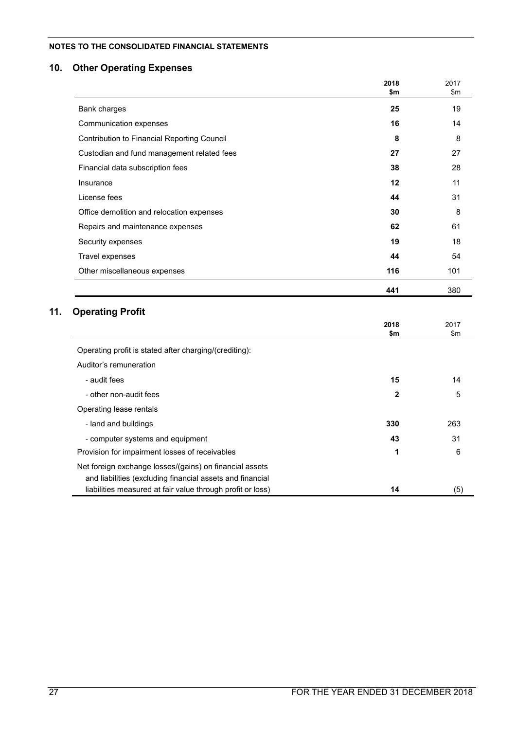## **10. Other Operating Expenses**

|                                                                                                                      | 2018<br>\$m  | 2017<br>$\mathsf{Sm}$ |
|----------------------------------------------------------------------------------------------------------------------|--------------|-----------------------|
| Bank charges                                                                                                         | 25           | 19                    |
| Communication expenses                                                                                               | 16           | 14                    |
| Contribution to Financial Reporting Council                                                                          | 8            | 8                     |
| Custodian and fund management related fees                                                                           | 27           | 27                    |
| Financial data subscription fees                                                                                     | 38           | 28                    |
| Insurance                                                                                                            | 12           | 11                    |
| License fees                                                                                                         | 44           | 31                    |
| Office demolition and relocation expenses                                                                            | 30           | 8                     |
| Repairs and maintenance expenses                                                                                     | 62           | 61                    |
| Security expenses                                                                                                    | 19           | 18                    |
| Travel expenses                                                                                                      | 44           | 54                    |
| Other miscellaneous expenses                                                                                         | 116          | 101                   |
|                                                                                                                      | 441          | 380                   |
| <b>Operating Profit</b>                                                                                              |              |                       |
|                                                                                                                      | 2018<br>\$m  | 2017<br>\$m           |
| Operating profit is stated after charging/(crediting):                                                               |              |                       |
| Auditor's remuneration                                                                                               |              |                       |
| - audit fees                                                                                                         | 15           | 14                    |
| - other non-audit fees                                                                                               | $\mathbf{2}$ | 5                     |
| Operating lease rentals                                                                                              |              |                       |
| - land and buildings                                                                                                 | 330          | 263                   |
| - computer systems and equipment                                                                                     | 43           | 31                    |
| Provision for impairment losses of receivables                                                                       | 1            | 6                     |
| Net foreign exchange losses/(gains) on financial assets<br>and liabilities (excluding financial assets and financial |              |                       |
| liabilities measured at fair value through profit or loss)                                                           | 14           | (5)                   |

 $11.$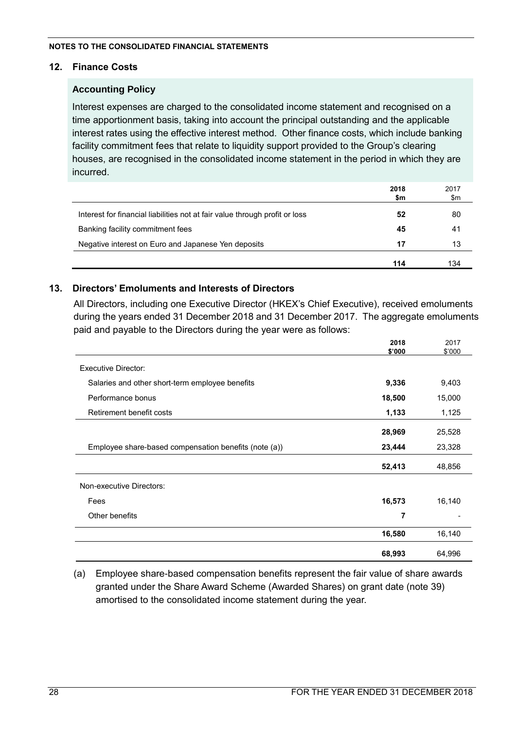## **12. Finance Costs**

## **Accounting Policy**

Interest expenses are charged to the consolidated income statement and recognised on a time apportionment basis, taking into account the principal outstanding and the applicable interest rates using the effective interest method. Other finance costs, which include banking facility commitment fees that relate to liquidity support provided to the Group's clearing houses, are recognised in the consolidated income statement in the period in which they are incurred.

|                                                                             | 2018<br>\$m | 2017<br>\$m |
|-----------------------------------------------------------------------------|-------------|-------------|
| Interest for financial liabilities not at fair value through profit or loss | 52          | 80          |
| Banking facility commitment fees                                            | 45          | 41          |
| Negative interest on Euro and Japanese Yen deposits                         | 17          | 13          |
|                                                                             | 114         | 134         |

## **13. Directors' Emoluments and Interests of Directors**

All Directors, including one Executive Director (HKEX's Chief Executive), received emoluments during the years ended 31 December 2018 and 31 December 2017. The aggregate emoluments paid and payable to the Directors during the year were as follows:

|                                                       | 2018   | 2017   |
|-------------------------------------------------------|--------|--------|
|                                                       | \$'000 | \$'000 |
| <b>Executive Director:</b>                            |        |        |
| Salaries and other short-term employee benefits       | 9,336  | 9,403  |
| Performance bonus                                     | 18,500 | 15,000 |
| Retirement benefit costs                              | 1,133  | 1,125  |
|                                                       | 28,969 | 25,528 |
| Employee share-based compensation benefits (note (a)) | 23,444 | 23,328 |
|                                                       | 52,413 | 48,856 |
| Non-executive Directors:                              |        |        |
| Fees                                                  | 16,573 | 16,140 |
| Other benefits                                        | 7      |        |
|                                                       | 16,580 | 16,140 |
|                                                       | 68,993 | 64,996 |

(a) Employee share-based compensation benefits represent the fair value of share awards granted under the Share Award Scheme (Awarded Shares) on grant date (note 39) amortised to the consolidated income statement during the year.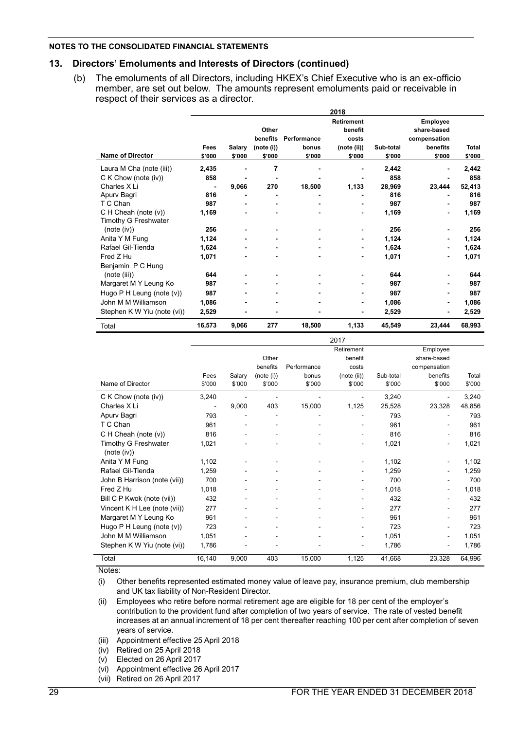#### **13. Directors' Emoluments and Interests of Directors (continued)**

(b) The emoluments of all Directors, including HKEX's Chief Executive who is an ex-officio member, are set out below. The amounts represent emoluments paid or receivable in respect of their services as a director.

|                             |        |        |            |             | 2018              |           |                |              |
|-----------------------------|--------|--------|------------|-------------|-------------------|-----------|----------------|--------------|
|                             |        |        |            |             | <b>Retirement</b> |           | Employee       |              |
|                             |        |        | Other      |             | benefit           |           | share-based    |              |
|                             |        |        | benefits   | Performance | costs             |           | compensation   |              |
|                             | Fees   | Salary | (note (i)) | bonus       | (note (ii))       | Sub-total | benefits       | <b>Total</b> |
| <b>Name of Director</b>     | \$'000 | \$'000 | \$'000     | \$'000      | \$'000            | \$'000    | \$'000         | \$'000       |
| Laura M Cha (note (iii))    | 2,435  |        | 7          |             |                   | 2,442     |                | 2,442        |
| $C$ K Chow (note (iv))      | 858    |        |            |             |                   | 858       |                | 858          |
| Charles X Li                |        | 9,066  | 270        | 18,500      | 1,133             | 28,969    | 23,444         | 52,413       |
| Apury Bagri                 | 816    |        |            |             |                   | 816       |                | 816          |
| T C Chan                    | 987    |        |            |             |                   | 987       |                | 987          |
| C H Cheah (note (v))        | 1,169  |        |            |             |                   | 1,169     |                | 1,169        |
| Timothy G Freshwater        |        |        |            |             |                   |           |                |              |
| (note (iv))                 | 256    |        |            |             |                   | 256       |                | 256          |
| Anita Y M Fung              | 1,124  |        |            |             | $\blacksquare$    | 1,124     |                | 1,124        |
| Rafael Gil-Tienda           | 1,624  |        |            |             | ٠                 | 1,624     |                | 1,624        |
| Fred Z Hu                   | 1,071  |        |            |             |                   | 1,071     | ٠              | 1,071        |
| Benjamin P C Hung           |        |        |            |             |                   |           |                |              |
| (note (iii))                | 644    |        |            |             |                   | 644       |                | 644          |
| Margaret M Y Leung Ko       | 987    |        |            |             |                   | 987       |                | 987          |
| Hugo P H Leung (note (v))   | 987    |        |            |             |                   | 987       |                | 987          |
| John M M Williamson         | 1,086  |        |            |             | ٠                 | 1,086     | $\blacksquare$ | 1,086        |
| Stephen K W Yiu (note (vi)) | 2,529  |        |            |             |                   | 2,529     |                | 2,529        |
| Total                       | 16,573 | 9,066  | 277        | 18,500      | 1,133             | 45,549    | 23,444         | 68,993       |

|                                     |                          |        |            |             | 2017        |           |                |        |
|-------------------------------------|--------------------------|--------|------------|-------------|-------------|-----------|----------------|--------|
|                                     |                          |        |            |             | Retirement  |           | Employee       |        |
|                                     |                          |        | Other      |             | benefit     |           | share-based    |        |
|                                     |                          |        | benefits   | Performance | costs       |           | compensation   |        |
|                                     | Fees                     | Salary | (note (i)) | bonus       | (note (ii)) | Sub-total | benefits       | Total  |
| Name of Director                    | \$'000                   | \$'000 | \$'000     | \$'000      | \$'000      | \$'000    | \$'000         | \$'000 |
| C K Chow (note (iv))                | 3,240                    |        |            |             |             | 3,240     |                | 3,240  |
| Charles X Li                        | $\overline{\phantom{a}}$ | 9,000  | 403        | 15,000      | 1,125       | 25,528    | 23,328         | 48,856 |
| Apurv Bagri                         | 793                      |        |            |             |             | 793       |                | 793    |
| T C Chan                            | 961                      |        |            |             |             | 961       |                | 961    |
| C H Cheah (note (v))                | 816                      |        |            |             | -           | 816       | ۰              | 816    |
| Timothy G Freshwater<br>(note (iv)) | 1,021                    |        |            |             |             | 1,021     |                | 1,021  |
| Anita Y M Fung                      | 1,102                    |        |            |             |             | 1,102     |                | 1,102  |
| Rafael Gil-Tienda                   | 1,259                    |        |            |             |             | 1,259     |                | 1,259  |
| John B Harrison (note (vii))        | 700                      |        |            |             |             | 700       |                | 700    |
| Fred Z Hu                           | 1,018                    |        |            |             |             | 1,018     |                | 1,018  |
| Bill C P Kwok (note (vii))          | 432                      |        |            |             |             | 432       |                | 432    |
| Vincent K H Lee (note (vii))        | 277                      |        |            |             |             | 277       |                | 277    |
| Margaret M Y Leung Ko               | 961                      |        |            |             |             | 961       |                | 961    |
| Hugo $P$ H Leung (note $(v)$ )      | 723                      |        |            |             |             | 723       |                | 723    |
| John M M Williamson                 | 1,051                    |        |            |             | ٠           | 1,051     | $\blacksquare$ | 1,051  |
| Stephen K W Yiu (note (vi))         | 1.786                    |        |            |             | -           | 1,786     |                | 1,786  |
| Total                               | 16,140                   | 9,000  | 403        | 15,000      | 1,125       | 41,668    | 23.328         | 64,996 |

Notes:

(i) Other benefits represented estimated money value of leave pay, insurance premium, club membership and UK tax liability of Non-Resident Director.

(ii) Employees who retire before normal retirement age are eligible for 18 per cent of the employer's contribution to the provident fund after completion of two years of service. The rate of vested benefit increases at an annual increment of 18 per cent thereafter reaching 100 per cent after completion of seven years of service.

(iii) Appointment effective 25 April 2018

(iv) Retired on 25 April 2018

- (v) Elected on 26 April 2017
- (vi) Appointment effective 26 April 2017

(vii) Retired on 26 April 2017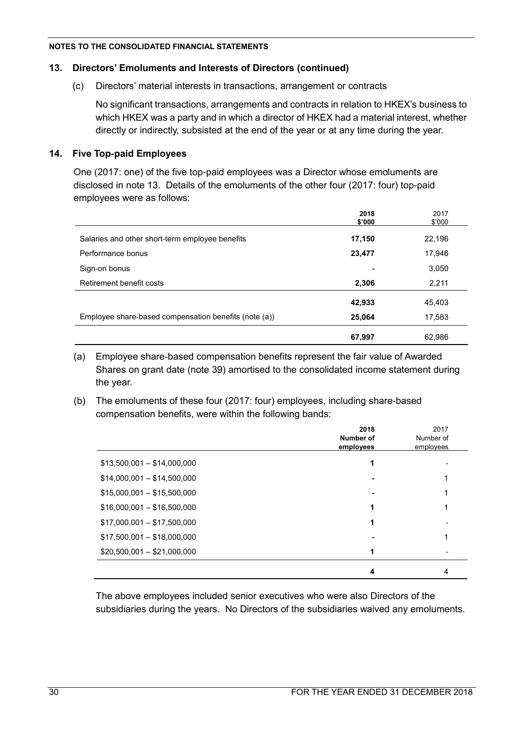## **13. Directors' Emoluments and Interests of Directors (continued)**

## (c) Directors' material interests in transactions, arrangement or contracts

No significant transactions, arrangements and contracts in relation to HKEX's business to which HKEX was a party and in which a director of HKEX had a material interest, whether directly or indirectly, subsisted at the end of the year or at any time during the year.

## **14. Five Top-paid Employees**

One (2017: one) of the five top-paid employees was a Director whose emoluments are disclosed in note 13. Details of the emoluments of the other four (2017: four) top-paid employees were as follows:

|                                                       | 2018<br>\$'000 | 2017<br>\$'000 |
|-------------------------------------------------------|----------------|----------------|
| Salaries and other short-term employee benefits       | 17,150         | 22,196         |
| Performance bonus                                     | 23,477         | 17,946         |
| Sign-on bonus                                         | ۰              | 3,050          |
| Retirement benefit costs                              | 2,306          | 2,211          |
|                                                       | 42,933         | 45,403         |
| Employee share-based compensation benefits (note (a)) | 25,064         | 17,583         |
|                                                       | 67,997         | 62.986         |

(a) Employee share-based compensation benefits represent the fair value of Awarded Shares on grant date (note 39) amortised to the consolidated income statement during the year.

(b) The emoluments of these four (2017: four) employees, including share-based compensation benefits, were within the following bands:

|                             | 2018<br>Number of<br>employees | 2017<br>Number of<br>employees |
|-----------------------------|--------------------------------|--------------------------------|
| $$13,500,001 - $14,000,000$ | 1                              |                                |
| $$14,000,001 - $14,500,000$ |                                |                                |
| $$15,000,001 - $15,500,000$ |                                |                                |
| $$16,000,001 - $16,500,000$ |                                |                                |
| $$17,000,001 - $17,500,000$ |                                |                                |
| $$17,500,001 - $18,000,000$ |                                |                                |
| $$20,500,001 - $21,000,000$ |                                |                                |
|                             | 4                              | 4                              |

The above employees included senior executives who were also Directors of the subsidiaries during the years. No Directors of the subsidiaries waived any emoluments.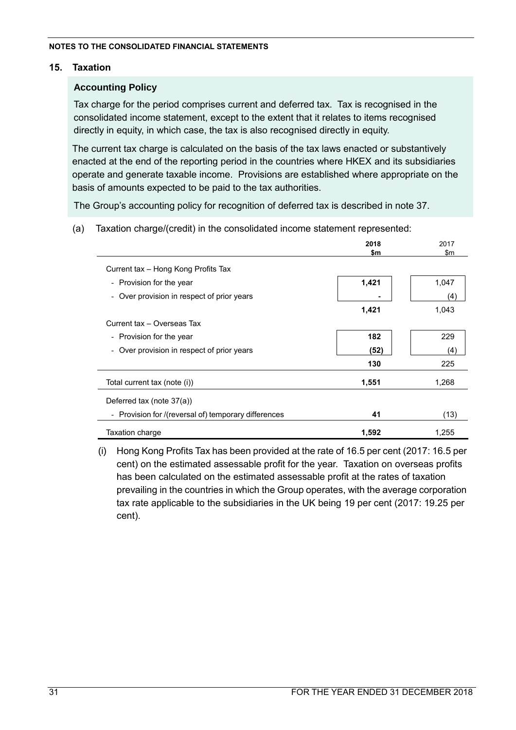## **15. Taxation**

## **Accounting Policy**

Tax charge for the period comprises current and deferred tax. Tax is recognised in the consolidated income statement, except to the extent that it relates to items recognised directly in equity, in which case, the tax is also recognised directly in equity.

The current tax charge is calculated on the basis of the tax laws enacted or substantively enacted at the end of the reporting period in the countries where HKEX and its subsidiaries operate and generate taxable income. Provisions are established where appropriate on the basis of amounts expected to be paid to the tax authorities.

The Group's accounting policy for recognition of deferred tax is described in note 37.

(a) Taxation charge/(credit) in the consolidated income statement represented:

|                                                                      | 2018  | 2017          |
|----------------------------------------------------------------------|-------|---------------|
|                                                                      | \$m   | $\mathsf{Sm}$ |
| Current tax - Hong Kong Profits Tax                                  |       |               |
| - Provision for the year                                             | 1,421 | 1,047         |
| - Over provision in respect of prior years                           |       | (4)           |
|                                                                      | 1,421 | 1,043         |
| Current tax - Overseas Tax                                           |       |               |
| - Provision for the year                                             | 182   | 229           |
| Over provision in respect of prior years<br>$\overline{\phantom{a}}$ | (52)  | (4)           |
|                                                                      | 130   | 225           |
| Total current tax (note (i))                                         | 1,551 | 1,268         |
| Deferred tax (note 37(a))                                            |       |               |
| - Provision for /(reversal of) temporary differences                 | 41    | (13)          |
| Taxation charge                                                      | 1,592 | 1,255         |

(i) Hong Kong Profits Tax has been provided at the rate of 16.5 per cent (2017: 16.5 per cent) on the estimated assessable profit for the year. Taxation on overseas profits has been calculated on the estimated assessable profit at the rates of taxation prevailing in the countries in which the Group operates, with the average corporation tax rate applicable to the subsidiaries in the UK being 19 per cent (2017: 19.25 per cent).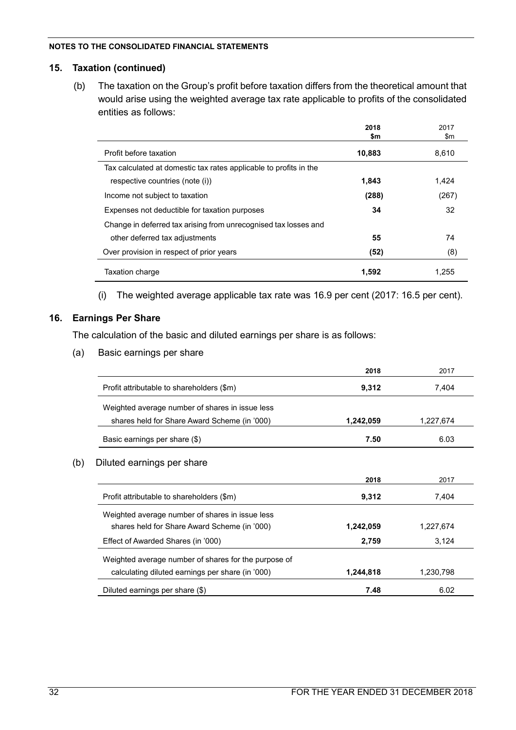#### **15. Taxation (continued)**

(b) The taxation on the Group's profit before taxation differs from the theoretical amount that would arise using the weighted average tax rate applicable to profits of the consolidated entities as follows:

|                                                                   | 2018   | 2017  |
|-------------------------------------------------------------------|--------|-------|
|                                                                   | \$m    | \$m   |
| Profit before taxation                                            | 10,883 | 8,610 |
| Tax calculated at domestic tax rates applicable to profits in the |        |       |
| respective countries (note (i))                                   | 1.843  | 1.424 |
| Income not subject to taxation                                    | (288)  | (267) |
| Expenses not deductible for taxation purposes                     | 34     | 32    |
| Change in deferred tax arising from unrecognised tax losses and   |        |       |
| other deferred tax adjustments                                    | 55     | 74    |
| Over provision in respect of prior years                          | (52)   | (8)   |
| Taxation charge                                                   | 1,592  | 1.255 |

(i) The weighted average applicable tax rate was 16.9 per cent (2017: 16.5 per cent).

## **16. Earnings Per Share**

The calculation of the basic and diluted earnings per share is as follows:

(a) Basic earnings per share

|                                                      | 2018      | 2017      |
|------------------------------------------------------|-----------|-----------|
| Profit attributable to shareholders (\$m)            | 9,312     | 7,404     |
| Weighted average number of shares in issue less      |           |           |
| shares held for Share Award Scheme (in '000)         | 1,242,059 | 1,227,674 |
| Basic earnings per share (\$)                        | 7.50      | 6.03      |
| Diluted earnings per share<br>(b)                    |           |           |
|                                                      | 2018      | 2017      |
| Profit attributable to shareholders (\$m)            | 9,312     | 7,404     |
| Weighted average number of shares in issue less      |           |           |
| shares held for Share Award Scheme (in '000)         | 1,242,059 | 1,227,674 |
| Effect of Awarded Shares (in '000)                   | 2,759     | 3,124     |
| Weighted average number of shares for the purpose of |           |           |
| calculating diluted earnings per share (in '000)     | 1,244,818 | 1,230,798 |
| Diluted earnings per share (\$)                      | 7.48      | 6.02      |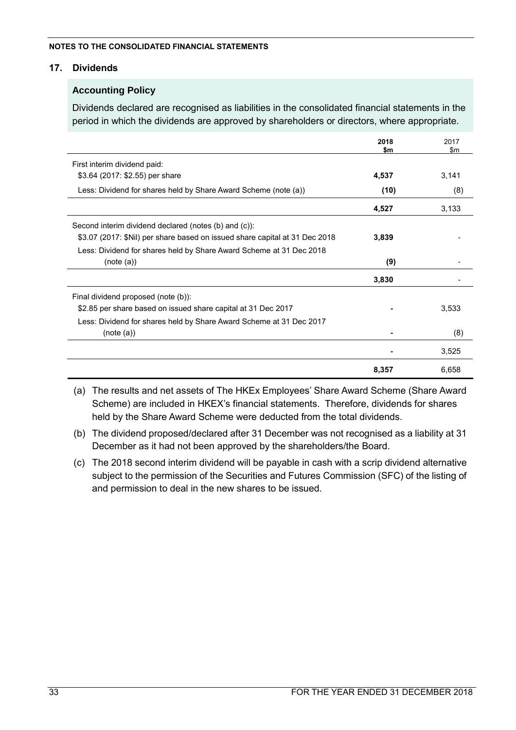### **17. Dividends**

## **Accounting Policy**

Dividends declared are recognised as liabilities in the consolidated financial statements in the period in which the dividends are approved by shareholders or directors, where appropriate.

|                                                                             | 2018<br>\$m | 2017<br>$\mathsf{S}$ m |
|-----------------------------------------------------------------------------|-------------|------------------------|
| First interim dividend paid:                                                |             |                        |
| \$3.64 (2017: \$2.55) per share                                             | 4,537       | 3,141                  |
| Less: Dividend for shares held by Share Award Scheme (note (a))             | (10)        | (8)                    |
|                                                                             | 4,527       | 3,133                  |
| Second interim dividend declared (notes (b) and (c)):                       |             |                        |
| \$3.07 (2017: \$Nil) per share based on issued share capital at 31 Dec 2018 | 3,839       |                        |
| Less: Dividend for shares held by Share Award Scheme at 31 Dec 2018         |             |                        |
| (note (a))                                                                  | (9)         |                        |
|                                                                             | 3,830       |                        |
| Final dividend proposed (note (b)):                                         |             |                        |
| \$2.85 per share based on issued share capital at 31 Dec 2017               |             | 3,533                  |
| Less: Dividend for shares held by Share Award Scheme at 31 Dec 2017         |             |                        |
| (note (a))                                                                  |             | (8)                    |
|                                                                             |             | 3,525                  |
|                                                                             | 8,357       | 6,658                  |

(a) The results and net assets of The HKEx Employees' Share Award Scheme (Share Award Scheme) are included in HKEX's financial statements. Therefore, dividends for shares held by the Share Award Scheme were deducted from the total dividends.

- (b) The dividend proposed/declared after 31 December was not recognised as a liability at 31 December as it had not been approved by the shareholders/the Board.
- (c) The 2018 second interim dividend will be payable in cash with a scrip dividend alternative subject to the permission of the Securities and Futures Commission (SFC) of the listing of and permission to deal in the new shares to be issued.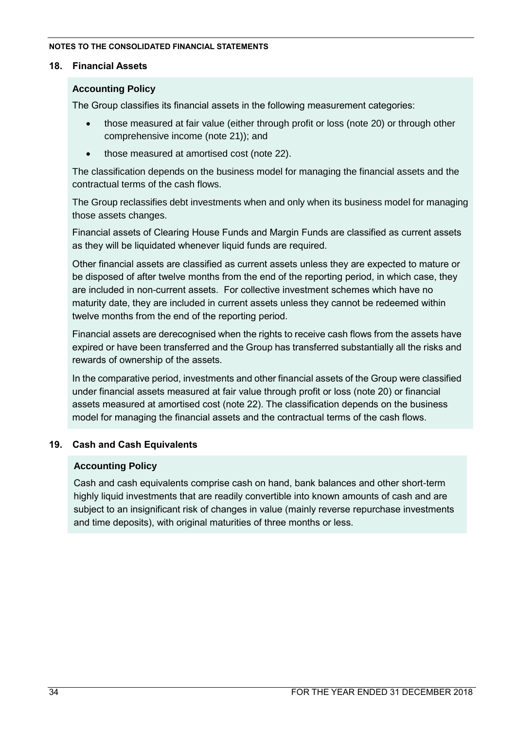## **18. Financial Assets**

## **Accounting Policy**

The Group classifies its financial assets in the following measurement categories:

- those measured at fair value (either through profit or loss (note 20) or through other comprehensive income (note 21)); and
- those measured at amortised cost (note 22).

The classification depends on the business model for managing the financial assets and the contractual terms of the cash flows.

The Group reclassifies debt investments when and only when its business model for managing those assets changes.

Financial assets of Clearing House Funds and Margin Funds are classified as current assets as they will be liquidated whenever liquid funds are required.

Other financial assets are classified as current assets unless they are expected to mature or be disposed of after twelve months from the end of the reporting period, in which case, they are included in non-current assets. For collective investment schemes which have no maturity date, they are included in current assets unless they cannot be redeemed within twelve months from the end of the reporting period.

Financial assets are derecognised when the rights to receive cash flows from the assets have expired or have been transferred and the Group has transferred substantially all the risks and rewards of ownership of the assets.

In the comparative period, investments and other financial assets of the Group were classified under financial assets measured at fair value through profit or loss (note 20) or financial assets measured at amortised cost (note 22). The classification depends on the business model for managing the financial assets and the contractual terms of the cash flows.

## **19. Cash and Cash Equivalents**

## **Accounting Policy**

Cash and cash equivalents comprise cash on hand, bank balances and other short-term highly liquid investments that are readily convertible into known amounts of cash and are subject to an insignificant risk of changes in value (mainly reverse repurchase investments and time deposits), with original maturities of three months or less.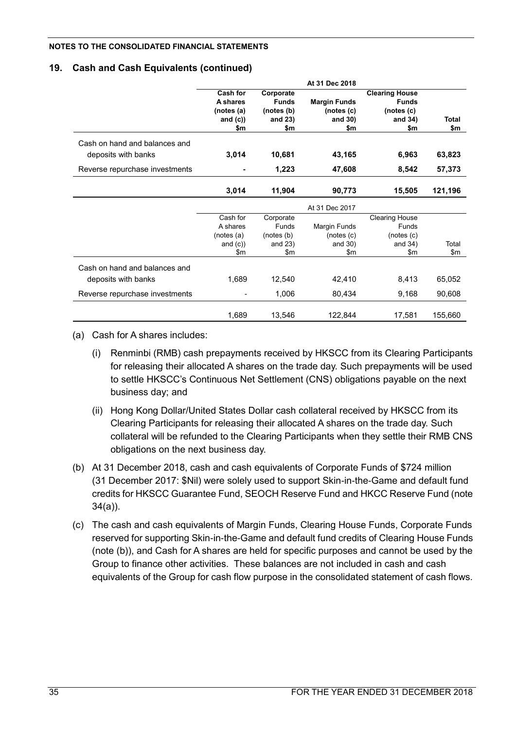## **19. Cash and Cash Equivalents (continued)**

|                                                      |                                                        |                                                           | At 31 Dec 2018                                      |                                                                       |                     |
|------------------------------------------------------|--------------------------------------------------------|-----------------------------------------------------------|-----------------------------------------------------|-----------------------------------------------------------------------|---------------------|
|                                                      | Cash for<br>A shares<br>(notes (a)<br>and $(c)$<br>\$m | Corporate<br><b>Funds</b><br>(notes (b)<br>and 23)<br>\$m | <b>Margin Funds</b><br>(notes (c)<br>and 30)<br>\$m | <b>Clearing House</b><br><b>Funds</b><br>(notes (c)<br>and 34)<br>\$m | <b>Total</b><br>\$m |
| Cash on hand and balances and<br>deposits with banks | 3,014                                                  | 10,681                                                    | 43,165                                              | 6,963                                                                 | 63,823              |
| Reverse repurchase investments                       |                                                        | 1,223                                                     | 47,608                                              | 8,542                                                                 | 57,373              |
|                                                      | 3,014                                                  | 11,904                                                    | 90,773                                              | 15,505                                                                | 121,196             |
|                                                      |                                                        |                                                           | At 31 Dec 2017                                      |                                                                       |                     |
|                                                      | Cash for<br>A shares<br>(notes(a)                      | Corporate<br>Funds<br>(notes (b)                          | Margin Funds<br>(notes(c)                           | <b>Clearing House</b><br>Funds<br>(notes(c)                           |                     |
|                                                      | and $(c)$ )<br>\$m                                     | and $23)$<br>\$m                                          | and 30)<br>\$m                                      | and $34)$<br>\$m                                                      | Total<br>\$m        |
| Cash on hand and balances and                        |                                                        |                                                           |                                                     |                                                                       |                     |
| deposits with banks                                  | 1,689                                                  | 12,540                                                    | 42,410                                              | 8,413                                                                 | 65,052              |
| Reverse repurchase investments                       |                                                        | 1,006                                                     | 80,434                                              | 9,168                                                                 | 90,608              |
|                                                      | 1,689                                                  | 13,546                                                    | 122,844                                             | 17,581                                                                | 155,660             |

(a) Cash for A shares includes:

- (i) Renminbi (RMB) cash prepayments received by HKSCC from its Clearing Participants for releasing their allocated A shares on the trade day. Such prepayments will be used to settle HKSCC's Continuous Net Settlement (CNS) obligations payable on the next business day; and
- (ii) Hong Kong Dollar/United States Dollar cash collateral received by HKSCC from its Clearing Participants for releasing their allocated A shares on the trade day. Such collateral will be refunded to the Clearing Participants when they settle their RMB CNS obligations on the next business day.
- (b) At 31 December 2018, cash and cash equivalents of Corporate Funds of \$724 million (31 December 2017: \$Nil) were solely used to support Skin-in-the-Game and default fund credits for HKSCC Guarantee Fund, SEOCH Reserve Fund and HKCC Reserve Fund (note 34(a)).
- (c) The cash and cash equivalents of Margin Funds, Clearing House Funds, Corporate Funds reserved for supporting Skin-in-the-Game and default fund credits of Clearing House Funds (note (b)), and Cash for A shares are held for specific purposes and cannot be used by the Group to finance other activities. These balances are not included in cash and cash equivalents of the Group for cash flow purpose in the consolidated statement of cash flows.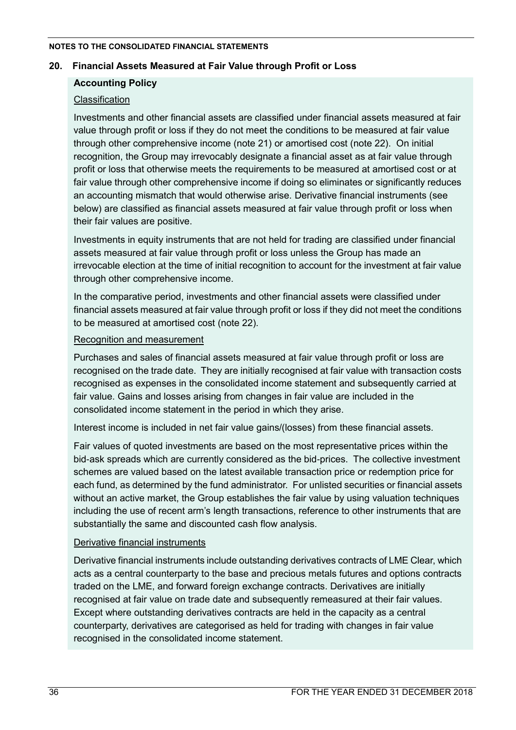### **20. Financial Assets Measured at Fair Value through Profit or Loss**

## **Accounting Policy**

## Classification

Investments and other financial assets are classified under financial assets measured at fair value through profit or loss if they do not meet the conditions to be measured at fair value through other comprehensive income (note 21) or amortised cost (note 22). On initial recognition, the Group may irrevocably designate a financial asset as at fair value through profit or loss that otherwise meets the requirements to be measured at amortised cost or at fair value through other comprehensive income if doing so eliminates or significantly reduces an accounting mismatch that would otherwise arise. Derivative financial instruments (see below) are classified as financial assets measured at fair value through profit or loss when their fair values are positive.

Investments in equity instruments that are not held for trading are classified under financial assets measured at fair value through profit or loss unless the Group has made an irrevocable election at the time of initial recognition to account for the investment at fair value through other comprehensive income.

In the comparative period, investments and other financial assets were classified under financial assets measured at fair value through profit or loss if they did not meet the conditions to be measured at amortised cost (note 22).

### Recognition and measurement

Purchases and sales of financial assets measured at fair value through profit or loss are recognised on the trade date. They are initially recognised at fair value with transaction costs recognised as expenses in the consolidated income statement and subsequently carried at fair value. Gains and losses arising from changes in fair value are included in the consolidated income statement in the period in which they arise.

Interest income is included in net fair value gains/(losses) from these financial assets.

Fair values of quoted investments are based on the most representative prices within the bid-ask spreads which are currently considered as the bid-prices. The collective investment schemes are valued based on the latest available transaction price or redemption price for each fund, as determined by the fund administrator. For unlisted securities or financial assets without an active market, the Group establishes the fair value by using valuation techniques including the use of recent arm's length transactions, reference to other instruments that are substantially the same and discounted cash flow analysis.

## Derivative financial instruments

Derivative financial instruments include outstanding derivatives contracts of LME Clear, which acts as a central counterparty to the base and precious metals futures and options contracts traded on the LME, and forward foreign exchange contracts. Derivatives are initially recognised at fair value on trade date and subsequently remeasured at their fair values. Except where outstanding derivatives contracts are held in the capacity as a central counterparty, derivatives are categorised as held for trading with changes in fair value recognised in the consolidated income statement.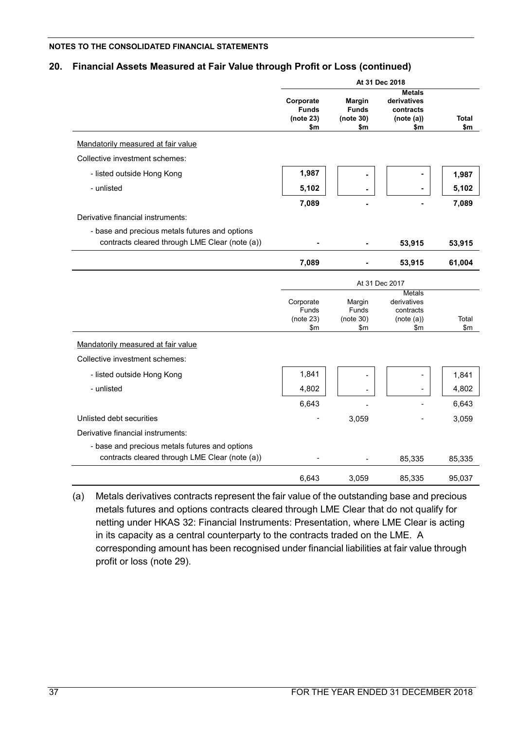# **20. Financial Assets Measured at Fair Value through Profit or Loss (continued)**

|                                                | At 31 Dec 2018                                |                                                   |                                                                |                     |  |
|------------------------------------------------|-----------------------------------------------|---------------------------------------------------|----------------------------------------------------------------|---------------------|--|
|                                                | Corporate<br><b>Funds</b><br>(note 23)<br>\$m | <b>Margin</b><br><b>Funds</b><br>(note 30)<br>\$m | <b>Metals</b><br>derivatives<br>contracts<br>(note (a))<br>\$m | <b>Total</b><br>\$m |  |
| Mandatorily measured at fair value             |                                               |                                                   |                                                                |                     |  |
| Collective investment schemes:                 |                                               |                                                   |                                                                |                     |  |
| - listed outside Hong Kong                     | 1,987                                         |                                                   |                                                                | 1,987               |  |
| - unlisted                                     | 5,102                                         |                                                   |                                                                | 5,102               |  |
|                                                | 7,089                                         |                                                   |                                                                | 7,089               |  |
| Derivative financial instruments:              |                                               |                                                   |                                                                |                     |  |
| - base and precious metals futures and options |                                               |                                                   |                                                                |                     |  |
| contracts cleared through LME Clear (note (a)) |                                               |                                                   | 53,915                                                         | 53,915              |  |
|                                                | 7,089                                         |                                                   | 53,915                                                         | 61,004              |  |
|                                                |                                               |                                                   | At 31 Dec 2017                                                 |                     |  |
|                                                |                                               |                                                   | Metals                                                         |                     |  |
|                                                | Corporate                                     | Margin                                            | derivatives                                                    |                     |  |
|                                                | Funds<br>(note 23)                            | Funds<br>(note 30)                                | contracts<br>(note (a))                                        | Total               |  |
|                                                | \$m                                           | \$m                                               | \$m                                                            | \$m                 |  |
| Mandatorily measured at fair value             |                                               |                                                   |                                                                |                     |  |
| Collective investment schemes:                 |                                               |                                                   |                                                                |                     |  |
| - listed outside Hong Kong                     | 1,841                                         | ٠                                                 |                                                                | 1,841               |  |
| - unlisted                                     | 4,802                                         |                                                   |                                                                | 4,802               |  |
|                                                | 6,643                                         |                                                   |                                                                | 6,643               |  |
| Unlisted debt securities                       |                                               | 3,059                                             |                                                                | 3,059               |  |
| Derivative financial instruments:              |                                               |                                                   |                                                                |                     |  |
| - base and precious metals futures and options |                                               |                                                   |                                                                |                     |  |
| contracts cleared through LME Clear (note (a)) |                                               |                                                   | 85,335                                                         | 85,335              |  |
|                                                | 6,643                                         | 3,059                                             | 85,335                                                         | 95,037              |  |

(a) Metals derivatives contracts represent the fair value of the outstanding base and precious metals futures and options contracts cleared through LME Clear that do not qualify for netting under HKAS 32: Financial Instruments: Presentation, where LME Clear is acting in its capacity as a central counterparty to the contracts traded on the LME. A corresponding amount has been recognised under financial liabilities at fair value through profit or loss (note 29).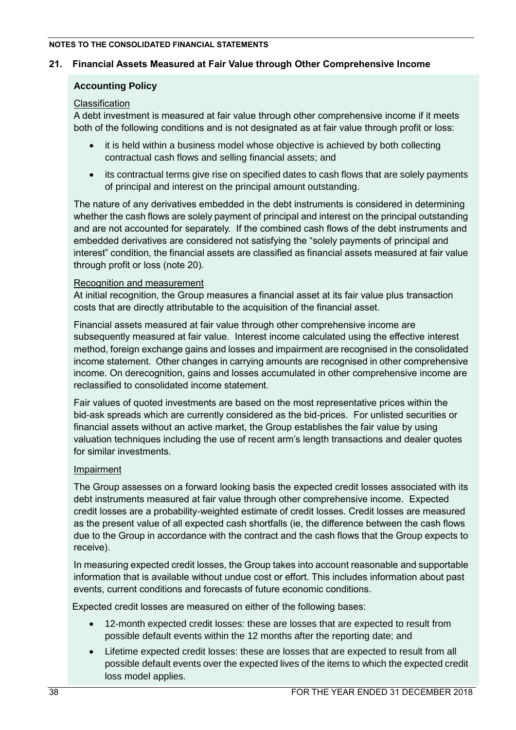# **21. Financial Assets Measured at Fair Value through Other Comprehensive Income**

# **Accounting Policy**

# Classification

A debt investment is measured at fair value through other comprehensive income if it meets both of the following conditions and is not designated as at fair value through profit or loss:

- it is held within a business model whose objective is achieved by both collecting contractual cash flows and selling financial assets; and
- its contractual terms give rise on specified dates to cash flows that are solely payments of principal and interest on the principal amount outstanding.

The nature of any derivatives embedded in the debt instruments is considered in determining whether the cash flows are solely payment of principal and interest on the principal outstanding and are not accounted for separately. If the combined cash flows of the debt instruments and embedded derivatives are considered not satisfying the "solely payments of principal and interest" condition, the financial assets are classified as financial assets measured at fair value through profit or loss (note 20).

# Recognition and measurement

At initial recognition, the Group measures a financial asset at its fair value plus transaction costs that are directly attributable to the acquisition of the financial asset.

Financial assets measured at fair value through other comprehensive income are subsequently measured at fair value. Interest income calculated using the effective interest method, foreign exchange gains and losses and impairment are recognised in the consolidated income statement. Other changes in carrying amounts are recognised in other comprehensive income. On derecognition, gains and losses accumulated in other comprehensive income are reclassified to consolidated income statement.

Fair values of quoted investments are based on the most representative prices within the bid-ask spreads which are currently considered as the bid-prices. For unlisted securities or financial assets without an active market, the Group establishes the fair value by using valuation techniques including the use of recent arm's length transactions and dealer quotes for similar investments.

# Impairment

The Group assesses on a forward looking basis the expected credit losses associated with its debt instruments measured at fair value through other comprehensive income. Expected credit losses are a probability-weighted estimate of credit losses. Credit losses are measured as the present value of all expected cash shortfalls (ie, the difference between the cash flows due to the Group in accordance with the contract and the cash flows that the Group expects to receive).

In measuring expected credit losses, the Group takes into account reasonable and supportable information that is available without undue cost or effort. This includes information about past events, current conditions and forecasts of future economic conditions.

Expected credit losses are measured on either of the following bases:

- 12-month expected credit losses: these are losses that are expected to result from possible default events within the 12 months after the reporting date; and
- Lifetime expected credit losses: these are losses that are expected to result from all possible default events over the expected lives of the items to which the expected credit loss model applies.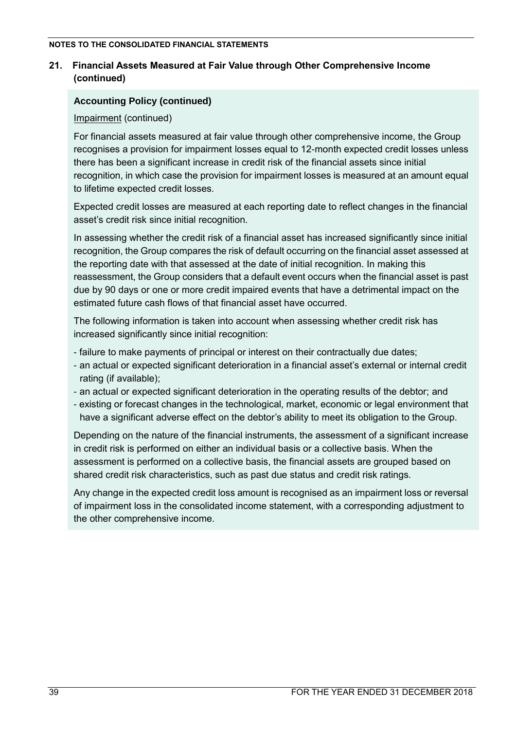# **21. Financial Assets Measured at Fair Value through Other Comprehensive Income (continued)**

# **Accounting Policy (continued)**

# Impairment (continued)

For financial assets measured at fair value through other comprehensive income, the Group recognises a provision for impairment losses equal to 12-month expected credit losses unless there has been a significant increase in credit risk of the financial assets since initial recognition, in which case the provision for impairment losses is measured at an amount equal to lifetime expected credit losses.

Expected credit losses are measured at each reporting date to reflect changes in the financial asset's credit risk since initial recognition.

In assessing whether the credit risk of a financial asset has increased significantly since initial recognition, the Group compares the risk of default occurring on the financial asset assessed at the reporting date with that assessed at the date of initial recognition. In making this reassessment, the Group considers that a default event occurs when the financial asset is past due by 90 days or one or more credit impaired events that have a detrimental impact on the estimated future cash flows of that financial asset have occurred.

The following information is taken into account when assessing whether credit risk has increased significantly since initial recognition:

- failure to make payments of principal or interest on their contractually due dates;
- an actual or expected significant deterioration in a financial asset's external or internal credit rating (if available);
- an actual or expected significant deterioration in the operating results of the debtor; and
- existing or forecast changes in the technological, market, economic or legal environment that have a significant adverse effect on the debtor's ability to meet its obligation to the Group.

Depending on the nature of the financial instruments, the assessment of a significant increase in credit risk is performed on either an individual basis or a collective basis. When the assessment is performed on a collective basis, the financial assets are grouped based on shared credit risk characteristics, such as past due status and credit risk ratings.

Any change in the expected credit loss amount is recognised as an impairment loss or reversal of impairment loss in the consolidated income statement, with a corresponding adjustment to the other comprehensive income.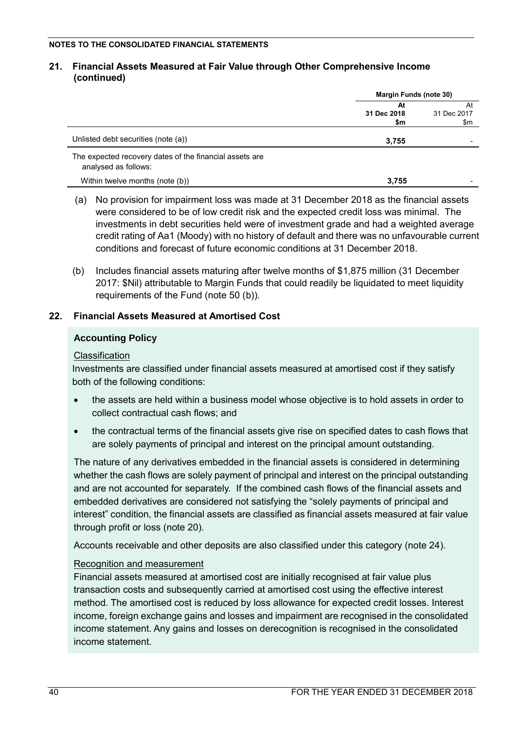### **21. Financial Assets Measured at Fair Value through Other Comprehensive Income (continued)**

|                                                                                 | <b>Margin Funds (note 30)</b> |                          |  |
|---------------------------------------------------------------------------------|-------------------------------|--------------------------|--|
|                                                                                 | At<br>31 Dec 2018<br>\$m      | At<br>31 Dec 2017<br>\$m |  |
| Unlisted debt securities (note (a))                                             | 3,755                         |                          |  |
| The expected recovery dates of the financial assets are<br>analysed as follows: |                               |                          |  |
| Within twelve months (note (b))                                                 | 3.755                         |                          |  |

- (a) No provision for impairment loss was made at 31 December 2018 as the financial assets were considered to be of low credit risk and the expected credit loss was minimal. The investments in debt securities held were of investment grade and had a weighted average credit rating of Aa1 (Moody) with no history of default and there was no unfavourable current conditions and forecast of future economic conditions at 31 December 2018.
- (b) Includes financial assets maturing after twelve months of \$1,875 million (31 December 2017: \$Nil) attributable to Margin Funds that could readily be liquidated to meet liquidity requirements of the Fund (note 50 (b)).

# **22. Financial Assets Measured at Amortised Cost**

# **Accounting Policy**

# Classification

Investments are classified under financial assets measured at amortised cost if they satisfy both of the following conditions:

- the assets are held within a business model whose objective is to hold assets in order to collect contractual cash flows; and
- the contractual terms of the financial assets give rise on specified dates to cash flows that are solely payments of principal and interest on the principal amount outstanding.

The nature of any derivatives embedded in the financial assets is considered in determining whether the cash flows are solely payment of principal and interest on the principal outstanding and are not accounted for separately. If the combined cash flows of the financial assets and embedded derivatives are considered not satisfying the "solely payments of principal and interest" condition, the financial assets are classified as financial assets measured at fair value through profit or loss (note 20).

Accounts receivable and other deposits are also classified under this category (note 24).

# Recognition and measurement

Financial assets measured at amortised cost are initially recognised at fair value plus transaction costs and subsequently carried at amortised cost using the effective interest method. The amortised cost is reduced by loss allowance for expected credit losses. Interest income, foreign exchange gains and losses and impairment are recognised in the consolidated income statement. Any gains and losses on derecognition is recognised in the consolidated income statement.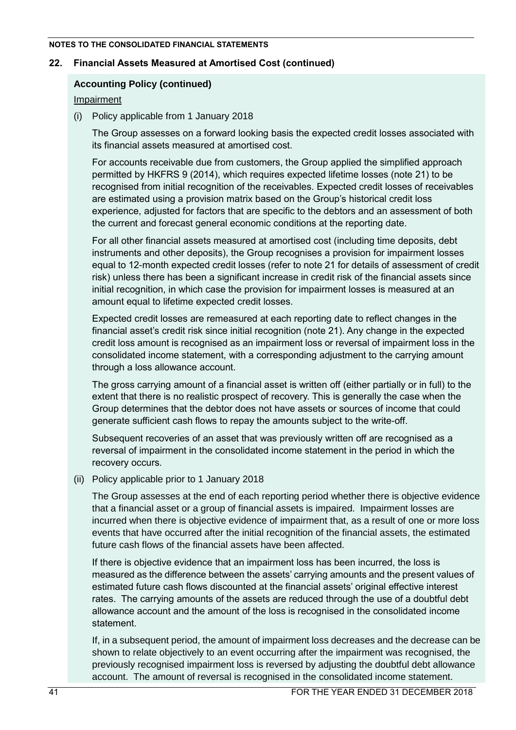## **22. Financial Assets Measured at Amortised Cost (continued)**

## **Accounting Policy (continued)**

### Impairment

(i) Policy applicable from 1 January 2018

The Group assesses on a forward looking basis the expected credit losses associated with its financial assets measured at amortised cost.

For accounts receivable due from customers, the Group applied the simplified approach permitted by HKFRS 9 (2014), which requires expected lifetime losses (note 21) to be recognised from initial recognition of the receivables. Expected credit losses of receivables are estimated using a provision matrix based on the Group's historical credit loss experience, adjusted for factors that are specific to the debtors and an assessment of both the current and forecast general economic conditions at the reporting date.

For all other financial assets measured at amortised cost (including time deposits, debt instruments and other deposits), the Group recognises a provision for impairment losses equal to 12-month expected credit losses (refer to note 21 for details of assessment of credit risk) unless there has been a significant increase in credit risk of the financial assets since initial recognition, in which case the provision for impairment losses is measured at an amount equal to lifetime expected credit losses.

Expected credit losses are remeasured at each reporting date to reflect changes in the financial asset's credit risk since initial recognition (note 21). Any change in the expected credit loss amount is recognised as an impairment loss or reversal of impairment loss in the consolidated income statement, with a corresponding adjustment to the carrying amount through a loss allowance account.

The gross carrying amount of a financial asset is written off (either partially or in full) to the extent that there is no realistic prospect of recovery. This is generally the case when the Group determines that the debtor does not have assets or sources of income that could generate sufficient cash flows to repay the amounts subject to the write-off.

Subsequent recoveries of an asset that was previously written off are recognised as a reversal of impairment in the consolidated income statement in the period in which the recovery occurs.

(ii) Policy applicable prior to 1 January 2018

The Group assesses at the end of each reporting period whether there is objective evidence that a financial asset or a group of financial assets is impaired. Impairment losses are incurred when there is objective evidence of impairment that, as a result of one or more loss events that have occurred after the initial recognition of the financial assets, the estimated future cash flows of the financial assets have been affected.

If there is objective evidence that an impairment loss has been incurred, the loss is measured as the difference between the assets' carrying amounts and the present values of estimated future cash flows discounted at the financial assets' original effective interest rates. The carrying amounts of the assets are reduced through the use of a doubtful debt allowance account and the amount of the loss is recognised in the consolidated income statement.

If, in a subsequent period, the amount of impairment loss decreases and the decrease can be shown to relate objectively to an event occurring after the impairment was recognised, the previously recognised impairment loss is reversed by adjusting the doubtful debt allowance account. The amount of reversal is recognised in the consolidated income statement.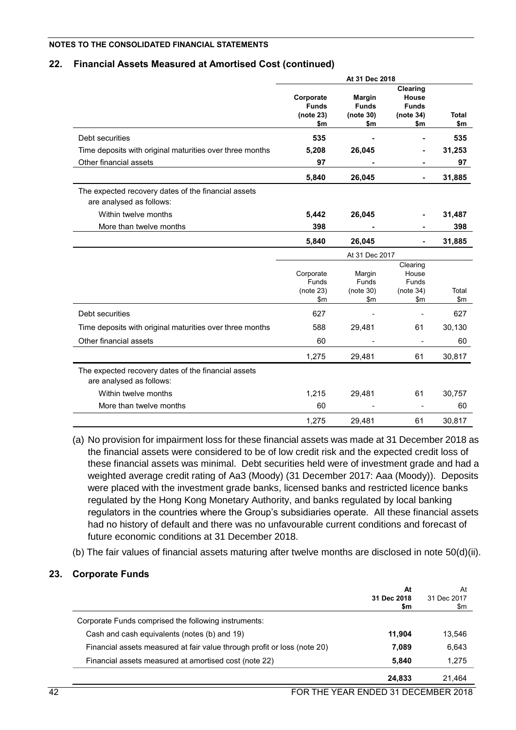## **22. Financial Assets Measured at Amortised Cost (continued)**

|                                                                                 | At 31 Dec 2018                                   |                                                   |                                                          |                        |  |
|---------------------------------------------------------------------------------|--------------------------------------------------|---------------------------------------------------|----------------------------------------------------------|------------------------|--|
|                                                                                 | Corporate<br><b>Funds</b><br>(note 23)<br>\$m    | <b>Margin</b><br><b>Funds</b><br>(note 30)<br>\$m | Clearing<br>House<br><b>Funds</b><br>(note 34)<br>\$m    | <b>Total</b><br>\$m    |  |
| Debt securities                                                                 | 535                                              |                                                   |                                                          | 535                    |  |
| Time deposits with original maturities over three months                        | 5,208                                            | 26,045                                            |                                                          | 31,253                 |  |
| Other financial assets                                                          | 97                                               |                                                   |                                                          | 97                     |  |
|                                                                                 | 5,840                                            | 26,045                                            |                                                          | 31,885                 |  |
| The expected recovery dates of the financial assets<br>are analysed as follows: |                                                  |                                                   |                                                          |                        |  |
| Within twelve months                                                            | 5,442                                            | 26,045                                            |                                                          | 31,487                 |  |
| More than twelve months                                                         | 398                                              |                                                   |                                                          | 398                    |  |
|                                                                                 | 5,840                                            | 26,045                                            |                                                          | 31,885                 |  |
|                                                                                 |                                                  | At 31 Dec 2017                                    |                                                          |                        |  |
|                                                                                 | Corporate<br>Funds<br>(note 23)<br>$\mathsf{sm}$ | Margin<br>Funds<br>(note 30)<br>$\mathsf{S}$ m    | Clearing<br>House<br>Funds<br>(note 34)<br>$\mathsf{Sm}$ | Total<br>$\mathsf{Sm}$ |  |
| Debt securities                                                                 | 627                                              |                                                   |                                                          | 627                    |  |
| Time deposits with original maturities over three months                        | 588                                              | 29,481                                            | 61                                                       | 30,130                 |  |
| Other financial assets                                                          | 60                                               |                                                   |                                                          | 60                     |  |
|                                                                                 | 1,275                                            | 29,481                                            | 61                                                       | 30,817                 |  |
| The expected recovery dates of the financial assets<br>are analysed as follows: |                                                  |                                                   |                                                          |                        |  |
| Within twelve months                                                            | 1,215                                            | 29,481                                            | 61                                                       | 30,757                 |  |
| More than twelve months                                                         | 60                                               |                                                   |                                                          | 60                     |  |
|                                                                                 | 1,275                                            | 29,481                                            | 61                                                       | 30,817                 |  |

- (a) No provision for impairment loss for these financial assets was made at 31 December 2018 as the financial assets were considered to be of low credit risk and the expected credit loss of these financial assets was minimal. Debt securities held were of investment grade and had a weighted average credit rating of Aa3 (Moody) (31 December 2017: Aaa (Moody)). Deposits were placed with the investment grade banks, licensed banks and restricted licence banks regulated by the Hong Kong Monetary Authority, and banks regulated by local banking regulators in the countries where the Group's subsidiaries operate. All these financial assets had no history of default and there was no unfavourable current conditions and forecast of future economic conditions at 31 December 2018.
- (b) The fair values of financial assets maturing after twelve months are disclosed in note 50(d)(ii).

# **23. Corporate Funds**

|                                                                          | At<br>31 Dec 2018<br>\$m | At<br>31 Dec 2017<br>\$m |
|--------------------------------------------------------------------------|--------------------------|--------------------------|
| Corporate Funds comprised the following instruments:                     |                          |                          |
| Cash and cash equivalents (notes (b) and 19)                             | 11.904                   | 13,546                   |
| Financial assets measured at fair value through profit or loss (note 20) | 7,089                    | 6,643                    |
| Financial assets measured at amortised cost (note 22)                    | 5.840                    | 1.275                    |
|                                                                          | 24,833                   | 21.464                   |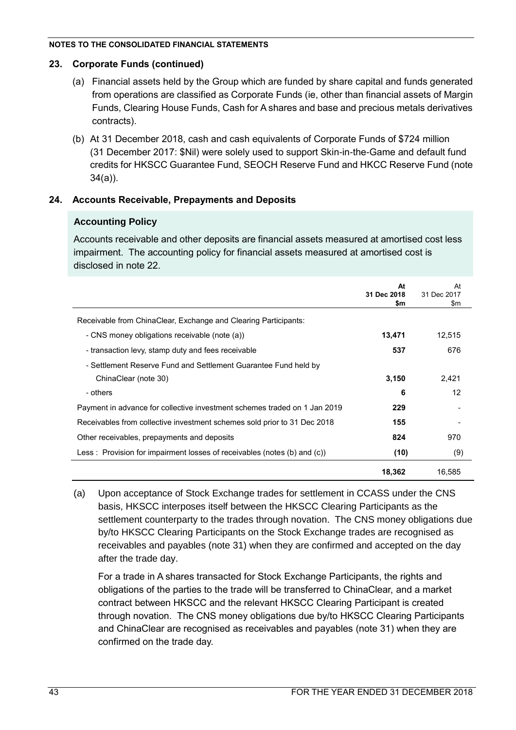# **23. Corporate Funds (continued)**

- (a) Financial assets held by the Group which are funded by share capital and funds generated from operations are classified as Corporate Funds (ie, other than financial assets of Margin Funds, Clearing House Funds, Cash for A shares and base and precious metals derivatives contracts).
- (b) At 31 December 2018, cash and cash equivalents of Corporate Funds of \$724 million (31 December 2017: \$Nil) were solely used to support Skin-in-the-Game and default fund credits for HKSCC Guarantee Fund, SEOCH Reserve Fund and HKCC Reserve Fund (note 34(a)).

# **24. Accounts Receivable, Prepayments and Deposits**

# **Accounting Policy**

Accounts receivable and other deposits are financial assets measured at amortised cost less impairment. The accounting policy for financial assets measured at amortised cost is disclosed in note 22.

|                                                                           | At<br>31 Dec 2018<br>\$m | At<br>31 Dec 2017<br>\$m |
|---------------------------------------------------------------------------|--------------------------|--------------------------|
| Receivable from ChinaClear, Exchange and Clearing Participants:           |                          |                          |
| - CNS money obligations receivable (note (a))                             | 13,471                   | 12,515                   |
| - transaction levy, stamp duty and fees receivable                        | 537                      | 676                      |
| - Settlement Reserve Fund and Settlement Guarantee Fund held by           |                          |                          |
| ChinaClear (note 30)                                                      | 3,150                    | 2,421                    |
| - others                                                                  | 6                        | 12                       |
| Payment in advance for collective investment schemes traded on 1 Jan 2019 | 229                      |                          |
| Receivables from collective investment schemes sold prior to 31 Dec 2018  | 155                      |                          |
| Other receivables, prepayments and deposits                               | 824                      | 970                      |
| Less: Provision for impairment losses of receivables (notes (b) and (c))  | (10)                     | (9)                      |
|                                                                           | 18,362                   | 16,585                   |

(a) Upon acceptance of Stock Exchange trades for settlement in CCASS under the CNS basis, HKSCC interposes itself between the HKSCC Clearing Participants as the settlement counterparty to the trades through novation. The CNS money obligations due by/to HKSCC Clearing Participants on the Stock Exchange trades are recognised as receivables and payables (note 31) when they are confirmed and accepted on the day after the trade day.

For a trade in A shares transacted for Stock Exchange Participants, the rights and obligations of the parties to the trade will be transferred to ChinaClear, and a market contract between HKSCC and the relevant HKSCC Clearing Participant is created through novation. The CNS money obligations due by/to HKSCC Clearing Participants and ChinaClear are recognised as receivables and payables (note 31) when they are confirmed on the trade day.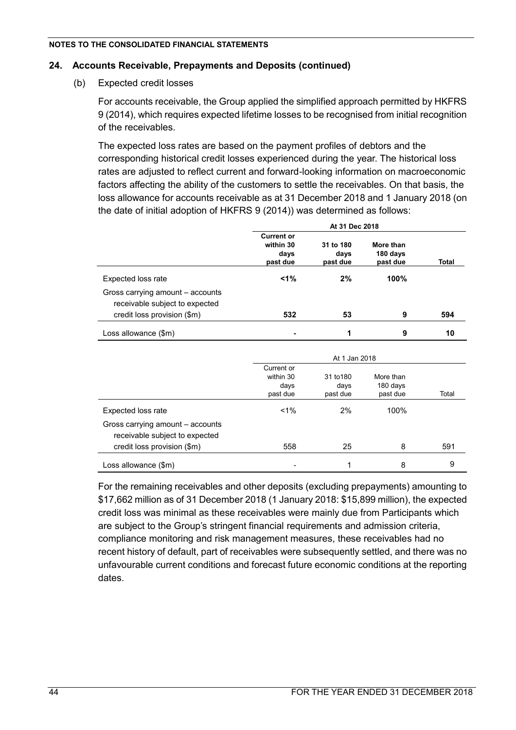# **24. Accounts Receivable, Prepayments and Deposits (continued)**

(b) Expected credit losses

For accounts receivable, the Group applied the simplified approach permitted by HKFRS 9 (2014), which requires expected lifetime losses to be recognised from initial recognition of the receivables.

The expected loss rates are based on the payment profiles of debtors and the corresponding historical credit losses experienced during the year. The historical loss rates are adjusted to reflect current and forward-looking information on macroeconomic factors affecting the ability of the customers to settle the receivables. On that basis, the loss allowance for accounts receivable as at 31 December 2018 and 1 January 2018 (on the date of initial adoption of HKFRS 9 (2014)) was determined as follows:

|                                                                                                   | At 31 Dec 2018                                     |                               |                                   |              |  |
|---------------------------------------------------------------------------------------------------|----------------------------------------------------|-------------------------------|-----------------------------------|--------------|--|
|                                                                                                   | <b>Current or</b><br>within 30<br>days<br>past due | 31 to 180<br>days<br>past due | More than<br>180 days<br>past due | <b>Total</b> |  |
| Expected loss rate                                                                                | $1\%$                                              | 2%                            | 100%                              |              |  |
| Gross carrying amount - accounts<br>receivable subject to expected<br>credit loss provision (\$m) | 532                                                | 53                            | 9                                 | 594          |  |
| Loss allowance (\$m)                                                                              |                                                    | 1                             | 9                                 | 10           |  |
|                                                                                                   |                                                    | At 1 Jan 2018                 |                                   |              |  |
|                                                                                                   | Current or<br>within 30<br>days<br>past due        | 31 to 180<br>days<br>past due | More than<br>180 days<br>past due | Total        |  |
| Expected loss rate                                                                                | $1\%$                                              | 2%                            | 100%                              |              |  |
| Gross carrying amount - accounts<br>receivable subject to expected<br>credit loss provision (\$m) | 558                                                | 25                            | 8                                 | 591          |  |
| Loss allowance (\$m)                                                                              |                                                    | 1                             | 8                                 | 9            |  |

For the remaining receivables and other deposits (excluding prepayments) amounting to \$17,662 million as of 31 December 2018 (1 January 2018: \$15,899 million), the expected credit loss was minimal as these receivables were mainly due from Participants which are subject to the Group's stringent financial requirements and admission criteria, compliance monitoring and risk management measures, these receivables had no recent history of default, part of receivables were subsequently settled, and there was no unfavourable current conditions and forecast future economic conditions at the reporting dates.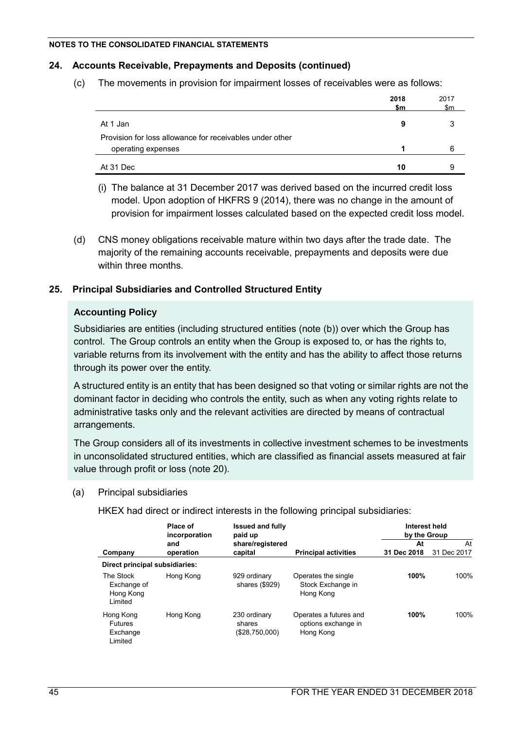# **24. Accounts Receivable, Prepayments and Deposits (continued)**

(c) The movements in provision for impairment losses of receivables were as follows:

|                                                          | 2018<br>\$m | 2017<br>\$m |
|----------------------------------------------------------|-------------|-------------|
| At 1 Jan                                                 | 9           | 3           |
| Provision for loss allowance for receivables under other |             |             |
| operating expenses                                       |             | 6           |
| At 31 Dec                                                | 10          | 9           |

- (i) The balance at 31 December 2017 was derived based on the incurred credit loss model. Upon adoption of HKFRS 9 (2014), there was no change in the amount of provision for impairment losses calculated based on the expected credit loss model.
- (d) CNS money obligations receivable mature within two days after the trade date. The majority of the remaining accounts receivable, prepayments and deposits were due within three months.

# **25. Principal Subsidiaries and Controlled Structured Entity**

# **Accounting Policy**

Subsidiaries are entities (including structured entities (note (b)) over which the Group has control. The Group controls an entity when the Group is exposed to, or has the rights to, variable returns from its involvement with the entity and has the ability to affect those returns through its power over the entity.

A structured entity is an entity that has been designed so that voting or similar rights are not the dominant factor in deciding who controls the entity, such as when any voting rights relate to administrative tasks only and the relevant activities are directed by means of contractual arrangements.

The Group considers all of its investments in collective investment schemes to be investments in unconsolidated structured entities, which are classified as financial assets measured at fair value through profit or loss (note 20).

(a) Principal subsidiaries

HKEX had direct or indirect interests in the following principal subsidiaries:

|                                                    | Place of<br>incorporation | <b>Issued and fully</b><br>paid up       |                                                            | Interest held<br>by the Group |                   |
|----------------------------------------------------|---------------------------|------------------------------------------|------------------------------------------------------------|-------------------------------|-------------------|
| Company                                            | and<br>operation          | share/registered<br>capital              | <b>Principal activities</b>                                | At<br>31 Dec 2018             | At<br>31 Dec 2017 |
| Direct principal subsidiaries:                     |                           |                                          |                                                            |                               |                   |
| The Stock<br>Exchange of<br>Hong Kong<br>Limited   | Hong Kong                 | 929 ordinary<br>shares (\$929)           | Operates the single<br>Stock Exchange in<br>Hong Kong      | 100%                          | 100%              |
| Hong Kong<br><b>Futures</b><br>Exchange<br>Limited | Hong Kong                 | 230 ordinary<br>shares<br>(\$28,750,000) | Operates a futures and<br>options exchange in<br>Hong Kong | 100%                          | 100%              |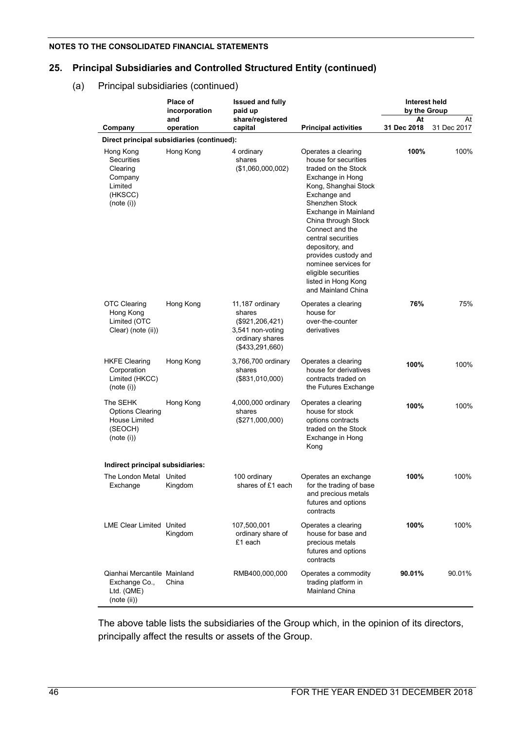# **25. Principal Subsidiaries and Controlled Structured Entity (continued)**

### (a) Principal subsidiaries (continued)

|                                                                                    | Place of<br>incorporation                  | <b>Issued and fully</b><br>paid up                                                                        |                                                                                                                                                                                                                                                                                                                                                                                 | Interest held<br>by the Group |                   |
|------------------------------------------------------------------------------------|--------------------------------------------|-----------------------------------------------------------------------------------------------------------|---------------------------------------------------------------------------------------------------------------------------------------------------------------------------------------------------------------------------------------------------------------------------------------------------------------------------------------------------------------------------------|-------------------------------|-------------------|
| Company                                                                            | and<br>operation                           | share/registered<br>capital                                                                               | <b>Principal activities</b>                                                                                                                                                                                                                                                                                                                                                     | At<br>31 Dec 2018             | At<br>31 Dec 2017 |
|                                                                                    | Direct principal subsidiaries (continued): |                                                                                                           |                                                                                                                                                                                                                                                                                                                                                                                 |                               |                   |
| Hong Kong<br>Securities<br>Clearing<br>Company<br>Limited<br>(HKSCC)<br>(note (i)) | Hong Kong                                  | 4 ordinary<br>shares<br>(\$1,060,000,002)                                                                 | Operates a clearing<br>house for securities<br>traded on the Stock<br>Exchange in Hong<br>Kong, Shanghai Stock<br>Exchange and<br>Shenzhen Stock<br>Exchange in Mainland<br>China through Stock<br>Connect and the<br>central securities<br>depository, and<br>provides custody and<br>nominee services for<br>eligible securities<br>listed in Hong Kong<br>and Mainland China | 100%                          | 100%              |
| OTC Clearing<br>Hong Kong<br>Limited (OTC<br>Clear) (note (ii))                    | Hong Kong                                  | 11,187 ordinary<br>shares<br>(\$921, 206, 421)<br>3,541 non-voting<br>ordinary shares<br>$(*433,291,660)$ | Operates a clearing<br>house for<br>over-the-counter<br>derivatives                                                                                                                                                                                                                                                                                                             | 76%                           | 75%               |
| <b>HKFE Clearing</b><br>Corporation<br>Limited (HKCC)<br>(note (i))                | Hong Kong                                  | 3,766,700 ordinary<br>shares<br>(\$831,010,000)                                                           | Operates a clearing<br>house for derivatives<br>contracts traded on<br>the Futures Exchange                                                                                                                                                                                                                                                                                     | 100%                          | 100%              |
| The SEHK<br><b>Options Clearing</b><br>House Limited<br>(SEOCH)<br>(note (i))      | Hong Kong                                  | 4,000,000 ordinary<br>shares<br>(\$271,000,000)                                                           | Operates a clearing<br>house for stock<br>options contracts<br>traded on the Stock<br>Exchange in Hong<br>Kong                                                                                                                                                                                                                                                                  | 100%                          | 100%              |
| Indirect principal subsidiaries:                                                   |                                            |                                                                                                           |                                                                                                                                                                                                                                                                                                                                                                                 |                               |                   |
| The London Metal United<br>Exchange                                                | Kingdom                                    | 100 ordinary<br>shares of £1 each                                                                         | Operates an exchange<br>for the trading of base<br>and precious metals<br>futures and options<br>contracts                                                                                                                                                                                                                                                                      | 100%                          | 100%              |
| <b>LME Clear Limited United</b>                                                    | Kingdom                                    | 107,500,001<br>ordinary share of<br>£1 each                                                               | Operates a clearing<br>house for base and<br>precious metals<br>futures and options<br>contracts                                                                                                                                                                                                                                                                                | 100%                          | 100%              |
| Qianhai Mercantile Mainland<br>Exchange Co.,<br>Ltd. (QME)<br>(note (ii))          | China                                      | RMB400,000,000                                                                                            | Operates a commodity<br>trading platform in<br>Mainland China                                                                                                                                                                                                                                                                                                                   | 90.01%                        | 90.01%            |

The above table lists the subsidiaries of the Group which, in the opinion of its directors, principally affect the results or assets of the Group.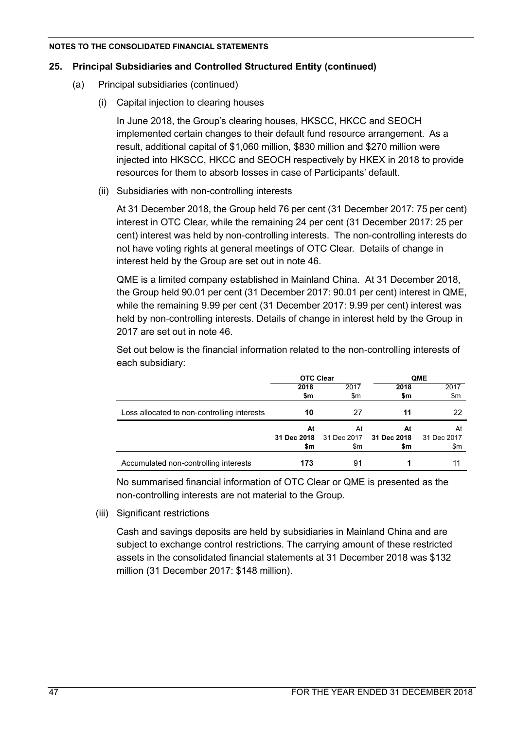# **25. Principal Subsidiaries and Controlled Structured Entity (continued)**

- (a) Principal subsidiaries (continued)
	- (i) Capital injection to clearing houses

In June 2018, the Group's clearing houses, HKSCC, HKCC and SEOCH implemented certain changes to their default fund resource arrangement. As a result, additional capital of \$1,060 million, \$830 million and \$270 million were injected into HKSCC, HKCC and SEOCH respectively by HKEX in 2018 to provide resources for them to absorb losses in case of Participants' default.

(ii) Subsidiaries with non-controlling interests

At 31 December 2018, the Group held 76 per cent (31 December 2017: 75 per cent) interest in OTC Clear, while the remaining 24 per cent (31 December 2017: 25 per cent) interest was held by non-controlling interests. The non-controlling interests do not have voting rights at general meetings of OTC Clear. Details of change in interest held by the Group are set out in note 46.

QME is a limited company established in Mainland China. At 31 December 2018, the Group held 90.01 per cent (31 December 2017: 90.01 per cent) interest in QME, while the remaining 9.99 per cent (31 December 2017: 9.99 per cent) interest was held by non-controlling interests. Details of change in interest held by the Group in 2017 are set out in note 46.

Set out below is the financial information related to the non-controlling interests of each subsidiary:

|                                             | <b>OTC Clear</b> |             |             | <b>QME</b>  |
|---------------------------------------------|------------------|-------------|-------------|-------------|
|                                             | 2018             | 2017        | 2018        | 2017        |
|                                             | \$m              | \$m         | \$m         | \$m         |
| Loss allocated to non-controlling interests | 10               | 27          | 11          | 22          |
|                                             | At               | At          | At          | At          |
|                                             | 31 Dec 2018      | 31 Dec 2017 | 31 Dec 2018 | 31 Dec 2017 |
|                                             | \$m              | \$m         | \$m         | \$m         |
| Accumulated non-controlling interests       | 173              | 91          |             | 11          |

No summarised financial information of OTC Clear or QME is presented as the non-controlling interests are not material to the Group.

(iii) Significant restrictions

Cash and savings deposits are held by subsidiaries in Mainland China and are subject to exchange control restrictions. The carrying amount of these restricted assets in the consolidated financial statements at 31 December 2018 was \$132 million (31 December 2017: \$148 million).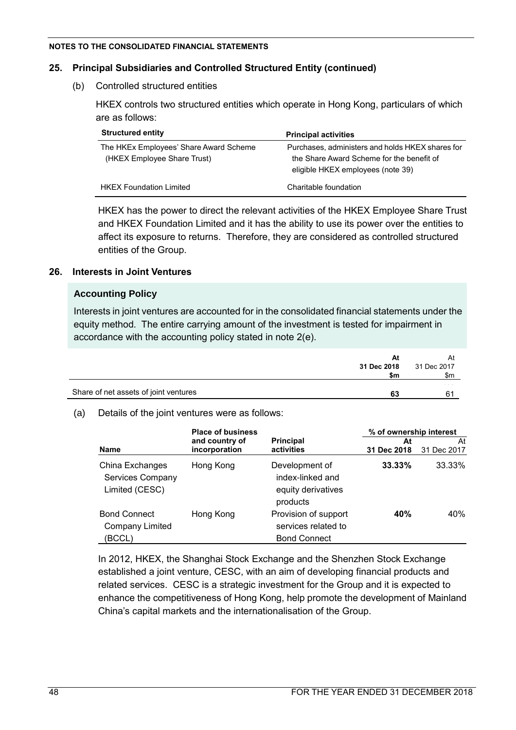# **25. Principal Subsidiaries and Controlled Structured Entity (continued)**

(b) Controlled structured entities

HKEX controls two structured entities which operate in Hong Kong, particulars of which are as follows:

| <b>Structured entity</b>                                              | <b>Principal activities</b>                                                                                                        |
|-----------------------------------------------------------------------|------------------------------------------------------------------------------------------------------------------------------------|
| The HKEx Employees' Share Award Scheme<br>(HKEX Employee Share Trust) | Purchases, administers and holds HKEX shares for<br>the Share Award Scheme for the benefit of<br>eligible HKEX employees (note 39) |
| <b>HKEX Foundation Limited</b>                                        | Charitable foundation                                                                                                              |

HKEX has the power to direct the relevant activities of the HKEX Employee Share Trust and HKEX Foundation Limited and it has the ability to use its power over the entities to affect its exposure to returns. Therefore, they are considered as controlled structured entities of the Group.

# **26. Interests in Joint Ventures**

# **Accounting Policy**

Interests in joint ventures are accounted for in the consolidated financial statements under the equity method. The entire carrying amount of the investment is tested for impairment in accordance with the accounting policy stated in note 2(e).

|                                       | At          | At          |
|---------------------------------------|-------------|-------------|
|                                       | 31 Dec 2018 | 31 Dec 2017 |
|                                       | \$m         | \$m         |
|                                       |             |             |
| Share of net assets of joint ventures | 63          | -61         |
|                                       |             |             |

# (a) Details of the joint ventures were as follows:

|                                                         | <b>Place of business</b>        |                                                                      | % of ownership interest |                   |  |
|---------------------------------------------------------|---------------------------------|----------------------------------------------------------------------|-------------------------|-------------------|--|
| <b>Name</b>                                             | and country of<br>incorporation | <b>Principal</b><br>activities                                       | At<br>31 Dec 2018       | At<br>31 Dec 2017 |  |
| China Exchanges<br>Services Company<br>Limited (CESC)   | Hong Kong                       | Development of<br>index-linked and<br>equity derivatives<br>products | $33.33\%$               | 33.33%            |  |
| <b>Bond Connect</b><br><b>Company Limited</b><br>(BCCL) | Hong Kong                       | Provision of support<br>services related to<br><b>Bond Connect</b>   | 40%                     | 40%               |  |

In 2012, HKEX, the Shanghai Stock Exchange and the Shenzhen Stock Exchange established a joint venture, CESC, with an aim of developing financial products and related services. CESC is a strategic investment for the Group and it is expected to enhance the competitiveness of Hong Kong, help promote the development of Mainland China's capital markets and the internationalisation of the Group.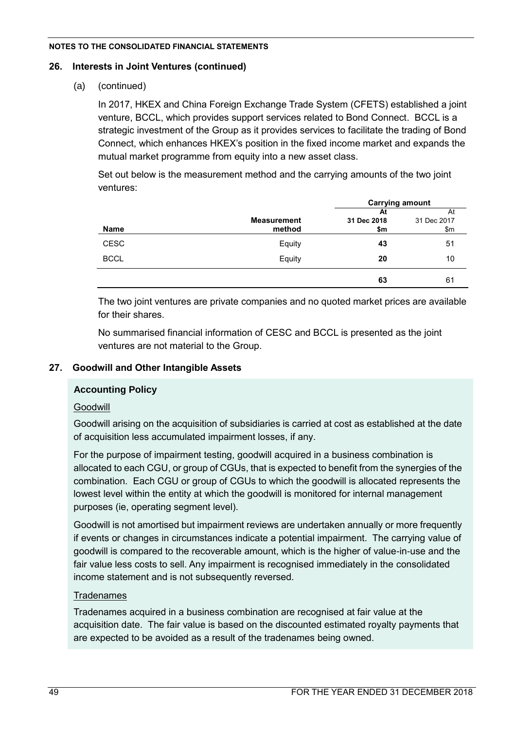# **26. Interests in Joint Ventures (continued)**

(a) (continued)

In 2017, HKEX and China Foreign Exchange Trade System (CFETS) established a joint venture, BCCL, which provides support services related to Bond Connect. BCCL is a strategic investment of the Group as it provides services to facilitate the trading of Bond Connect, which enhances HKEX's position in the fixed income market and expands the mutual market programme from equity into a new asset class.

Set out below is the measurement method and the carrying amounts of the two joint ventures:

|             |                    | <b>Carrying amount</b> |             |  |
|-------------|--------------------|------------------------|-------------|--|
|             |                    | At                     | At          |  |
|             | <b>Measurement</b> | 31 Dec 2018            | 31 Dec 2017 |  |
| <b>Name</b> | method             | \$m                    | \$m         |  |
| <b>CESC</b> | Equity             | 43                     | 51          |  |
| <b>BCCL</b> | Equity             | 20                     | 10          |  |
|             |                    | 63                     | 61          |  |

The two joint ventures are private companies and no quoted market prices are available for their shares.

No summarised financial information of CESC and BCCL is presented as the joint ventures are not material to the Group.

# **27. Goodwill and Other Intangible Assets**

# **Accounting Policy**

# Goodwill

Goodwill arising on the acquisition of subsidiaries is carried at cost as established at the date of acquisition less accumulated impairment losses, if any.

For the purpose of impairment testing, goodwill acquired in a business combination is allocated to each CGU, or group of CGUs, that is expected to benefit from the synergies of the combination. Each CGU or group of CGUs to which the goodwill is allocated represents the lowest level within the entity at which the goodwill is monitored for internal management purposes (ie, operating segment level).

Goodwill is not amortised but impairment reviews are undertaken annually or more frequently if events or changes in circumstances indicate a potential impairment. The carrying value of goodwill is compared to the recoverable amount, which is the higher of value-in-use and the fair value less costs to sell. Any impairment is recognised immediately in the consolidated income statement and is not subsequently reversed.

# **Tradenames**

Tradenames acquired in a business combination are recognised at fair value at the acquisition date. The fair value is based on the discounted estimated royalty payments that are expected to be avoided as a result of the tradenames being owned.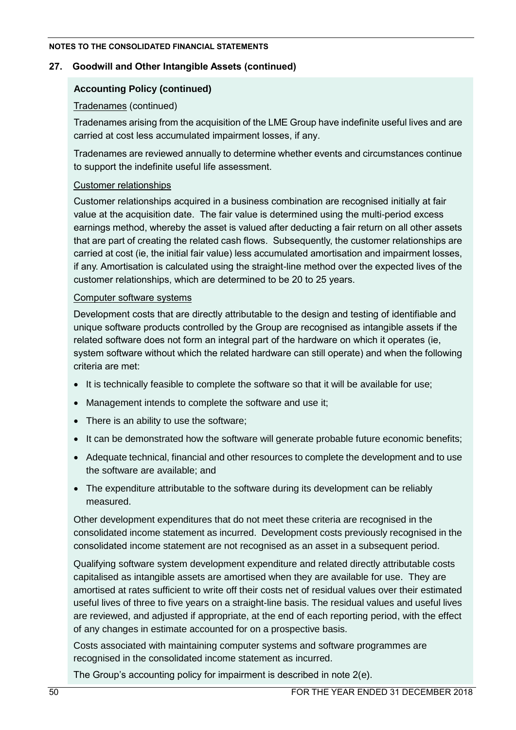# **27. Goodwill and Other Intangible Assets (continued)**

# **Accounting Policy (continued)**

# Tradenames (continued)

Tradenames arising from the acquisition of the LME Group have indefinite useful lives and are carried at cost less accumulated impairment losses, if any.

Tradenames are reviewed annually to determine whether events and circumstances continue to support the indefinite useful life assessment.

# Customer relationships

Customer relationships acquired in a business combination are recognised initially at fair value at the acquisition date. The fair value is determined using the multi-period excess earnings method, whereby the asset is valued after deducting a fair return on all other assets that are part of creating the related cash flows. Subsequently, the customer relationships are carried at cost (ie, the initial fair value) less accumulated amortisation and impairment losses, if any. Amortisation is calculated using the straight-line method over the expected lives of the customer relationships, which are determined to be 20 to 25 years.

# Computer software systems

Development costs that are directly attributable to the design and testing of identifiable and unique software products controlled by the Group are recognised as intangible assets if the related software does not form an integral part of the hardware on which it operates (ie, system software without which the related hardware can still operate) and when the following criteria are met:

- It is technically feasible to complete the software so that it will be available for use;
- Management intends to complete the software and use it;
- There is an ability to use the software;
- It can be demonstrated how the software will generate probable future economic benefits;
- Adequate technical, financial and other resources to complete the development and to use the software are available; and
- The expenditure attributable to the software during its development can be reliably measured.

Other development expenditures that do not meet these criteria are recognised in the consolidated income statement as incurred. Development costs previously recognised in the consolidated income statement are not recognised as an asset in a subsequent period.

Qualifying software system development expenditure and related directly attributable costs capitalised as intangible assets are amortised when they are available for use. They are amortised at rates sufficient to write off their costs net of residual values over their estimated useful lives of three to five years on a straight-line basis. The residual values and useful lives are reviewed, and adjusted if appropriate, at the end of each reporting period, with the effect of any changes in estimate accounted for on a prospective basis.

Costs associated with maintaining computer systems and software programmes are recognised in the consolidated income statement as incurred.

The Group's accounting policy for impairment is described in note 2(e).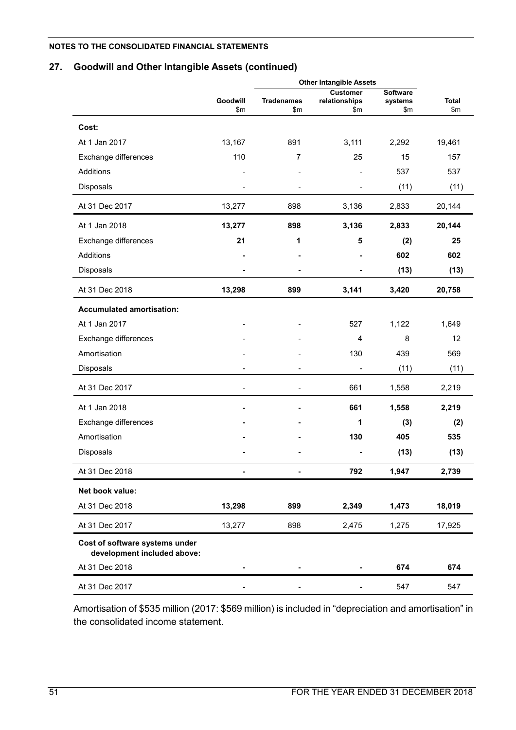# **27. Goodwill and Other Intangible Assets (continued)**

|                                                               | <b>Other Intangible Assets</b> |                          |                      |                  |                     |
|---------------------------------------------------------------|--------------------------------|--------------------------|----------------------|------------------|---------------------|
|                                                               |                                |                          | <b>Customer</b>      | <b>Software</b>  |                     |
|                                                               | <b>Goodwill</b><br>\$m         | <b>Tradenames</b><br>\$m | relationships<br>\$m | systems<br>\$m\$ | <b>Total</b><br>\$m |
|                                                               |                                |                          |                      |                  |                     |
| Cost:                                                         |                                |                          |                      |                  |                     |
| At 1 Jan 2017                                                 | 13,167                         | 891                      | 3,111                | 2,292            | 19,461              |
| Exchange differences                                          | 110                            | 7                        | 25                   | 15               | 157                 |
| Additions                                                     |                                |                          |                      | 537              | 537                 |
| Disposals                                                     |                                | ä,                       |                      | (11)             | (11)                |
| At 31 Dec 2017                                                | 13,277                         | 898                      | 3,136                | 2,833            | 20,144              |
| At 1 Jan 2018                                                 | 13,277                         | 898                      | 3,136                | 2,833            | 20,144              |
| Exchange differences                                          | 21                             | 1                        | 5                    | (2)              | 25                  |
| Additions                                                     |                                |                          |                      | 602              | 602                 |
| Disposals                                                     |                                |                          |                      | (13)             | (13)                |
| At 31 Dec 2018                                                | 13,298                         | 899                      | 3,141                | 3,420            | 20,758              |
| <b>Accumulated amortisation:</b>                              |                                |                          |                      |                  |                     |
| At 1 Jan 2017                                                 |                                |                          | 527                  | 1,122            | 1,649               |
| Exchange differences                                          |                                |                          | 4                    | 8                | 12                  |
| Amortisation                                                  |                                |                          | 130                  | 439              | 569                 |
| Disposals                                                     |                                |                          |                      | (11)             | (11)                |
| At 31 Dec 2017                                                | $\overline{\phantom{a}}$       |                          | 661                  | 1,558            | 2,219               |
| At 1 Jan 2018                                                 |                                |                          | 661                  | 1,558            | 2,219               |
| Exchange differences                                          |                                |                          | 1                    | (3)              | (2)                 |
| Amortisation                                                  |                                |                          | 130                  | 405              | 535                 |
| Disposals                                                     |                                |                          |                      | (13)             | (13)                |
| At 31 Dec 2018                                                |                                |                          | 792                  | 1,947            | 2,739               |
| Net book value:                                               |                                |                          |                      |                  |                     |
| At 31 Dec 2018                                                | 13,298                         | 899                      | 2,349                | 1,473            | 18,019              |
| At 31 Dec 2017                                                | 13,277                         | 898                      | 2,475                | 1,275            | 17,925              |
| Cost of software systems under<br>development included above: |                                |                          |                      |                  |                     |
| At 31 Dec 2018                                                |                                |                          |                      | 674              | 674                 |
| At 31 Dec 2017                                                |                                |                          |                      | 547              | 547                 |

Amortisation of \$535 million (2017: \$569 million) is included in "depreciation and amortisation" in the consolidated income statement.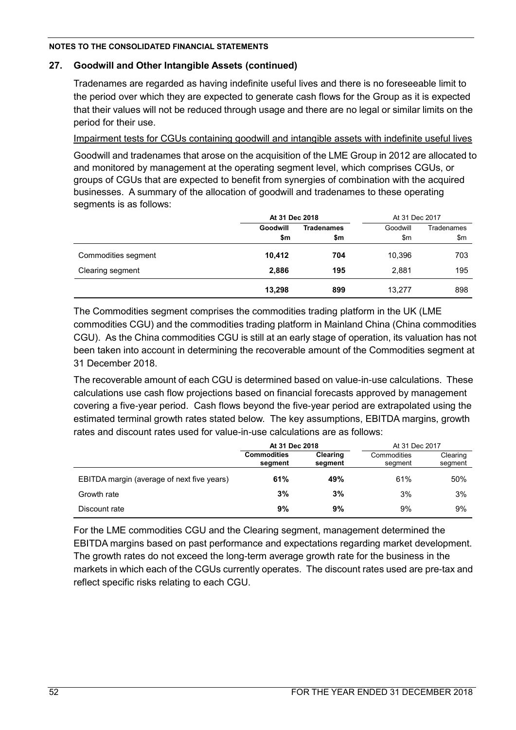# **27. Goodwill and Other Intangible Assets (continued)**

Tradenames are regarded as having indefinite useful lives and there is no foreseeable limit to the period over which they are expected to generate cash flows for the Group as it is expected that their values will not be reduced through usage and there are no legal or similar limits on the period for their use.

Impairment tests for CGUs containing goodwill and intangible assets with indefinite useful lives

Goodwill and tradenames that arose on the acquisition of the LME Group in 2012 are allocated to and monitored by management at the operating segment level, which comprises CGUs, or groups of CGUs that are expected to benefit from synergies of combination with the acquired businesses. A summary of the allocation of goodwill and tradenames to these operating segments is as follows:

|                     | At 31 Dec 2018 |                   | At 31 Dec 2017 |                   |
|---------------------|----------------|-------------------|----------------|-------------------|
|                     | Goodwill       | <b>Tradenames</b> | Goodwill       | <b>Tradenames</b> |
|                     | \$m            | \$m               | \$m            | \$m               |
| Commodities segment | 10,412         | 704               | 10,396         | 703               |
| Clearing segment    | 2,886          | 195               | 2,881          | 195               |
|                     | 13,298         | 899               | 13,277         | 898               |

The Commodities segment comprises the commodities trading platform in the UK (LME commodities CGU) and the commodities trading platform in Mainland China (China commodities CGU). As the China commodities CGU is still at an early stage of operation, its valuation has not been taken into account in determining the recoverable amount of the Commodities segment at 31 December 2018.

The recoverable amount of each CGU is determined based on value-in-use calculations. These calculations use cash flow projections based on financial forecasts approved by management covering a five-year period. Cash flows beyond the five-year period are extrapolated using the estimated terminal growth rates stated below. The key assumptions, EBITDA margins, growth rates and discount rates used for value-in-use calculations are as follows:

|                                            | At 31 Dec 2018                |                     | At 31 Dec 2017         |                     |
|--------------------------------------------|-------------------------------|---------------------|------------------------|---------------------|
|                                            | <b>Commodities</b><br>segment | Clearing<br>segment | Commodities<br>segment | Clearing<br>segment |
| EBITDA margin (average of next five years) | 61%                           | 49%                 | 61%                    | 50%                 |
| Growth rate                                | 3%                            | 3%                  | 3%                     | 3%                  |
| Discount rate                              | 9%                            | 9%                  | 9%                     | 9%                  |

For the LME commodities CGU and the Clearing segment, management determined the EBITDA margins based on past performance and expectations regarding market development. The growth rates do not exceed the long-term average growth rate for the business in the markets in which each of the CGUs currently operates. The discount rates used are pre-tax and reflect specific risks relating to each CGU.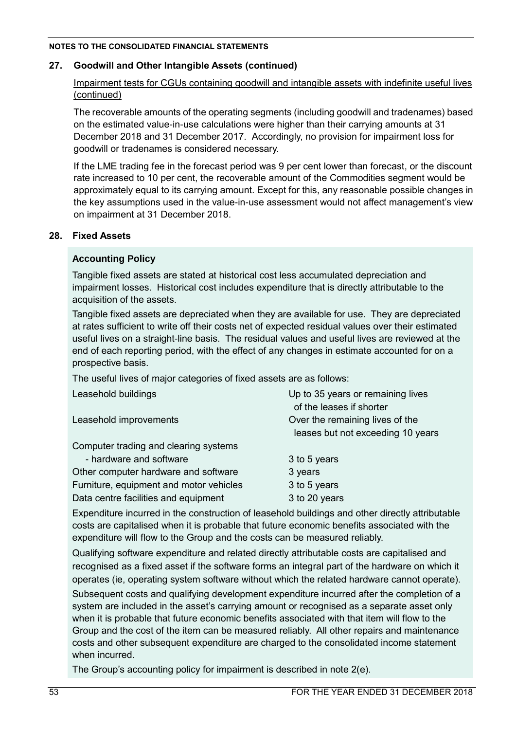# **27. Goodwill and Other Intangible Assets (continued)**

# Impairment tests for CGUs containing goodwill and intangible assets with indefinite useful lives (continued)

The recoverable amounts of the operating segments (including goodwill and tradenames) based on the estimated value-in-use calculations were higher than their carrying amounts at 31 December 2018 and 31 December 2017. Accordingly, no provision for impairment loss for goodwill or tradenames is considered necessary.

If the LME trading fee in the forecast period was 9 per cent lower than forecast, or the discount rate increased to 10 per cent, the recoverable amount of the Commodities segment would be approximately equal to its carrying amount. Except for this, any reasonable possible changes in the key assumptions used in the value-in-use assessment would not affect management's view on impairment at 31 December 2018.

# **28. Fixed Assets**

# **Accounting Policy**

Tangible fixed assets are stated at historical cost less accumulated depreciation and impairment losses. Historical cost includes expenditure that is directly attributable to the acquisition of the assets.

Tangible fixed assets are depreciated when they are available for use. They are depreciated at rates sufficient to write off their costs net of expected residual values over their estimated useful lives on a straight-line basis. The residual values and useful lives are reviewed at the end of each reporting period, with the effect of any changes in estimate accounted for on a prospective basis.

The useful lives of major categories of fixed assets are as follows:

| Leasehold buildings                     | Up to 35 years or remaining lives<br>of the leases if shorter        |
|-----------------------------------------|----------------------------------------------------------------------|
| Leasehold improvements                  | Over the remaining lives of the<br>leases but not exceeding 10 years |
| Computer trading and clearing systems   |                                                                      |
| - hardware and software                 | 3 to 5 years                                                         |
| Other computer hardware and software    | 3 years                                                              |
| Furniture, equipment and motor vehicles | 3 to 5 years                                                         |
| Data centre facilities and equipment    | 3 to 20 years                                                        |

Expenditure incurred in the construction of leasehold buildings and other directly attributable costs are capitalised when it is probable that future economic benefits associated with the expenditure will flow to the Group and the costs can be measured reliably.

Qualifying software expenditure and related directly attributable costs are capitalised and recognised as a fixed asset if the software forms an integral part of the hardware on which it operates (ie, operating system software without which the related hardware cannot operate).

Subsequent costs and qualifying development expenditure incurred after the completion of a system are included in the asset's carrying amount or recognised as a separate asset only when it is probable that future economic benefits associated with that item will flow to the Group and the cost of the item can be measured reliably. All other repairs and maintenance costs and other subsequent expenditure are charged to the consolidated income statement when incurred.

The Group's accounting policy for impairment is described in note 2(e).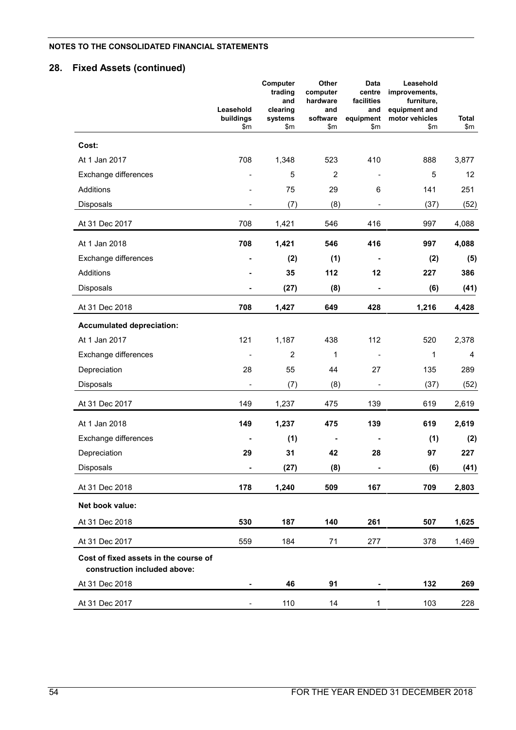# **28. Fixed Assets (continued)**

|                                                                       | Leasehold        | Computer<br>trading<br>and<br>clearing | Other<br>computer<br>hardware<br>and | Data<br>centre<br>facilities<br>and | Leasehold<br>improvements,<br>furniture,<br>equipment and |              |
|-----------------------------------------------------------------------|------------------|----------------------------------------|--------------------------------------|-------------------------------------|-----------------------------------------------------------|--------------|
|                                                                       | buildings<br>\$m | systems<br>\$m                         | software<br>\$m                      | equipment<br>\$m\$                  | motor vehicles<br>\$m                                     | Total<br>\$m |
| Cost:                                                                 |                  |                                        |                                      |                                     |                                                           |              |
| At 1 Jan 2017                                                         | 708              | 1,348                                  | 523                                  | 410                                 | 888                                                       | 3,877        |
| Exchange differences                                                  | $\blacksquare$   | 5                                      | $\overline{2}$                       | $\overline{\phantom{a}}$            | 5                                                         | 12           |
| Additions                                                             |                  | 75                                     | 29                                   | 6                                   | 141                                                       | 251          |
| Disposals                                                             |                  | (7)                                    | (8)                                  |                                     | (37)                                                      | (52)         |
| At 31 Dec 2017                                                        | 708              | 1,421                                  | 546                                  | 416                                 | 997                                                       | 4,088        |
| At 1 Jan 2018                                                         | 708              | 1,421                                  | 546                                  | 416                                 | 997                                                       | 4,088        |
| Exchange differences                                                  | $\blacksquare$   | (2)                                    | (1)                                  | $\blacksquare$                      | (2)                                                       | (5)          |
| Additions                                                             |                  | 35                                     | 112                                  | 12                                  | 227                                                       | 386          |
| Disposals                                                             |                  | (27)                                   | (8)                                  | -                                   | (6)                                                       | (41)         |
| At 31 Dec 2018                                                        | 708              | 1,427                                  | 649                                  | 428                                 | 1,216                                                     | 4,428        |
| <b>Accumulated depreciation:</b>                                      |                  |                                        |                                      |                                     |                                                           |              |
| At 1 Jan 2017                                                         | 121              | 1,187                                  | 438                                  | 112                                 | 520                                                       | 2,378        |
| Exchange differences                                                  |                  | $\overline{2}$                         | 1                                    | $\overline{\phantom{a}}$            | 1                                                         | 4            |
| Depreciation                                                          | 28               | 55                                     | 44                                   | 27                                  | 135                                                       | 289          |
| <b>Disposals</b>                                                      |                  | (7)                                    | (8)                                  | $\overline{\phantom{0}}$            | (37)                                                      | (52)         |
| At 31 Dec 2017                                                        | 149              | 1,237                                  | 475                                  | 139                                 | 619                                                       | 2,619        |
| At 1 Jan 2018                                                         | 149              | 1,237                                  | 475                                  | 139                                 | 619                                                       | 2,619        |
| Exchange differences                                                  |                  | (1)                                    |                                      | $\blacksquare$                      | (1)                                                       | (2)          |
| Depreciation                                                          | 29               | 31                                     | 42                                   | 28                                  | 97                                                        | 227          |
| Disposals                                                             |                  | (27)                                   | (8)                                  |                                     | (6)                                                       | (41)         |
| At 31 Dec 2018                                                        | 178              | 1,240                                  | 509                                  | 167                                 | 709                                                       | 2,803        |
| Net book value:                                                       |                  |                                        |                                      |                                     |                                                           |              |
| At 31 Dec 2018                                                        | 530              | 187                                    | 140                                  | 261                                 | 507                                                       | 1,625        |
| At 31 Dec 2017                                                        | 559              | 184                                    | 71                                   | 277                                 | 378                                                       | 1,469        |
| Cost of fixed assets in the course of<br>construction included above: |                  |                                        |                                      |                                     |                                                           |              |
| At 31 Dec 2018                                                        |                  | 46                                     | 91                                   |                                     | 132                                                       | 269          |
| At 31 Dec 2017                                                        |                  | 110                                    | 14                                   | $\mathbf 1$                         | 103                                                       | 228          |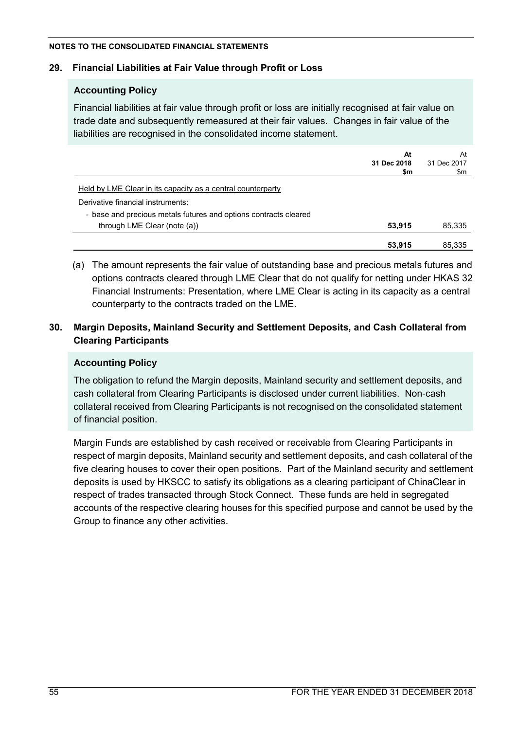# **29. Financial Liabilities at Fair Value through Profit or Loss**

# **Accounting Policy**

Financial liabilities at fair value through profit or loss are initially recognised at fair value on trade date and subsequently remeasured at their fair values. Changes in fair value of the liabilities are recognised in the consolidated income statement.

|                                                                  | At<br>31 Dec 2018 | At<br>31 Dec 2017 |
|------------------------------------------------------------------|-------------------|-------------------|
|                                                                  | \$m               | \$m               |
| Held by LME Clear in its capacity as a central counterparty      |                   |                   |
| Derivative financial instruments:                                |                   |                   |
| - base and precious metals futures and options contracts cleared |                   |                   |
| through LME Clear (note (a))                                     | 53,915            | 85,335            |
|                                                                  | 53,915            | 85.335            |

(a) The amount represents the fair value of outstanding base and precious metals futures and options contracts cleared through LME Clear that do not qualify for netting under HKAS 32 Financial Instruments: Presentation, where LME Clear is acting in its capacity as a central counterparty to the contracts traded on the LME.

# **30. Margin Deposits, Mainland Security and Settlement Deposits, and Cash Collateral from Clearing Participants**

# **Accounting Policy**

The obligation to refund the Margin deposits, Mainland security and settlement deposits, and cash collateral from Clearing Participants is disclosed under current liabilities. Non-cash collateral received from Clearing Participants is not recognised on the consolidated statement of financial position.

Margin Funds are established by cash received or receivable from Clearing Participants in respect of margin deposits, Mainland security and settlement deposits, and cash collateral of the five clearing houses to cover their open positions. Part of the Mainland security and settlement deposits is used by HKSCC to satisfy its obligations as a clearing participant of ChinaClear in respect of trades transacted through Stock Connect. These funds are held in segregated accounts of the respective clearing houses for this specified purpose and cannot be used by the Group to finance any other activities.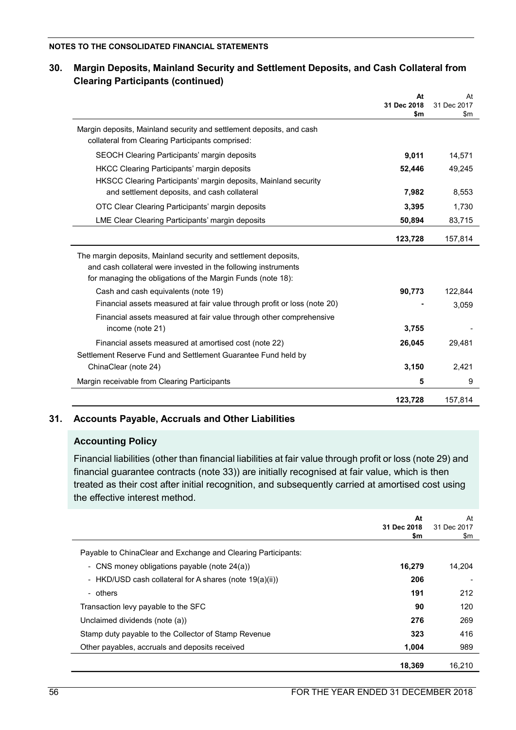|                                                                                                                          | At<br>31 Dec 2018<br>\$m | At<br>31 Dec 2017<br>\$m |
|--------------------------------------------------------------------------------------------------------------------------|--------------------------|--------------------------|
| Margin deposits, Mainland security and settlement deposits, and cash<br>collateral from Clearing Participants comprised: |                          |                          |
| SEOCH Clearing Participants' margin deposits                                                                             | 9,011                    | 14,571                   |
| HKCC Clearing Participants' margin deposits                                                                              | 52,446                   | 49,245                   |
| HKSCC Clearing Participants' margin deposits, Mainland security                                                          |                          |                          |
| and settlement deposits, and cash collateral                                                                             | 7,982                    | 8,553                    |
| OTC Clear Clearing Participants' margin deposits                                                                         | 3,395                    | 1,730                    |
| LME Clear Clearing Participants' margin deposits                                                                         | 50,894                   | 83,715                   |
|                                                                                                                          | 123,728                  | 157,814                  |
| The margin deposits, Mainland security and settlement deposits,                                                          |                          |                          |
| and cash collateral were invested in the following instruments                                                           |                          |                          |
| for managing the obligations of the Margin Funds (note 18):                                                              |                          |                          |
| Cash and cash equivalents (note 19)                                                                                      | 90,773                   | 122,844                  |
| Financial assets measured at fair value through profit or loss (note 20)                                                 |                          | 3,059                    |
| Financial assets measured at fair value through other comprehensive<br>income (note 21)                                  | 3,755                    |                          |
| Financial assets measured at amortised cost (note 22)                                                                    | 26,045                   | 29,481                   |
| Settlement Reserve Fund and Settlement Guarantee Fund held by                                                            |                          |                          |
| ChinaClear (note 24)                                                                                                     | 3,150                    | 2,421                    |
| Margin receivable from Clearing Participants                                                                             | 5                        | 9                        |
|                                                                                                                          | 123,728                  | 157,814                  |

# **30. Margin Deposits, Mainland Security and Settlement Deposits, and Cash Collateral from Clearing Participants (continued)**

# **31. Accounts Payable, Accruals and Other Liabilities**

# **Accounting Policy**

Financial liabilities (other than financial liabilities at fair value through profit or loss (note 29) and financial guarantee contracts (note 33)) are initially recognised at fair value, which is then treated as their cost after initial recognition, and subsequently carried at amortised cost using the effective interest method.

|                                                               | At<br>31 Dec 2018<br>\$m | At<br>31 Dec 2017<br>\$m |
|---------------------------------------------------------------|--------------------------|--------------------------|
| Payable to ChinaClear and Exchange and Clearing Participants: |                          |                          |
| - CNS money obligations payable (note 24(a))                  | 16,279                   | 14.204                   |
| - HKD/USD cash collateral for A shares (note 19(a)(ii))       | 206                      |                          |
| - others                                                      | 191                      | 212                      |
| Transaction levy payable to the SFC                           | 90                       | 120                      |
| Unclaimed dividends (note (a))                                | 276                      | 269                      |
| Stamp duty payable to the Collector of Stamp Revenue          | 323                      | 416                      |
| Other payables, accruals and deposits received                | 1,004                    | 989                      |
|                                                               | 18.369                   | 16.210                   |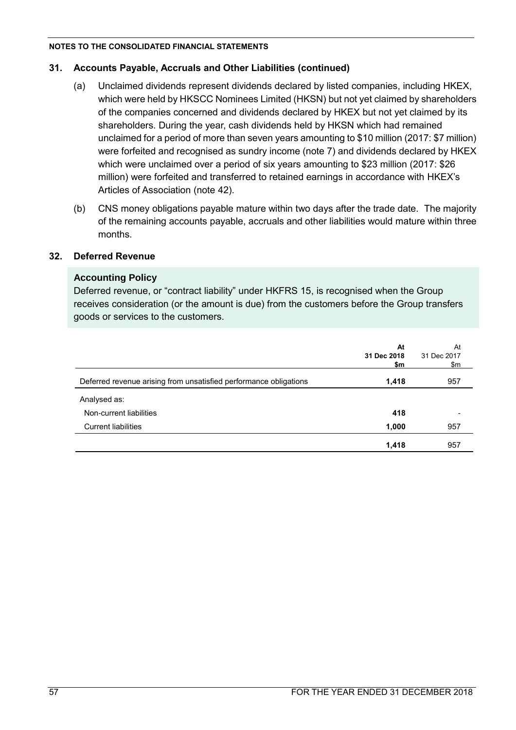# **31. Accounts Payable, Accruals and Other Liabilities (continued)**

- (a) Unclaimed dividends represent dividends declared by listed companies, including HKEX, which were held by HKSCC Nominees Limited (HKSN) but not yet claimed by shareholders of the companies concerned and dividends declared by HKEX but not yet claimed by its shareholders. During the year, cash dividends held by HKSN which had remained unclaimed for a period of more than seven years amounting to \$10 million (2017: \$7 million) were forfeited and recognised as sundry income (note 7) and dividends declared by HKEX which were unclaimed over a period of six years amounting to \$23 million (2017: \$26 million) were forfeited and transferred to retained earnings in accordance with HKEX's Articles of Association (note 42).
- (b) CNS money obligations payable mature within two days after the trade date. The majority of the remaining accounts payable, accruals and other liabilities would mature within three months.

# **32. Deferred Revenue**

# **Accounting Policy**

Deferred revenue, or "contract liability" under HKFRS 15, is recognised when the Group receives consideration (or the amount is due) from the customers before the Group transfers goods or services to the customers.

|                                                                   | At<br>31 Dec 2018<br>\$m | At<br>31 Dec 2017<br>\$m |
|-------------------------------------------------------------------|--------------------------|--------------------------|
| Deferred revenue arising from unsatisfied performance obligations | 1,418                    | 957                      |
| Analysed as:                                                      |                          |                          |
| Non-current liabilities                                           | 418                      |                          |
| <b>Current liabilities</b>                                        | 1,000                    | 957                      |
|                                                                   | 1,418                    | 957                      |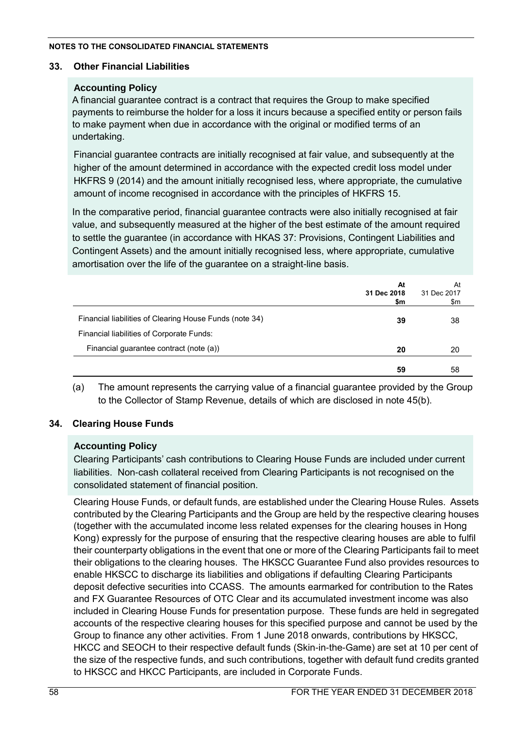# **33. Other Financial Liabilities**

# **Accounting Policy**

A financial guarantee contract is a contract that requires the Group to make specified payments to reimburse the holder for a loss it incurs because a specified entity or person fails to make payment when due in accordance with the original or modified terms of an undertaking.

Financial guarantee contracts are initially recognised at fair value, and subsequently at the higher of the amount determined in accordance with the expected credit loss model under HKFRS 9 (2014) and the amount initially recognised less, where appropriate, the cumulative amount of income recognised in accordance with the principles of HKFRS 15.

In the comparative period, financial guarantee contracts were also initially recognised at fair value, and subsequently measured at the higher of the best estimate of the amount required to settle the guarantee (in accordance with HKAS 37: Provisions, Contingent Liabilities and Contingent Assets) and the amount initially recognised less, where appropriate, cumulative amortisation over the life of the guarantee on a straight-line basis.

|                                                         | At<br>31 Dec 2018<br>\$m | At<br>31 Dec 2017<br>\$m |
|---------------------------------------------------------|--------------------------|--------------------------|
| Financial liabilities of Clearing House Funds (note 34) | 39                       | 38                       |
| Financial liabilities of Corporate Funds:               |                          |                          |
| Financial guarantee contract (note (a))                 | 20                       | 20                       |
|                                                         | 59                       | 58                       |

(a) The amount represents the carrying value of a financial guarantee provided by the Group to the Collector of Stamp Revenue, details of which are disclosed in note 45(b).

# **34. Clearing House Funds**

# **Accounting Policy**

Clearing Participants' cash contributions to Clearing House Funds are included under current liabilities. Non-cash collateral received from Clearing Participants is not recognised on the consolidated statement of financial position.

Clearing House Funds, or default funds, are established under the Clearing House Rules. Assets contributed by the Clearing Participants and the Group are held by the respective clearing houses (together with the accumulated income less related expenses for the clearing houses in Hong Kong) expressly for the purpose of ensuring that the respective clearing houses are able to fulfil their counterparty obligations in the event that one or more of the Clearing Participants fail to meet their obligations to the clearing houses. The HKSCC Guarantee Fund also provides resources to enable HKSCC to discharge its liabilities and obligations if defaulting Clearing Participants deposit defective securities into CCASS. The amounts earmarked for contribution to the Rates and FX Guarantee Resources of OTC Clear and its accumulated investment income was also included in Clearing House Funds for presentation purpose. These funds are held in segregated accounts of the respective clearing houses for this specified purpose and cannot be used by the Group to finance any other activities. From 1 June 2018 onwards, contributions by HKSCC, HKCC and SEOCH to their respective default funds (Skin-in-the-Game) are set at 10 per cent of the size of the respective funds, and such contributions, together with default fund credits granted to HKSCC and HKCC Participants, are included in Corporate Funds.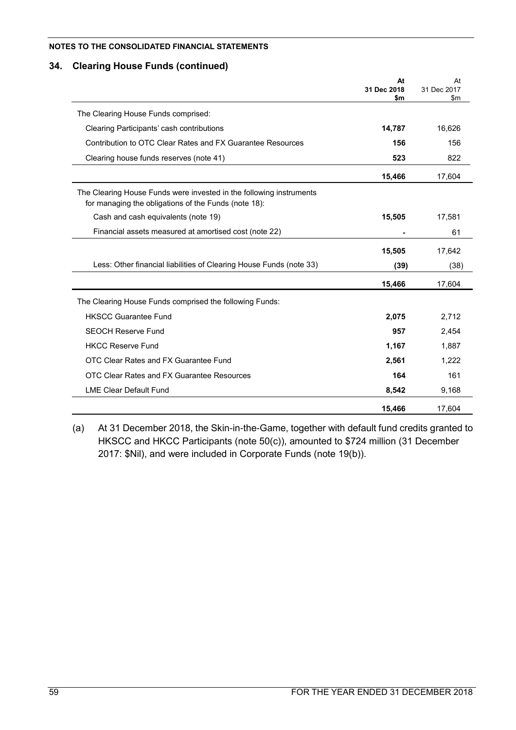# **34. Clearing House Funds (continued)**

|                                                                                                                             | At<br>31 Dec 2018<br>\$m | At<br>31 Dec 2017<br>\$m |
|-----------------------------------------------------------------------------------------------------------------------------|--------------------------|--------------------------|
| The Clearing House Funds comprised:                                                                                         |                          |                          |
|                                                                                                                             |                          |                          |
| Clearing Participants' cash contributions                                                                                   | 14,787                   | 16,626                   |
| Contribution to OTC Clear Rates and FX Guarantee Resources                                                                  | 156                      | 156                      |
| Clearing house funds reserves (note 41)                                                                                     | 523                      | 822                      |
|                                                                                                                             | 15,466                   | 17,604                   |
| The Clearing House Funds were invested in the following instruments<br>for managing the obligations of the Funds (note 18): |                          |                          |
| Cash and cash equivalents (note 19)                                                                                         | 15,505                   | 17,581                   |
| Financial assets measured at amortised cost (note 22)                                                                       |                          | 61                       |
|                                                                                                                             | 15,505                   | 17,642                   |
| Less: Other financial liabilities of Clearing House Funds (note 33)                                                         | (39)                     | (38)                     |
|                                                                                                                             | 15,466                   | 17,604                   |
| The Clearing House Funds comprised the following Funds:                                                                     |                          |                          |
| <b>HKSCC Guarantee Fund</b>                                                                                                 | 2,075                    | 2,712                    |
| <b>SEOCH Reserve Fund</b>                                                                                                   | 957                      | 2,454                    |
| <b>HKCC Reserve Fund</b>                                                                                                    | 1,167                    | 1,887                    |
| OTC Clear Rates and FX Guarantee Fund                                                                                       | 2,561                    | 1,222                    |
| OTC Clear Rates and FX Guarantee Resources                                                                                  | 164                      | 161                      |
| <b>LME Clear Default Fund</b>                                                                                               | 8,542                    | 9,168                    |
|                                                                                                                             | 15,466                   | 17,604                   |

(a) At 31 December 2018, the Skin-in-the-Game, together with default fund credits granted to HKSCC and HKCC Participants (note 50(c)), amounted to \$724 million (31 December 2017: \$Nil), and were included in Corporate Funds (note 19(b)).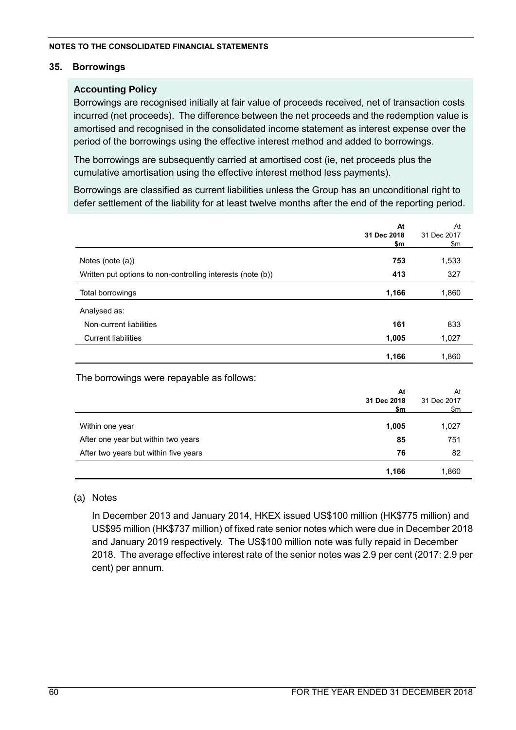# **35. Borrowings**

# **Accounting Policy**

Borrowings are recognised initially at fair value of proceeds received, net of transaction costs incurred (net proceeds). The difference between the net proceeds and the redemption value is amortised and recognised in the consolidated income statement as interest expense over the period of the borrowings using the effective interest method and added to borrowings.

The borrowings are subsequently carried at amortised cost (ie, net proceeds plus the cumulative amortisation using the effective interest method less payments).

Borrowings are classified as current liabilities unless the Group has an unconditional right to defer settlement of the liability for at least twelve months after the end of the reporting period.

|                                                             | At<br>31 Dec 2018<br>\$m | At<br>31 Dec 2017<br>\$m                             |
|-------------------------------------------------------------|--------------------------|------------------------------------------------------|
| Notes (note (a))                                            | 753                      | 1,533                                                |
| Written put options to non-controlling interests (note (b)) | 413                      | 327                                                  |
| Total borrowings                                            | 1,166                    | 1,860                                                |
| Analysed as:                                                |                          |                                                      |
| Non-current liabilities                                     | 161                      | 833                                                  |
| <b>Current liabilities</b>                                  | 1,005                    | 1,027                                                |
|                                                             | 1,166                    | 1,860                                                |
| The borrowings were repayable as follows:                   |                          |                                                      |
|                                                             | At<br>31 Dec 2018<br>\$m | At<br>31 Dec 2017<br>$\frac{\mathsf{m}}{\mathsf{m}}$ |
| Within one year                                             | 1,005                    | 1,027                                                |
| After one year but within two years                         | 85                       | 751                                                  |
| After two years but within five years                       | 76                       | 82                                                   |
|                                                             | 1,166                    | 1,860                                                |

# (a) Notes

In December 2013 and January 2014, HKEX issued US\$100 million (HK\$775 million) and US\$95 million (HK\$737 million) of fixed rate senior notes which were due in December 2018 and January 2019 respectively. The US\$100 million note was fully repaid in December 2018. The average effective interest rate of the senior notes was 2.9 per cent (2017: 2.9 per cent) per annum.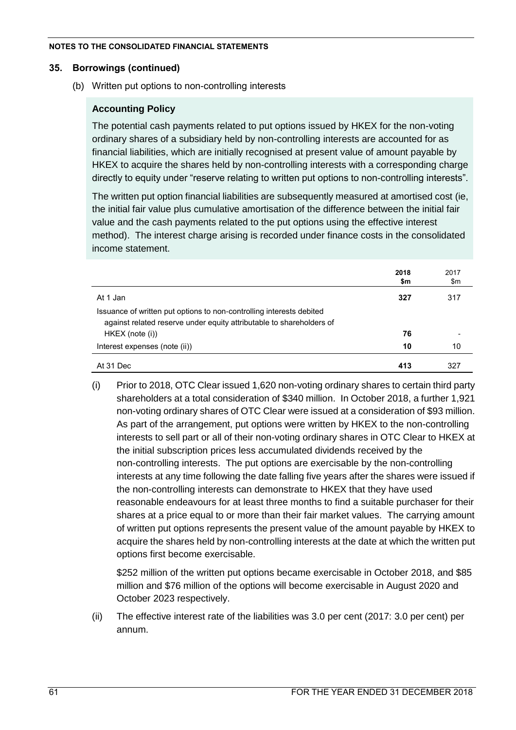### **35. Borrowings (continued)**

(b) Written put options to non-controlling interests

# **Accounting Policy**

The potential cash payments related to put options issued by HKEX for the non-voting ordinary shares of a subsidiary held by non-controlling interests are accounted for as financial liabilities, which are initially recognised at present value of amount payable by HKEX to acquire the shares held by non-controlling interests with a corresponding charge directly to equity under "reserve relating to written put options to non-controlling interests".

The written put option financial liabilities are subsequently measured at amortised cost (ie, the initial fair value plus cumulative amortisation of the difference between the initial fair value and the cash payments related to the put options using the effective interest method). The interest charge arising is recorded under finance costs in the consolidated income statement.

|                                                                                                                                              | 2018<br>\$m | 2017<br>\$m |
|----------------------------------------------------------------------------------------------------------------------------------------------|-------------|-------------|
| At 1 Jan                                                                                                                                     | 327         | 317         |
| Issuance of written put options to non-controlling interests debited<br>against related reserve under equity attributable to shareholders of |             |             |
| HKEX (note (i))                                                                                                                              | 76          |             |
| Interest expenses (note (ii))                                                                                                                | 10          | 10          |
| At 31 Dec                                                                                                                                    | 413         | 327         |

(i) Prior to 2018, OTC Clear issued 1,620 non-voting ordinary shares to certain third party shareholders at a total consideration of \$340 million. In October 2018, a further 1,921 non-voting ordinary shares of OTC Clear were issued at a consideration of \$93 million. As part of the arrangement, put options were written by HKEX to the non-controlling interests to sell part or all of their non-voting ordinary shares in OTC Clear to HKEX at the initial subscription prices less accumulated dividends received by the non-controlling interests. The put options are exercisable by the non-controlling interests at any time following the date falling five years after the shares were issued if the non-controlling interests can demonstrate to HKEX that they have used reasonable endeavours for at least three months to find a suitable purchaser for their shares at a price equal to or more than their fair market values. The carrying amount of written put options represents the present value of the amount payable by HKEX to acquire the shares held by non-controlling interests at the date at which the written put options first become exercisable.

\$252 million of the written put options became exercisable in October 2018, and \$85 million and \$76 million of the options will become exercisable in August 2020 and October 2023 respectively.

(ii) The effective interest rate of the liabilities was 3.0 per cent (2017: 3.0 per cent) per annum.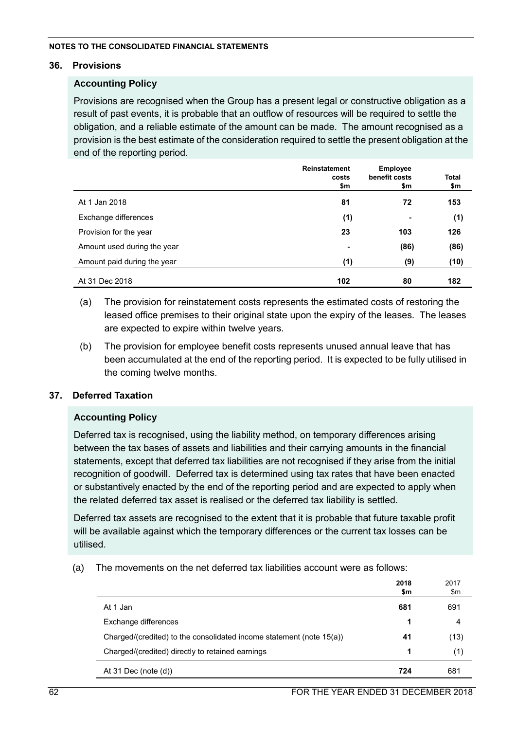### **36. Provisions**

# **Accounting Policy**

Provisions are recognised when the Group has a present legal or constructive obligation as a result of past events, it is probable that an outflow of resources will be required to settle the obligation, and a reliable estimate of the amount can be made. The amount recognised as a provision is the best estimate of the consideration required to settle the present obligation at the end of the reporting period.

|                             | <b>Reinstatement</b><br>costs<br>\$m | <b>Employee</b><br>benefit costs<br>\$m | <b>Total</b><br>\$m |
|-----------------------------|--------------------------------------|-----------------------------------------|---------------------|
| At 1 Jan 2018               | 81                                   | 72                                      | 153                 |
| Exchange differences        | (1)                                  | $\blacksquare$                          | (1)                 |
| Provision for the year      | 23                                   | 103                                     | 126                 |
| Amount used during the year | $\blacksquare$                       | (86)                                    | (86)                |
| Amount paid during the year | (1)                                  | (9)                                     | (10)                |
| At 31 Dec 2018              | 102                                  | 80                                      | 182                 |

- (a) The provision for reinstatement costs represents the estimated costs of restoring the leased office premises to their original state upon the expiry of the leases. The leases are expected to expire within twelve years.
- (b) The provision for employee benefit costs represents unused annual leave that has been accumulated at the end of the reporting period. It is expected to be fully utilised in the coming twelve months.

# **37. Deferred Taxation**

# **Accounting Policy**

Deferred tax is recognised, using the liability method, on temporary differences arising between the tax bases of assets and liabilities and their carrying amounts in the financial statements, except that deferred tax liabilities are not recognised if they arise from the initial recognition of goodwill. Deferred tax is determined using tax rates that have been enacted or substantively enacted by the end of the reporting period and are expected to apply when the related deferred tax asset is realised or the deferred tax liability is settled.

Deferred tax assets are recognised to the extent that it is probable that future taxable profit will be available against which the temporary differences or the current tax losses can be utilised.

(a) The movements on the net deferred tax liabilities account were as follows:

|                                                                      | 2018<br>\$m | 2017<br>\$m |
|----------------------------------------------------------------------|-------------|-------------|
| At 1 Jan                                                             | 681         | 691         |
| Exchange differences                                                 | 1           | 4           |
| Charged/(credited) to the consolidated income statement (note 15(a)) | 41          | (13)        |
| Charged/(credited) directly to retained earnings                     | 1           | (1)         |
| At 31 Dec (note $(d)$ )                                              | 724         | 681         |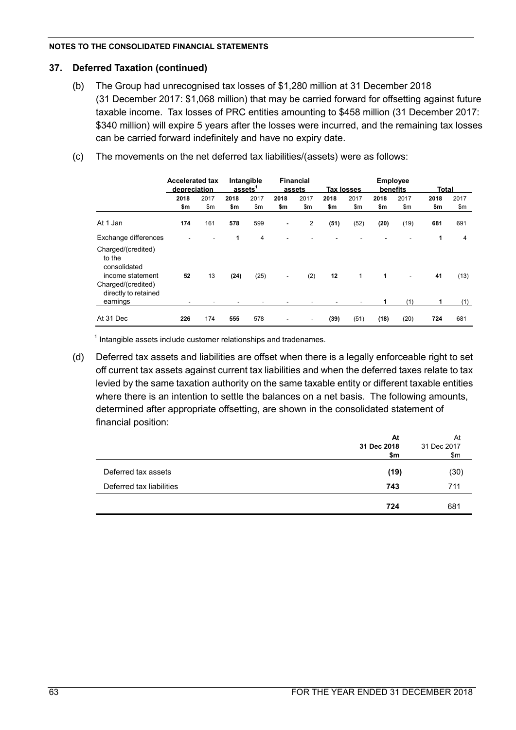## **37. Deferred Taxation (continued)**

- (b) The Group had unrecognised tax losses of \$1,280 million at 31 December 2018 (31 December 2017: \$1,068 million) that may be carried forward for offsetting against future taxable income. Tax losses of PRC entities amounting to \$458 million (31 December 2017: \$340 million) will expire 5 years after the losses were incurred, and the remaining tax losses can be carried forward indefinitely and have no expiry date.
- (c) The movements on the net deferred tax liabilities/(assets) were as follows:

|                                                                | <b>Accelerated tax</b><br>depreciation |      |      | Intangible<br>assets <sup>1</sup> |                | <b>Financial</b><br>assets |      | <b>Tax losses</b> |      | <b>Employee</b><br>benefits | <b>Total</b> |      |
|----------------------------------------------------------------|----------------------------------------|------|------|-----------------------------------|----------------|----------------------------|------|-------------------|------|-----------------------------|--------------|------|
|                                                                | 2018                                   | 2017 | 2018 | 2017                              | 2018           | 2017                       | 2018 | 2017              | 2018 | 2017                        | 2018         | 2017 |
|                                                                | \$m                                    | \$m  | \$m  | \$m                               | \$m            | \$m                        | \$m  | \$m               | \$m  | \$m                         | \$m          | \$m  |
| At 1 Jan                                                       | 174                                    | 161  | 578  | 599                               | $\blacksquare$ | 2                          | (51) | (52)              | (20) | (19)                        | 681          | 691  |
| Exchange differences                                           | $\blacksquare$                         |      | 1    | 4                                 |                |                            |      |                   |      |                             | 1            | 4    |
| Charged/(credited)<br>to the<br>consolidated                   |                                        |      |      |                                   |                |                            |      |                   |      |                             |              |      |
| income statement<br>Charged/(credited)<br>directly to retained | 52                                     | 13   | (24) | (25)                              | $\blacksquare$ | (2)                        | 12   | 1                 | 1    | $\blacksquare$              | 41           | (13) |
| earnings                                                       | ٠                                      |      |      |                                   |                |                            |      |                   |      | (1)                         | 1            | (1)  |
| At 31 Dec                                                      | 226                                    | 174  | 555  | 578                               |                |                            | (39) | (51)              | (18) | (20)                        | 724          | 681  |

 $1$  Intangible assets include customer relationships and tradenames.

(d) Deferred tax assets and liabilities are offset when there is a legally enforceable right to set off current tax assets against current tax liabilities and when the deferred taxes relate to tax levied by the same taxation authority on the same taxable entity or different taxable entities where there is an intention to settle the balances on a net basis. The following amounts, determined after appropriate offsetting, are shown in the consolidated statement of financial position:

|                          | At<br>31 Dec 2018<br>\$m | At<br>31 Dec 2017<br>\$m\$ |
|--------------------------|--------------------------|----------------------------|
| Deferred tax assets      | (19)                     | (30)                       |
| Deferred tax liabilities | 743                      | 711                        |
|                          | 724                      | 681                        |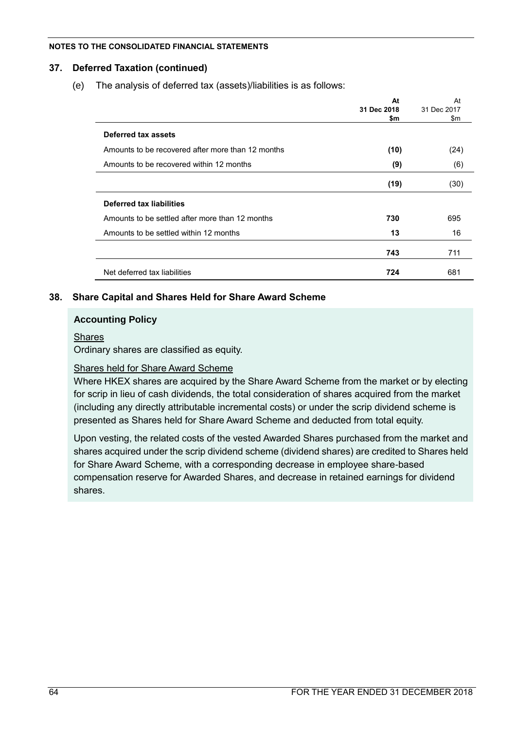# **37. Deferred Taxation (continued)**

(e) The analysis of deferred tax (assets)/liabilities is as follows:

|                                                   | At<br>31 Dec 2018<br>\$m | At<br>31 Dec 2017<br>\$m |
|---------------------------------------------------|--------------------------|--------------------------|
| Deferred tax assets                               |                          |                          |
| Amounts to be recovered after more than 12 months | (10)                     | (24)                     |
| Amounts to be recovered within 12 months          | (9)                      | (6)                      |
|                                                   | (19)                     | (30)                     |
| Deferred tax liabilities                          |                          |                          |
| Amounts to be settled after more than 12 months   | 730                      | 695                      |
| Amounts to be settled within 12 months            | 13                       | 16                       |
|                                                   | 743                      | 711                      |
| Net deferred tax liabilities                      | 724                      | 681                      |

# **38. Share Capital and Shares Held for Share Award Scheme**

# **Accounting Policy**

### **Shares**

Ordinary shares are classified as equity.

# Shares held for Share Award Scheme

Where HKEX shares are acquired by the Share Award Scheme from the market or by electing for scrip in lieu of cash dividends, the total consideration of shares acquired from the market (including any directly attributable incremental costs) or under the scrip dividend scheme is presented as Shares held for Share Award Scheme and deducted from total equity.

Upon vesting, the related costs of the vested Awarded Shares purchased from the market and shares acquired under the scrip dividend scheme (dividend shares) are credited to Shares held for Share Award Scheme, with a corresponding decrease in employee share-based compensation reserve for Awarded Shares, and decrease in retained earnings for dividend shares.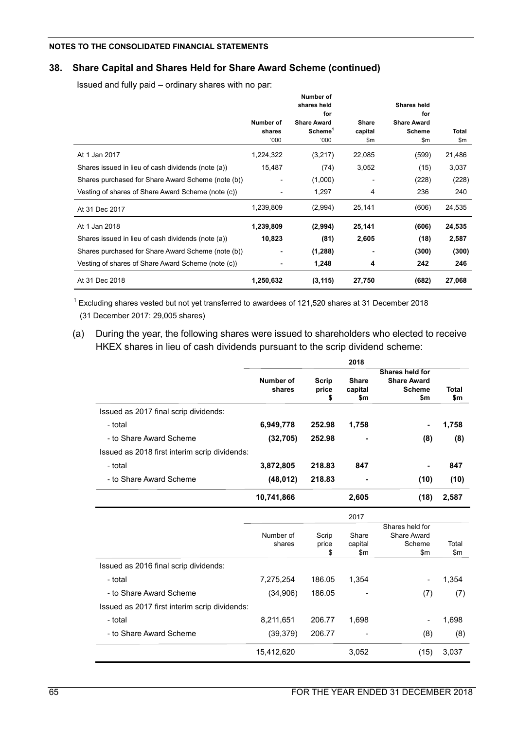# **38. Share Capital and Shares Held for Share Award Scheme (continued)**

Issued and fully paid – ordinary shares with no par:

|                                                    | Number of<br>shares<br>'000 | Number of<br>shares held<br>for<br><b>Share Award</b><br>Scheme <sup>1</sup><br>'000 | Share<br>capital<br>\$m | Shares held<br>for<br><b>Share Award</b><br><b>Scheme</b><br>\$m | <b>Total</b><br>\$m |
|----------------------------------------------------|-----------------------------|--------------------------------------------------------------------------------------|-------------------------|------------------------------------------------------------------|---------------------|
| At 1 Jan 2017                                      | 1,224,322                   | (3,217)                                                                              | 22,085                  | (599)                                                            | 21,486              |
| Shares issued in lieu of cash dividends (note (a)) | 15,487                      | (74)                                                                                 | 3,052                   | (15)                                                             | 3,037               |
| Shares purchased for Share Award Scheme (note (b)) |                             | (1,000)                                                                              |                         | (228)                                                            | (228)               |
| Vesting of shares of Share Award Scheme (note (c)) |                             | 1,297                                                                                | 4                       | 236                                                              | 240                 |
| At 31 Dec 2017                                     | 1,239,809                   | (2,994)                                                                              | 25,141                  | (606)                                                            | 24,535              |
| At 1 Jan 2018                                      | 1,239,809                   | (2,994)                                                                              | 25,141                  | (606)                                                            | 24,535              |
| Shares issued in lieu of cash dividends (note (a)) | 10,823                      | (81)                                                                                 | 2,605                   | (18)                                                             | 2,587               |
| Shares purchased for Share Award Scheme (note (b)) |                             | (1,288)                                                                              |                         | (300)                                                            | (300)               |
| Vesting of shares of Share Award Scheme (note (c)) |                             | 1,248                                                                                | 4                       | 242                                                              | 246                 |
| At 31 Dec 2018                                     | 1,250,632                   | (3, 115)                                                                             | 27,750                  | (682)                                                            | 27,068              |

 $1$  Excluding shares vested but not yet transferred to awardees of 121,520 shares at 31 December 2018 (31 December 2017: 29,005 shares)

(a) During the year, the following shares were issued to shareholders who elected to receive HKEX shares in lieu of cash dividends pursuant to the scrip dividend scheme:

|                                               |                     |                      | 2018                              |                                                               |                     |
|-----------------------------------------------|---------------------|----------------------|-----------------------------------|---------------------------------------------------------------|---------------------|
|                                               | Number of<br>shares | Scrip<br>price<br>\$ | <b>Share</b><br>capital<br>\$m    | Shares held for<br><b>Share Award</b><br><b>Scheme</b><br>\$m | <b>Total</b><br>\$m |
| Issued as 2017 final scrip dividends:         |                     |                      |                                   |                                                               |                     |
| - total                                       | 6,949,778           | 252.98               | 1,758                             | $\blacksquare$                                                | 1,758               |
| - to Share Award Scheme                       | (32, 705)           | 252.98               |                                   | (8)                                                           | (8)                 |
| Issued as 2018 first interim scrip dividends: |                     |                      |                                   |                                                               |                     |
| - total                                       | 3,872,805           | 218.83               | 847                               |                                                               | 847                 |
| - to Share Award Scheme                       | (48, 012)           | 218.83               |                                   | (10)                                                          | (10)                |
|                                               | 10,741,866          |                      | 2,605                             | (18)                                                          | 2,587               |
|                                               |                     |                      | 2017                              |                                                               |                     |
|                                               | Number of<br>shares | Scrip<br>price<br>\$ | Share<br>capital<br>$\mathsf{Sm}$ | Shares held for<br><b>Share Award</b><br>Scheme<br>\$m\$      | Total<br>\$m\$      |
| Issued as 2016 final scrip dividends:         |                     |                      |                                   |                                                               |                     |
| - total                                       | 7,275,254           | 186.05               | 1,354                             | ٠                                                             | 1,354               |
| - to Share Award Scheme                       | (34,906)            | 186.05               |                                   | (7)                                                           | (7)                 |
| Issued as 2017 first interim scrip dividends: |                     |                      |                                   |                                                               |                     |
| - total                                       | 8,211,651           | 206.77               | 1,698                             |                                                               | 1,698               |
| - to Share Award Scheme                       | (39, 379)           | 206.77               |                                   | (8)                                                           | (8)                 |
|                                               | 15,412,620          |                      | 3,052                             | (15)                                                          | 3,037               |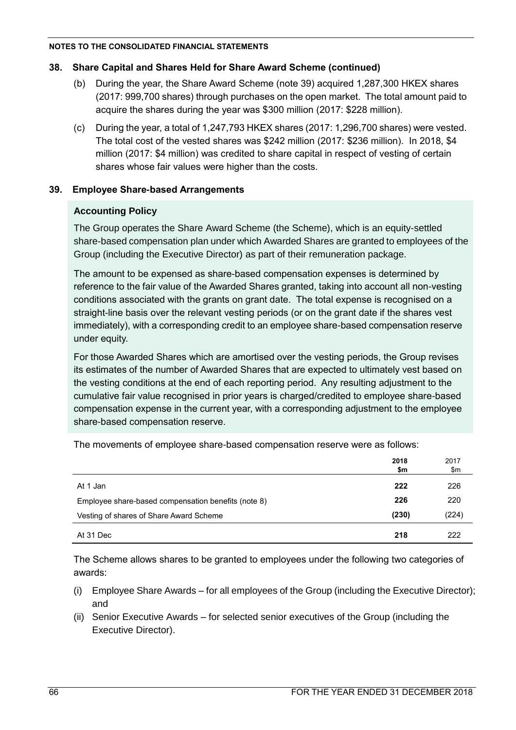# **38. Share Capital and Shares Held for Share Award Scheme (continued)**

- (b) During the year, the Share Award Scheme (note 39) acquired 1,287,300 HKEX shares (2017: 999,700 shares) through purchases on the open market. The total amount paid to acquire the shares during the year was \$300 million (2017: \$228 million).
- (c) During the year, a total of 1,247,793 HKEX shares (2017: 1,296,700 shares) were vested. The total cost of the vested shares was \$242 million (2017: \$236 million). In 2018, \$4 million (2017: \$4 million) was credited to share capital in respect of vesting of certain shares whose fair values were higher than the costs.

# **39. Employee Share-based Arrangements**

# **Accounting Policy**

The Group operates the Share Award Scheme (the Scheme), which is an equity-settled share-based compensation plan under which Awarded Shares are granted to employees of the Group (including the Executive Director) as part of their remuneration package.

The amount to be expensed as share-based compensation expenses is determined by reference to the fair value of the Awarded Shares granted, taking into account all non-vesting conditions associated with the grants on grant date. The total expense is recognised on a straight-line basis over the relevant vesting periods (or on the grant date if the shares vest immediately), with a corresponding credit to an employee share-based compensation reserve under equity.

For those Awarded Shares which are amortised over the vesting periods, the Group revises its estimates of the number of Awarded Shares that are expected to ultimately vest based on the vesting conditions at the end of each reporting period. Any resulting adjustment to the cumulative fair value recognised in prior years is charged/credited to employee share-based compensation expense in the current year, with a corresponding adjustment to the employee share-based compensation reserve.

|                                                     | 2018<br>\$m | 2017<br>\$m |
|-----------------------------------------------------|-------------|-------------|
| At 1 Jan                                            | 222         | 226         |
| Employee share-based compensation benefits (note 8) | 226         | 220         |
| Vesting of shares of Share Award Scheme             | (230)       | (224)       |
| At 31 Dec                                           | 218         | 222         |

The movements of employee share-based compensation reserve were as follows:

The Scheme allows shares to be granted to employees under the following two categories of awards:

- (i) Employee Share Awards for all employees of the Group (including the Executive Director); and
- (ii) Senior Executive Awards for selected senior executives of the Group (including the Executive Director).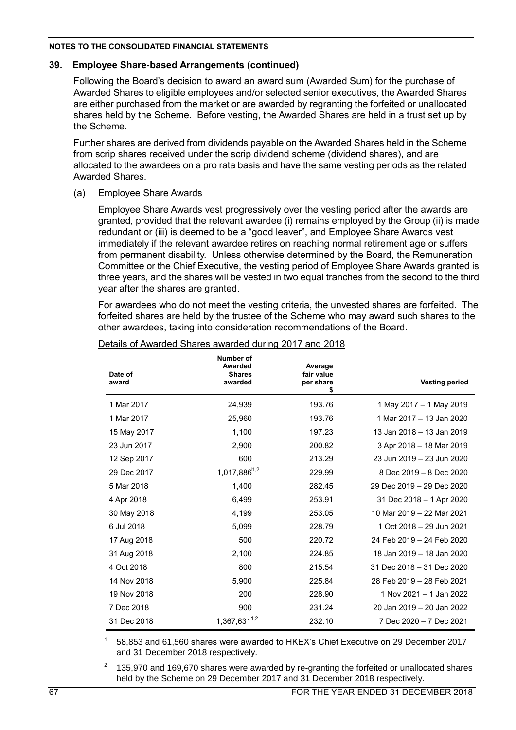## **39. Employee Share-based Arrangements (continued)**

Following the Board's decision to award an award sum (Awarded Sum) for the purchase of Awarded Shares to eligible employees and/or selected senior executives, the Awarded Shares are either purchased from the market or are awarded by regranting the forfeited or unallocated shares held by the Scheme. Before vesting, the Awarded Shares are held in a trust set up by the Scheme.

Further shares are derived from dividends payable on the Awarded Shares held in the Scheme from scrip shares received under the scrip dividend scheme (dividend shares), and are allocated to the awardees on a pro rata basis and have the same vesting periods as the related Awarded Shares.

(a) Employee Share Awards

Employee Share Awards vest progressively over the vesting period after the awards are granted, provided that the relevant awardee (i) remains employed by the Group (ii) is made redundant or (iii) is deemed to be a "good leaver", and Employee Share Awards vest immediately if the relevant awardee retires on reaching normal retirement age or suffers from permanent disability. Unless otherwise determined by the Board, the Remuneration Committee or the Chief Executive, the vesting period of Employee Share Awards granted is three years, and the shares will be vested in two equal tranches from the second to the third year after the shares are granted.

For awardees who do not meet the vesting criteria, the unvested shares are forfeited. The forfeited shares are held by the trustee of the Scheme who may award such shares to the other awardees, taking into consideration recommendations of the Board.

| Date of<br>award | Number of<br>Awarded<br><b>Shares</b><br>awarded | Average<br>fair value<br>per share<br>\$ | <b>Vesting period</b>     |
|------------------|--------------------------------------------------|------------------------------------------|---------------------------|
| 1 Mar 2017       | 24,939                                           | 193.76                                   | 1 May 2017 - 1 May 2019   |
| 1 Mar 2017       | 25,960                                           | 193.76                                   | 1 Mar 2017 - 13 Jan 2020  |
| 15 May 2017      | 1,100                                            | 197.23                                   | 13 Jan 2018 - 13 Jan 2019 |
| 23 Jun 2017      | 2,900                                            | 200.82                                   | 3 Apr 2018 - 18 Mar 2019  |
| 12 Sep 2017      | 600                                              | 213.29                                   | 23 Jun 2019 - 23 Jun 2020 |
| 29 Dec 2017      | 1,017,886 <sup>1,2</sup>                         | 229.99                                   | 8 Dec 2019 - 8 Dec 2020   |
| 5 Mar 2018       | 1,400                                            | 282.45                                   | 29 Dec 2019 - 29 Dec 2020 |
| 4 Apr 2018       | 6,499                                            | 253.91                                   | 31 Dec 2018 - 1 Apr 2020  |
| 30 May 2018      | 4,199                                            | 253.05                                   | 10 Mar 2019 - 22 Mar 2021 |
| 6 Jul 2018       | 5,099                                            | 228.79                                   | 1 Oct 2018 - 29 Jun 2021  |
| 17 Aug 2018      | 500                                              | 220.72                                   | 24 Feb 2019 - 24 Feb 2020 |
| 31 Aug 2018      | 2,100                                            | 224.85                                   | 18 Jan 2019 - 18 Jan 2020 |
| 4 Oct 2018       | 800                                              | 215.54                                   | 31 Dec 2018 - 31 Dec 2020 |
| 14 Nov 2018      | 5,900                                            | 225.84                                   | 28 Feb 2019 - 28 Feb 2021 |
| 19 Nov 2018      | 200                                              | 228.90                                   | 1 Nov 2021 - 1 Jan 2022   |
| 7 Dec 2018       | 900                                              | 231.24                                   | 20 Jan 2019 - 20 Jan 2022 |
| 31 Dec 2018      | $1,367,631^{1,2}$                                | 232.10                                   | 7 Dec 2020 - 7 Dec 2021   |

#### Details of Awarded Shares awarded during 2017 and 2018

1 58,853 and 61,560 shares were awarded to HKEX's Chief Executive on 29 December 2017 and 31 December 2018 respectively.

<sup>2</sup> 135,970 and 169,670 shares were awarded by re-granting the forfeited or unallocated shares held by the Scheme on 29 December 2017 and 31 December 2018 respectively.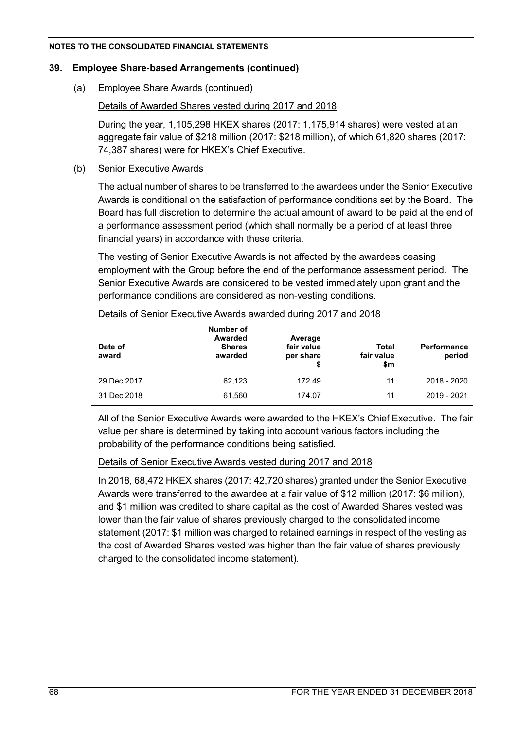# **39. Employee Share-based Arrangements (continued)**

(a) Employee Share Awards (continued)

# Details of Awarded Shares vested during 2017 and 2018

During the year, 1,105,298 HKEX shares (2017: 1,175,914 shares) were vested at an aggregate fair value of \$218 million (2017: \$218 million), of which 61,820 shares (2017: 74,387 shares) were for HKEX's Chief Executive.

(b) Senior Executive Awards

The actual number of shares to be transferred to the awardees under the Senior Executive Awards is conditional on the satisfaction of performance conditions set by the Board. The Board has full discretion to determine the actual amount of award to be paid at the end of a performance assessment period (which shall normally be a period of at least three financial years) in accordance with these criteria.

The vesting of Senior Executive Awards is not affected by the awardees ceasing employment with the Group before the end of the performance assessment period. The Senior Executive Awards are considered to be vested immediately upon grant and the performance conditions are considered as non-vesting conditions.

| Date of<br>award | Number of<br><b>Awarded</b><br><b>Shares</b><br>awarded | Average<br>fair value<br>per share | Total<br>fair value<br>\$m | <b>Performance</b><br>period |
|------------------|---------------------------------------------------------|------------------------------------|----------------------------|------------------------------|
| 29 Dec 2017      | 62,123                                                  | 172.49                             | 11                         | 2018 - 2020                  |
| 31 Dec 2018      | 61,560                                                  | 174.07                             | 11                         | 2019 - 2021                  |

### Details of Senior Executive Awards awarded during 2017 and 2018

All of the Senior Executive Awards were awarded to the HKEX's Chief Executive. The fair value per share is determined by taking into account various factors including the probability of the performance conditions being satisfied.

# Details of Senior Executive Awards vested during 2017 and 2018

In 2018, 68,472 HKEX shares (2017: 42,720 shares) granted under the Senior Executive Awards were transferred to the awardee at a fair value of \$12 million (2017: \$6 million), and \$1 million was credited to share capital as the cost of Awarded Shares vested was lower than the fair value of shares previously charged to the consolidated income statement (2017: \$1 million was charged to retained earnings in respect of the vesting as the cost of Awarded Shares vested was higher than the fair value of shares previously charged to the consolidated income statement).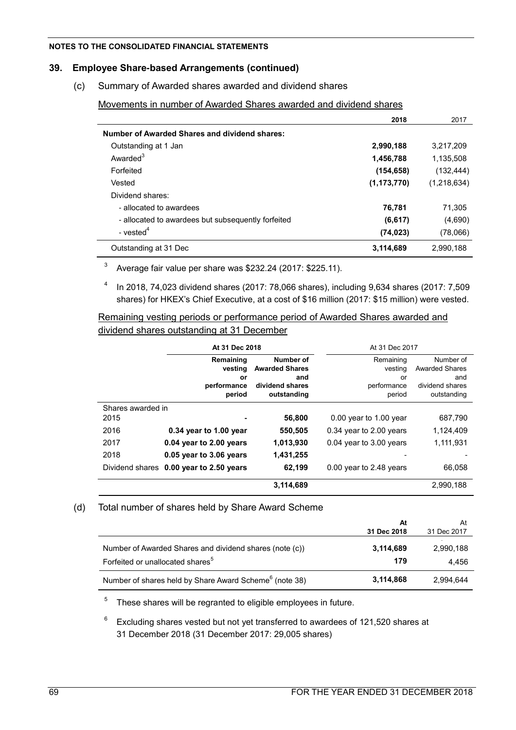### **39. Employee Share-based Arrangements (continued)**

(c) Summary of Awarded shares awarded and dividend shares

Movements in number of Awarded Shares awarded and dividend shares

|                                                    | 2018          | 2017        |
|----------------------------------------------------|---------------|-------------|
| Number of Awarded Shares and dividend shares:      |               |             |
| Outstanding at 1 Jan                               | 2,990,188     | 3,217,209   |
| Awarded <sup>3</sup>                               | 1,456,788     | 1,135,508   |
| Forfeited                                          | (154, 658)    | (132, 444)  |
| Vested                                             | (1, 173, 770) | (1,218,634) |
| Dividend shares:                                   |               |             |
| - allocated to awardees                            | 76.781        | 71.305      |
| - allocated to awardees but subsequently forfeited | (6, 617)      | (4,690)     |
| - vested <sup>4</sup>                              | (74, 023)     | (78,066)    |
| Outstanding at 31 Dec                              | 3,114,689     | 2,990,188   |

<sup>3</sup> Average fair value per share was \$232.24 (2017: \$225.11).

 $4$  In 2018, 74,023 dividend shares (2017: 78,066 shares), including 9,634 shares (2017: 7,509 shares) for HKEX's Chief Executive, at a cost of \$16 million (2017: \$15 million) were vested.

Remaining vesting periods or performance period of Awarded Shares awarded and dividend shares outstanding at 31 December

|                   | At 31 Dec 2018          |                                    | At 31 Dec 2017           |                                    |
|-------------------|-------------------------|------------------------------------|--------------------------|------------------------------------|
|                   | Remaining<br>vesting    | Number of<br><b>Awarded Shares</b> | Remaining<br>vesting     | Number of<br><b>Awarded Shares</b> |
|                   | or                      | and                                | or                       | and                                |
|                   | performance<br>period   | dividend shares<br>outstanding     | performance<br>period    | dividend shares<br>outstanding     |
| Shares awarded in |                         |                                    |                          |                                    |
| 2015              |                         | 56,800                             | $0.00$ year to 1.00 year | 687,790                            |
| 2016              | 0.34 year to 1.00 year  | 550,505                            | 0.34 year to 2.00 years  | 1,124,409                          |
| 2017              | 0.04 year to 2.00 years | 1,013,930                          | 0.04 year to 3.00 years  | 1,111,931                          |
| 2018              | 0.05 year to 3.06 years | 1,431,255                          |                          |                                    |
| Dividend shares   | 0.00 year to 2.50 years | 62,199                             | 0.00 year to 2.48 years  | 66,058                             |
|                   |                         | 3,114,689                          |                          | 2.990.188                          |

### (d) Total number of shares held by Share Award Scheme

|                                                                                                         | At<br>31 Dec 2018 | At<br>31 Dec 2017  |
|---------------------------------------------------------------------------------------------------------|-------------------|--------------------|
| Number of Awarded Shares and dividend shares (note (c))<br>Forfeited or unallocated shares <sup>5</sup> | 3,114,689<br>179  | 2,990,188<br>4.456 |
| Number of shares held by Share Award Scheme <sup>6</sup> (note 38)                                      | 3,114,868         | 2.994.644          |

 $5$  These shares will be regranted to eligible employees in future.

6 Excluding shares vested but not yet transferred to awardees of 121,520 shares at 31 December 2018 (31 December 2017: 29,005 shares)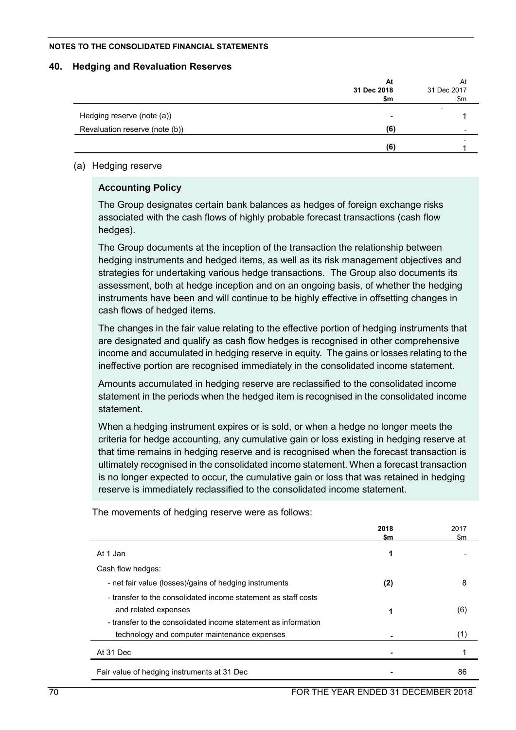### **40. Hedging and Revaluation Reserves**

|                                | At<br>31 Dec 2018 | At<br>31 Dec 2017 |
|--------------------------------|-------------------|-------------------|
|                                | \$m               | $\mathsf{Sm}$     |
| Hedging reserve (note (a))     | $\blacksquare$    |                   |
| Revaluation reserve (note (b)) | (6)               |                   |
|                                | (6)               |                   |

# (a) Hedging reserve

# **Accounting Policy**

The Group designates certain bank balances as hedges of foreign exchange risks associated with the cash flows of highly probable forecast transactions (cash flow hedges).

The Group documents at the inception of the transaction the relationship between hedging instruments and hedged items, as well as its risk management objectives and strategies for undertaking various hedge transactions. The Group also documents its assessment, both at hedge inception and on an ongoing basis, of whether the hedging instruments have been and will continue to be highly effective in offsetting changes in cash flows of hedged items.

The changes in the fair value relating to the effective portion of hedging instruments that are designated and qualify as cash flow hedges is recognised in other comprehensive income and accumulated in hedging reserve in equity. The gains or losses relating to the ineffective portion are recognised immediately in the consolidated income statement.

Amounts accumulated in hedging reserve are reclassified to the consolidated income statement in the periods when the hedged item is recognised in the consolidated income statement.

When a hedging instrument expires or is sold, or when a hedge no longer meets the criteria for hedge accounting, any cumulative gain or loss existing in hedging reserve at that time remains in hedging reserve and is recognised when the forecast transaction is ultimately recognised in the consolidated income statement. When a forecast transaction is no longer expected to occur, the cumulative gain or loss that was retained in hedging reserve is immediately reclassified to the consolidated income statement.

|                                                                | 2018 | 2017 |
|----------------------------------------------------------------|------|------|
|                                                                | \$m  | \$m  |
| At 1 Jan                                                       | 1    |      |
| Cash flow hedges:                                              |      |      |
| - net fair value (losses)/gains of hedging instruments         | (2)  | 8    |
| - transfer to the consolidated income statement as staff costs |      |      |
| and related expenses                                           | 1    | (6)  |
| - transfer to the consolidated income statement as information |      |      |
| technology and computer maintenance expenses                   |      | (1)  |
| At 31 Dec                                                      |      |      |
| Fair value of hedging instruments at 31 Dec                    |      | 86   |

The movements of hedging reserve were as follows: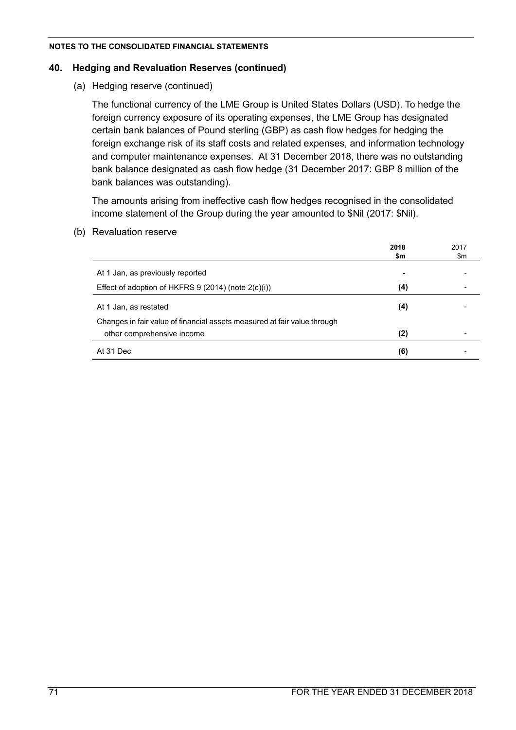# **40. Hedging and Revaluation Reserves (continued)**

(a) Hedging reserve (continued)

The functional currency of the LME Group is United States Dollars (USD). To hedge the foreign currency exposure of its operating expenses, the LME Group has designated certain bank balances of Pound sterling (GBP) as cash flow hedges for hedging the foreign exchange risk of its staff costs and related expenses, and information technology and computer maintenance expenses. At 31 December 2018, there was no outstanding bank balance designated as cash flow hedge (31 December 2017: GBP 8 million of the bank balances was outstanding).

The amounts arising from ineffective cash flow hedges recognised in the consolidated income statement of the Group during the year amounted to \$Nil (2017: \$Nil).

(b) Revaluation reserve

|                                                                          | 2018 | 2017 |
|--------------------------------------------------------------------------|------|------|
|                                                                          | \$m  | \$m  |
| At 1 Jan, as previously reported                                         |      |      |
| Effect of adoption of HKFRS 9 (2014) (note 2(c)(i))                      | (4)  |      |
| At 1 Jan, as restated                                                    | (4)  |      |
| Changes in fair value of financial assets measured at fair value through |      |      |
| other comprehensive income                                               | (2)  |      |
| At 31 Dec                                                                | (6)  |      |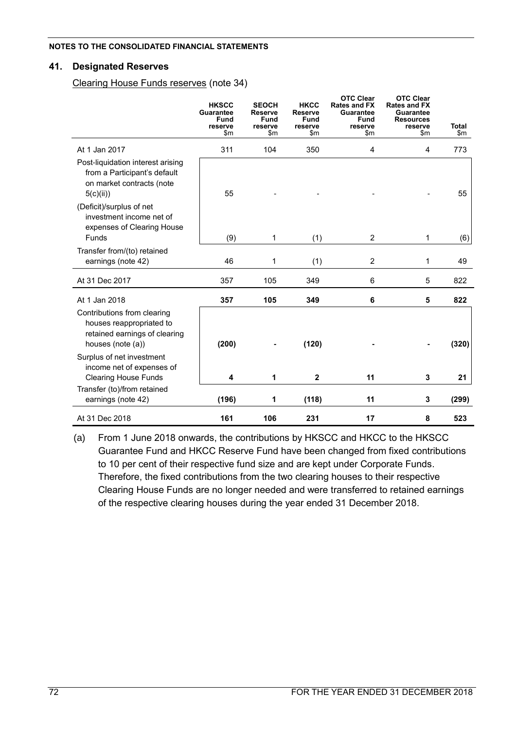## **41. Designated Reserves**

Clearing House Funds reserves (note 34)

|                                                                                                               | <b>HKSCC</b><br><b>Guarantee</b><br><b>Fund</b><br>reserve<br>$\mathsf{sm}$ | <b>SEOCH</b><br>Reserve<br><b>Fund</b><br>reserve<br>$\mathsf{Sm}$ | <b>HKCC</b><br>Reserve<br><b>Fund</b><br>reserve<br>$\mathsf{Sm}$ | <b>OTC Clear</b><br><b>Rates and FX</b><br>Guarantee<br>Fund<br>reserve<br>$\mathsf{Sm}$ | <b>OTC Clear</b><br><b>Rates and FX</b><br><b>Guarantee</b><br><b>Resources</b><br>reserve<br>$\mathsf{Sm}$ | <b>Total</b><br>\$m |
|---------------------------------------------------------------------------------------------------------------|-----------------------------------------------------------------------------|--------------------------------------------------------------------|-------------------------------------------------------------------|------------------------------------------------------------------------------------------|-------------------------------------------------------------------------------------------------------------|---------------------|
| At 1 Jan 2017                                                                                                 | 311                                                                         | 104                                                                | 350                                                               | 4                                                                                        | 4                                                                                                           | 773                 |
| Post-liquidation interest arising<br>from a Participant's default<br>on market contracts (note<br>5(c)(ii))   | 55                                                                          |                                                                    |                                                                   |                                                                                          |                                                                                                             | 55                  |
| (Deficit)/surplus of net<br>investment income net of<br>expenses of Clearing House<br>Funds                   |                                                                             |                                                                    |                                                                   |                                                                                          |                                                                                                             |                     |
|                                                                                                               | (9)                                                                         | 1                                                                  | (1)                                                               | $\overline{2}$                                                                           | 1                                                                                                           | (6)                 |
| Transfer from/(to) retained<br>earnings (note 42)                                                             | 46                                                                          | 1                                                                  | (1)                                                               | $\overline{2}$                                                                           | 1                                                                                                           | 49                  |
| At 31 Dec 2017                                                                                                | 357                                                                         | 105                                                                | 349                                                               | 6                                                                                        | 5                                                                                                           | 822                 |
| At 1 Jan 2018                                                                                                 | 357                                                                         | 105                                                                | 349                                                               | 6                                                                                        | 5                                                                                                           | 822                 |
| Contributions from clearing<br>houses reappropriated to<br>retained earnings of clearing<br>houses (note (a)) | (200)                                                                       |                                                                    | (120)                                                             |                                                                                          |                                                                                                             | (320)               |
| Surplus of net investment<br>income net of expenses of<br><b>Clearing House Funds</b>                         | 4                                                                           | 1                                                                  | $\mathbf 2$                                                       | 11                                                                                       | 3                                                                                                           | 21                  |
| Transfer (to)/from retained<br>earnings (note 42)                                                             | (196)                                                                       | 1                                                                  | (118)                                                             | 11                                                                                       | 3                                                                                                           | (299)               |
| At 31 Dec 2018                                                                                                | 161                                                                         | 106                                                                | 231                                                               | 17                                                                                       | 8                                                                                                           | 523                 |

(a) From 1 June 2018 onwards, the contributions by HKSCC and HKCC to the HKSCC Guarantee Fund and HKCC Reserve Fund have been changed from fixed contributions to 10 per cent of their respective fund size and are kept under Corporate Funds. Therefore, the fixed contributions from the two clearing houses to their respective Clearing House Funds are no longer needed and were transferred to retained earnings of the respective clearing houses during the year ended 31 December 2018.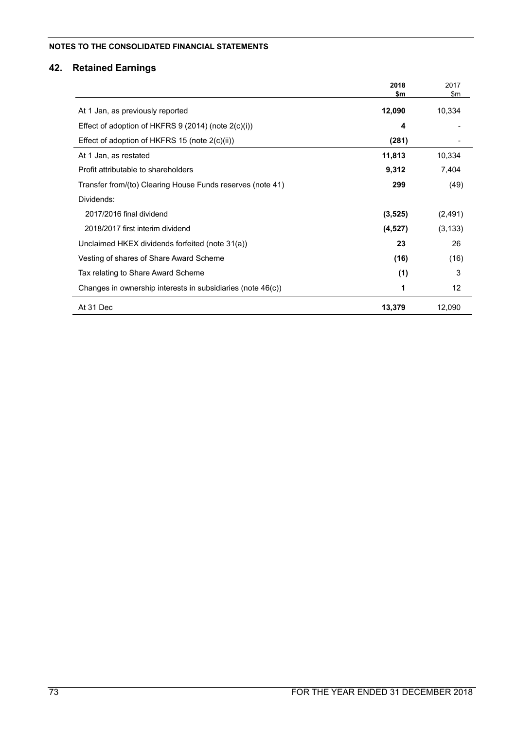# **42. Retained Earnings**

|                                                             | 2018<br>\$m | 2017<br>$\mathsf{Sm}$ |
|-------------------------------------------------------------|-------------|-----------------------|
| At 1 Jan, as previously reported                            | 12,090      | 10,334                |
| Effect of adoption of HKFRS $9$ (2014) (note $2(c)(i)$ )    | 4           |                       |
| Effect of adoption of HKFRS 15 (note $2(c)(ii)$ )           | (281)       |                       |
| At 1 Jan, as restated                                       | 11,813      | 10,334                |
| Profit attributable to shareholders                         | 9,312       | 7,404                 |
| Transfer from/(to) Clearing House Funds reserves (note 41)  | 299         | (49)                  |
| Dividends:                                                  |             |                       |
| 2017/2016 final dividend                                    | (3, 525)    | (2, 491)              |
| 2018/2017 first interim dividend                            | (4, 527)    | (3, 133)              |
| Unclaimed HKEX dividends forfeited (note 31(a))             | 23          | 26                    |
| Vesting of shares of Share Award Scheme                     | (16)        | (16)                  |
| Tax relating to Share Award Scheme                          | (1)         | 3                     |
| Changes in ownership interests in subsidiaries (note 46(c)) | 1           | 12                    |
| At 31 Dec                                                   | 13,379      | 12,090                |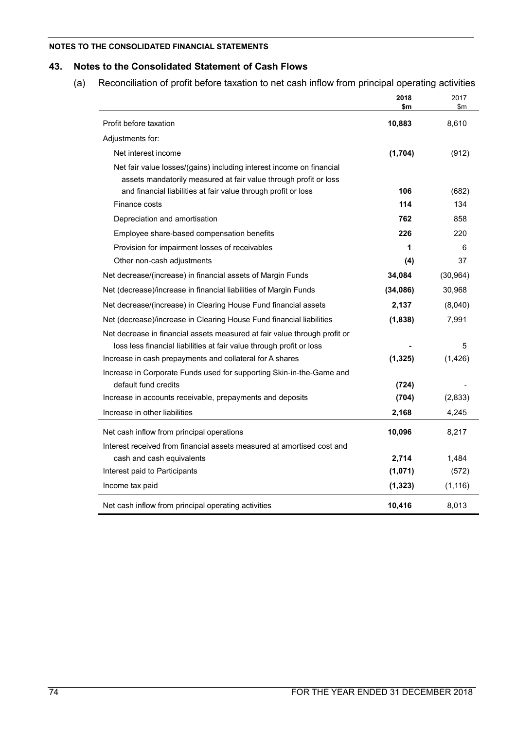## **43. Notes to the Consolidated Statement of Cash Flows**

(a) Reconciliation of profit before taxation to net cash inflow from principal operating activities

|                                                                                                                                                                                                            | 2018<br>\$m | 2017<br>$\mathsf{Sm}$ |
|------------------------------------------------------------------------------------------------------------------------------------------------------------------------------------------------------------|-------------|-----------------------|
| Profit before taxation                                                                                                                                                                                     | 10,883      | 8,610                 |
| Adjustments for:                                                                                                                                                                                           |             |                       |
| Net interest income                                                                                                                                                                                        | (1,704)     | (912)                 |
| Net fair value losses/(gains) including interest income on financial<br>assets mandatorily measured at fair value through profit or loss<br>and financial liabilities at fair value through profit or loss | 106         | (682)                 |
| Finance costs                                                                                                                                                                                              | 114         | 134                   |
| Depreciation and amortisation                                                                                                                                                                              | 762         | 858                   |
| Employee share-based compensation benefits                                                                                                                                                                 | 226         | 220                   |
| Provision for impairment losses of receivables                                                                                                                                                             | 1           | 6                     |
| Other non-cash adjustments                                                                                                                                                                                 | (4)         | 37                    |
| Net decrease/(increase) in financial assets of Margin Funds                                                                                                                                                | 34,084      | (30, 964)             |
| Net (decrease)/increase in financial liabilities of Margin Funds                                                                                                                                           | (34,086)    | 30,968                |
| Net decrease/(increase) in Clearing House Fund financial assets                                                                                                                                            | 2,137       | (8,040)               |
|                                                                                                                                                                                                            | (1,838)     | 7,991                 |
| Net (decrease)/increase in Clearing House Fund financial liabilities<br>Net decrease in financial assets measured at fair value through profit or                                                          |             |                       |
| loss less financial liabilities at fair value through profit or loss                                                                                                                                       |             | 5                     |
| Increase in cash prepayments and collateral for A shares                                                                                                                                                   | (1, 325)    | (1,426)               |
| Increase in Corporate Funds used for supporting Skin-in-the-Game and                                                                                                                                       |             |                       |
| default fund credits                                                                                                                                                                                       | (724)       |                       |
| Increase in accounts receivable, prepayments and deposits                                                                                                                                                  | (704)       | (2,833)               |
| Increase in other liabilities                                                                                                                                                                              | 2,168       | 4,245                 |
| Net cash inflow from principal operations                                                                                                                                                                  | 10,096      | 8,217                 |
| Interest received from financial assets measured at amortised cost and                                                                                                                                     |             |                       |
| cash and cash equivalents                                                                                                                                                                                  | 2,714       | 1,484                 |
| Interest paid to Participants                                                                                                                                                                              | (1,071)     | (572)                 |
| Income tax paid                                                                                                                                                                                            | (1, 323)    | (1, 116)              |
| Net cash inflow from principal operating activities                                                                                                                                                        | 10,416      | 8,013                 |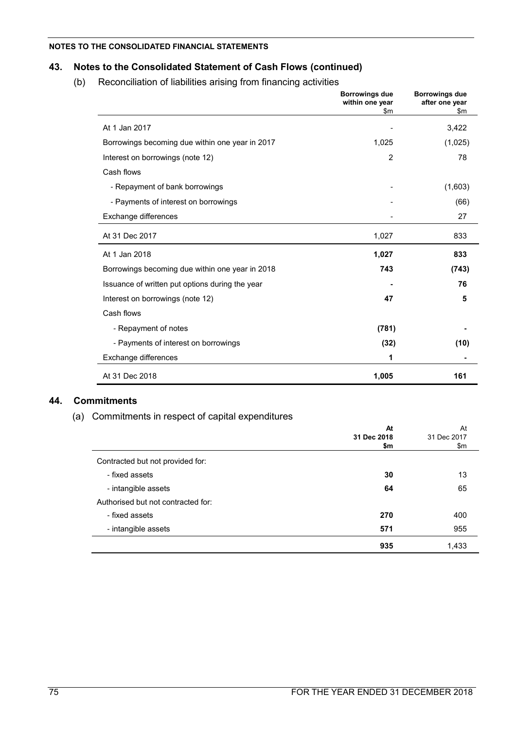# **43. Notes to the Consolidated Statement of Cash Flows (continued)**

(b) Reconciliation of liabilities arising from financing activities

|                                                 | <b>Borrowings due</b><br>within one year<br>\$m | <b>Borrowings due</b><br>after one year<br>\$m |
|-------------------------------------------------|-------------------------------------------------|------------------------------------------------|
| At 1 Jan 2017                                   |                                                 | 3,422                                          |
| Borrowings becoming due within one year in 2017 | 1,025                                           | (1,025)                                        |
| Interest on borrowings (note 12)                | $\overline{2}$                                  | 78                                             |
| Cash flows                                      |                                                 |                                                |
| - Repayment of bank borrowings                  |                                                 | (1,603)                                        |
| - Payments of interest on borrowings            |                                                 | (66)                                           |
| Exchange differences                            |                                                 | 27                                             |
| At 31 Dec 2017                                  | 1,027                                           | 833                                            |
| At 1 Jan 2018                                   | 1,027                                           | 833                                            |
| Borrowings becoming due within one year in 2018 | 743                                             | (743)                                          |
| Issuance of written put options during the year |                                                 | 76                                             |
| Interest on borrowings (note 12)                | 47                                              | 5                                              |
| Cash flows                                      |                                                 |                                                |
| - Repayment of notes                            | (781)                                           |                                                |
| - Payments of interest on borrowings            | (32)                                            | (10)                                           |
| Exchange differences                            | 1                                               |                                                |
| At 31 Dec 2018                                  | 1,005                                           | 161                                            |

## **44. Commitments**

## (a) Commitments in respect of capital expenditures

|                                    | At<br>31 Dec 2018<br>\$m | At<br>31 Dec 2017<br>\$m |
|------------------------------------|--------------------------|--------------------------|
| Contracted but not provided for:   |                          |                          |
| - fixed assets                     | 30                       | 13                       |
| - intangible assets                | 64                       | 65                       |
| Authorised but not contracted for: |                          |                          |
| - fixed assets                     | 270                      | 400                      |
| - intangible assets                | 571                      | 955                      |
|                                    | 935                      | 1,433                    |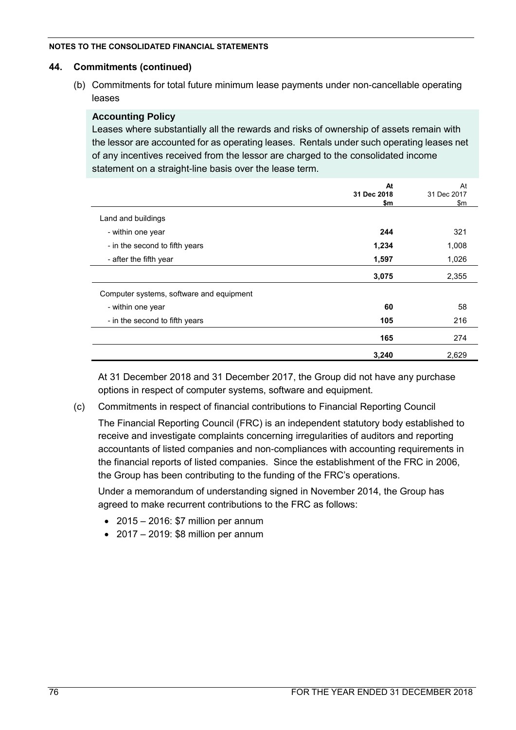## **44. Commitments (continued)**

(b) Commitments for total future minimum lease payments under non-cancellable operating leases

## **Accounting Policy**

Leases where substantially all the rewards and risks of ownership of assets remain with the lessor are accounted for as operating leases. Rentals under such operating leases net of any incentives received from the lessor are charged to the consolidated income statement on a straight-line basis over the lease term.

|                                          | At<br>31 Dec 2018<br>\$m | At<br>31 Dec 2017<br>\$m |
|------------------------------------------|--------------------------|--------------------------|
| Land and buildings                       |                          |                          |
| - within one year                        | 244                      | 321                      |
| - in the second to fifth years           | 1,234                    | 1,008                    |
| - after the fifth year                   | 1,597                    | 1,026                    |
|                                          | 3,075                    | 2,355                    |
| Computer systems, software and equipment |                          |                          |
| - within one year                        | 60                       | 58                       |
| - in the second to fifth years           | 105                      | 216                      |
|                                          | 165                      | 274                      |
|                                          | 3,240                    | 2,629                    |

At 31 December 2018 and 31 December 2017, the Group did not have any purchase options in respect of computer systems, software and equipment.

(c) Commitments in respect of financial contributions to Financial Reporting Council

The Financial Reporting Council (FRC) is an independent statutory body established to receive and investigate complaints concerning irregularities of auditors and reporting accountants of listed companies and non-compliances with accounting requirements in the financial reports of listed companies. Since the establishment of the FRC in 2006, the Group has been contributing to the funding of the FRC's operations.

Under a memorandum of understanding signed in November 2014, the Group has agreed to make recurrent contributions to the FRC as follows:

- $\bullet$  2015 2016: \$7 million per annum
- $\bullet$  2017 2019: \$8 million per annum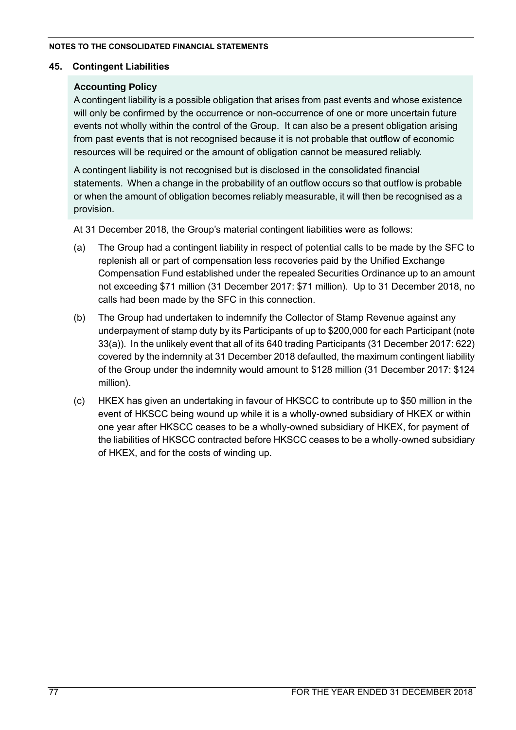## **45. Contingent Liabilities**

## **Accounting Policy**

A contingent liability is a possible obligation that arises from past events and whose existence will only be confirmed by the occurrence or non-occurrence of one or more uncertain future events not wholly within the control of the Group. It can also be a present obligation arising from past events that is not recognised because it is not probable that outflow of economic resources will be required or the amount of obligation cannot be measured reliably.

A contingent liability is not recognised but is disclosed in the consolidated financial statements. When a change in the probability of an outflow occurs so that outflow is probable or when the amount of obligation becomes reliably measurable, it will then be recognised as a provision.

At 31 December 2018, the Group's material contingent liabilities were as follows:

- (a) The Group had a contingent liability in respect of potential calls to be made by the SFC to replenish all or part of compensation less recoveries paid by the Unified Exchange Compensation Fund established under the repealed Securities Ordinance up to an amount not exceeding \$71 million (31 December 2017: \$71 million). Up to 31 December 2018, no calls had been made by the SFC in this connection.
- (b) The Group had undertaken to indemnify the Collector of Stamp Revenue against any underpayment of stamp duty by its Participants of up to \$200,000 for each Participant (note 33(a)). In the unlikely event that all of its 640 trading Participants (31 December 2017: 622) covered by the indemnity at 31 December 2018 defaulted, the maximum contingent liability of the Group under the indemnity would amount to \$128 million (31 December 2017: \$124 million).
- (c) HKEX has given an undertaking in favour of HKSCC to contribute up to \$50 million in the event of HKSCC being wound up while it is a wholly-owned subsidiary of HKEX or within one year after HKSCC ceases to be a wholly-owned subsidiary of HKEX, for payment of the liabilities of HKSCC contracted before HKSCC ceases to be a wholly-owned subsidiary of HKEX, and for the costs of winding up.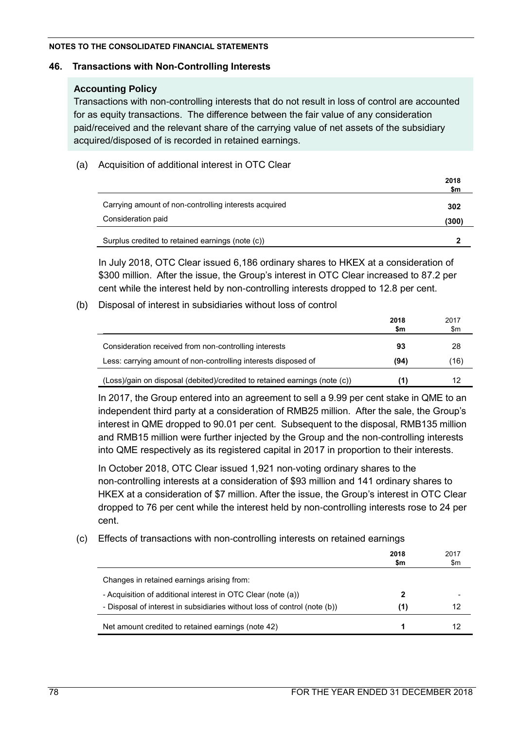### **46. Transactions with Non-Controlling Interests**

## **Accounting Policy**

Transactions with non-controlling interests that do not result in loss of control are accounted for as equity transactions. The difference between the fair value of any consideration paid/received and the relevant share of the carrying value of net assets of the subsidiary acquired/disposed of is recorded in retained earnings.

## (a) Acquisition of additional interest in OTC Clear

|                                                       | 2018<br>\$m |
|-------------------------------------------------------|-------------|
| Carrying amount of non-controlling interests acquired | 302         |
| Consideration paid                                    | (300)       |
| Surplus credited to retained earnings (note (c))      |             |

In July 2018, OTC Clear issued 6,186 ordinary shares to HKEX at a consideration of \$300 million. After the issue, the Group's interest in OTC Clear increased to 87.2 per cent while the interest held by non-controlling interests dropped to 12.8 per cent.

## (b) Disposal of interest in subsidiaries without loss of control

|                                                                            | 2018<br>\$m | 2017<br>\$m |
|----------------------------------------------------------------------------|-------------|-------------|
| Consideration received from non-controlling interests                      | 93          | 28          |
| Less: carrying amount of non-controlling interests disposed of             | (94)        | (16)        |
| (Loss)/gain on disposal (debited)/credited to retained earnings (note (c)) |             | 12          |

In 2017, the Group entered into an agreement to sell a 9.99 per cent stake in QME to an independent third party at a consideration of RMB25 million. After the sale, the Group's interest in QME dropped to 90.01 per cent. Subsequent to the disposal, RMB135 million and RMB15 million were further injected by the Group and the non-controlling interests into QME respectively as its registered capital in 2017 in proportion to their interests.

In October 2018, OTC Clear issued 1,921 non-voting ordinary shares to the non-controlling interests at a consideration of \$93 million and 141 ordinary shares to HKEX at a consideration of \$7 million. After the issue, the Group's interest in OTC Clear dropped to 76 per cent while the interest held by non-controlling interests rose to 24 per cent.

## (c) Effects of transactions with non-controlling interests on retained earnings

|                                                                           | 2018<br>\$m | 2017<br>\$m |
|---------------------------------------------------------------------------|-------------|-------------|
| Changes in retained earnings arising from:                                |             |             |
| - Acquisition of additional interest in OTC Clear (note (a))              |             |             |
| - Disposal of interest in subsidiaries without loss of control (note (b)) | (1)         | 12          |
| Net amount credited to retained earnings (note 42)                        |             |             |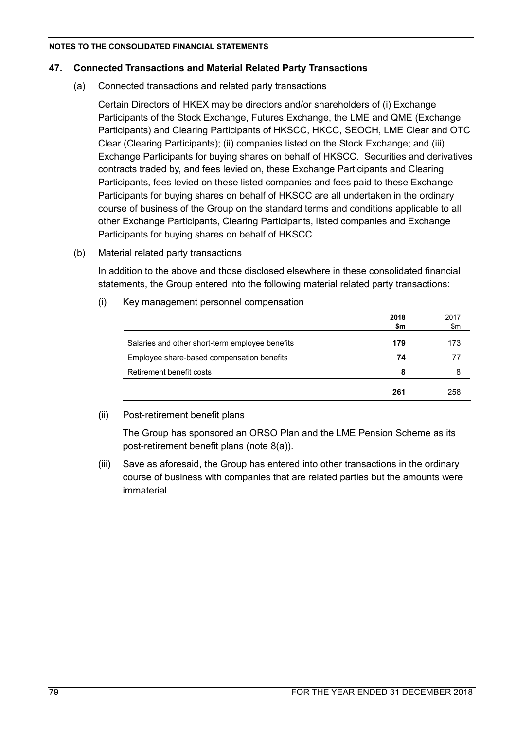### **47. Connected Transactions and Material Related Party Transactions**

(a) Connected transactions and related party transactions

Certain Directors of HKEX may be directors and/or shareholders of (i) Exchange Participants of the Stock Exchange, Futures Exchange, the LME and QME (Exchange Participants) and Clearing Participants of HKSCC, HKCC, SEOCH, LME Clear and OTC Clear (Clearing Participants); (ii) companies listed on the Stock Exchange; and (iii) Exchange Participants for buying shares on behalf of HKSCC. Securities and derivatives contracts traded by, and fees levied on, these Exchange Participants and Clearing Participants, fees levied on these listed companies and fees paid to these Exchange Participants for buying shares on behalf of HKSCC are all undertaken in the ordinary course of business of the Group on the standard terms and conditions applicable to all other Exchange Participants, Clearing Participants, listed companies and Exchange Participants for buying shares on behalf of HKSCC.

(b) Material related party transactions

In addition to the above and those disclosed elsewhere in these consolidated financial statements, the Group entered into the following material related party transactions:

(i) Key management personnel compensation

|                                                 | 2018<br>\$m | 2017<br>\$m |
|-------------------------------------------------|-------------|-------------|
| Salaries and other short-term employee benefits | 179         | 173         |
| Employee share-based compensation benefits      | 74          | 77          |
| Retirement benefit costs                        | 8           | 8           |
|                                                 | 261         | 258         |

### (ii) Post-retirement benefit plans

The Group has sponsored an ORSO Plan and the LME Pension Scheme as its post-retirement benefit plans (note 8(a)).

(iii) Save as aforesaid, the Group has entered into other transactions in the ordinary course of business with companies that are related parties but the amounts were immaterial.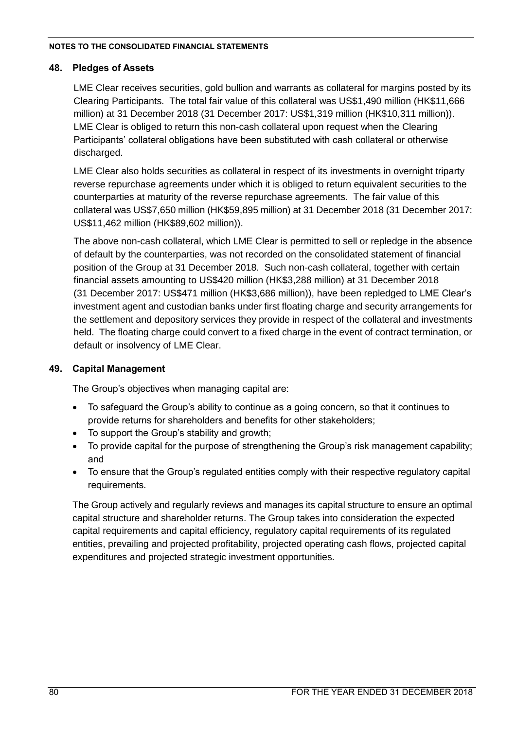## **48. Pledges of Assets**

LME Clear receives securities, gold bullion and warrants as collateral for margins posted by its Clearing Participants. The total fair value of this collateral was US\$1,490 million (HK\$11,666 million) at 31 December 2018 (31 December 2017: US\$1,319 million (HK\$10,311 million)). LME Clear is obliged to return this non-cash collateral upon request when the Clearing Participants' collateral obligations have been substituted with cash collateral or otherwise discharged.

LME Clear also holds securities as collateral in respect of its investments in overnight triparty reverse repurchase agreements under which it is obliged to return equivalent securities to the counterparties at maturity of the reverse repurchase agreements. The fair value of this collateral was US\$7,650 million (HK\$59,895 million) at 31 December 2018 (31 December 2017: US\$11,462 million (HK\$89,602 million)).

The above non-cash collateral, which LME Clear is permitted to sell or repledge in the absence of default by the counterparties, was not recorded on the consolidated statement of financial position of the Group at 31 December 2018. Such non-cash collateral, together with certain financial assets amounting to US\$420 million (HK\$3,288 million) at 31 December 2018 (31 December 2017: US\$471 million (HK\$3,686 million)), have been repledged to LME Clear's investment agent and custodian banks under first floating charge and security arrangements for the settlement and depository services they provide in respect of the collateral and investments held. The floating charge could convert to a fixed charge in the event of contract termination, or default or insolvency of LME Clear.

## **49. Capital Management**

The Group's objectives when managing capital are:

- To safeguard the Group's ability to continue as a going concern, so that it continues to provide returns for shareholders and benefits for other stakeholders;
- To support the Group's stability and growth;
- To provide capital for the purpose of strengthening the Group's risk management capability; and
- To ensure that the Group's regulated entities comply with their respective regulatory capital requirements.

The Group actively and regularly reviews and manages its capital structure to ensure an optimal capital structure and shareholder returns. The Group takes into consideration the expected capital requirements and capital efficiency, regulatory capital requirements of its regulated entities, prevailing and projected profitability, projected operating cash flows, projected capital expenditures and projected strategic investment opportunities.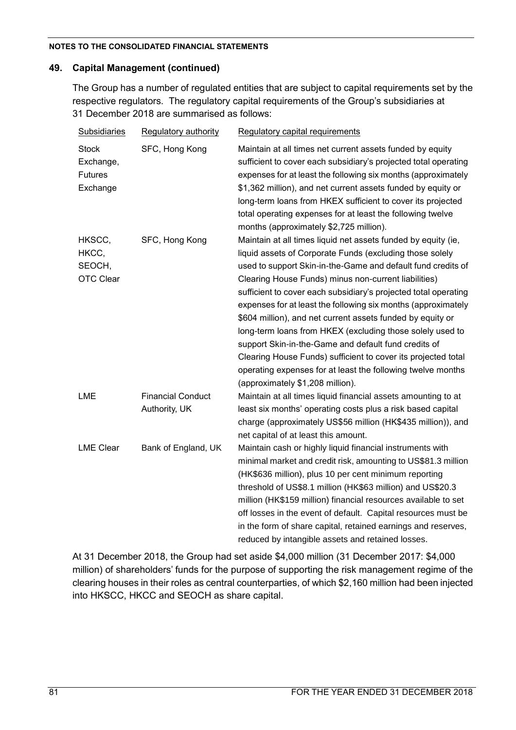## **49. Capital Management (continued)**

The Group has a number of regulated entities that are subject to capital requirements set by the respective regulators. The regulatory capital requirements of the Group's subsidiaries at 31 December 2018 are summarised as follows:

| <b>Subsidiaries</b>                                     | Regulatory authority                      | Regulatory capital requirements                                                                                                                                                                                                                                                                                                                                                                                                                                                                                                                                                                                                                                                                                                              |
|---------------------------------------------------------|-------------------------------------------|----------------------------------------------------------------------------------------------------------------------------------------------------------------------------------------------------------------------------------------------------------------------------------------------------------------------------------------------------------------------------------------------------------------------------------------------------------------------------------------------------------------------------------------------------------------------------------------------------------------------------------------------------------------------------------------------------------------------------------------------|
| <b>Stock</b><br>Exchange,<br><b>Futures</b><br>Exchange | SFC, Hong Kong                            | Maintain at all times net current assets funded by equity<br>sufficient to cover each subsidiary's projected total operating<br>expenses for at least the following six months (approximately<br>\$1,362 million), and net current assets funded by equity or<br>long-term loans from HKEX sufficient to cover its projected<br>total operating expenses for at least the following twelve<br>months (approximately \$2,725 million).                                                                                                                                                                                                                                                                                                        |
| HKSCC,<br>HKCC,<br>SEOCH,<br><b>OTC Clear</b>           | SFC, Hong Kong                            | Maintain at all times liquid net assets funded by equity (ie,<br>liquid assets of Corporate Funds (excluding those solely<br>used to support Skin-in-the-Game and default fund credits of<br>Clearing House Funds) minus non-current liabilities)<br>sufficient to cover each subsidiary's projected total operating<br>expenses for at least the following six months (approximately<br>\$604 million), and net current assets funded by equity or<br>long-term loans from HKEX (excluding those solely used to<br>support Skin-in-the-Game and default fund credits of<br>Clearing House Funds) sufficient to cover its projected total<br>operating expenses for at least the following twelve months<br>(approximately \$1,208 million). |
| <b>LME</b>                                              | <b>Financial Conduct</b><br>Authority, UK | Maintain at all times liquid financial assets amounting to at<br>least six months' operating costs plus a risk based capital<br>charge (approximately US\$56 million (HK\$435 million)), and<br>net capital of at least this amount.                                                                                                                                                                                                                                                                                                                                                                                                                                                                                                         |
| <b>LME Clear</b>                                        | Bank of England, UK                       | Maintain cash or highly liquid financial instruments with<br>minimal market and credit risk, amounting to US\$81.3 million<br>(HK\$636 million), plus 10 per cent minimum reporting<br>threshold of US\$8.1 million (HK\$63 million) and US\$20.3<br>million (HK\$159 million) financial resources available to set<br>off losses in the event of default. Capital resources must be<br>in the form of share capital, retained earnings and reserves,<br>reduced by intangible assets and retained losses.                                                                                                                                                                                                                                   |

At 31 December 2018, the Group had set aside \$4,000 million (31 December 2017: \$4,000 million) of shareholders' funds for the purpose of supporting the risk management regime of the clearing houses in their roles as central counterparties, of which \$2,160 million had been injected into HKSCC, HKCC and SEOCH as share capital.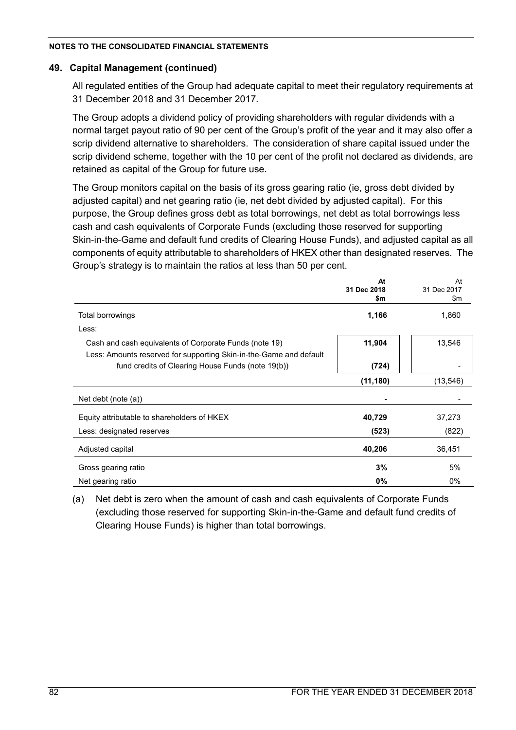## **49. Capital Management (continued)**

All regulated entities of the Group had adequate capital to meet their regulatory requirements at 31 December 2018 and 31 December 2017.

The Group adopts a dividend policy of providing shareholders with regular dividends with a normal target payout ratio of 90 per cent of the Group's profit of the year and it may also offer a scrip dividend alternative to shareholders. The consideration of share capital issued under the scrip dividend scheme, together with the 10 per cent of the profit not declared as dividends, are retained as capital of the Group for future use.

The Group monitors capital on the basis of its gross gearing ratio (ie, gross debt divided by adjusted capital) and net gearing ratio (ie, net debt divided by adjusted capital). For this purpose, the Group defines gross debt as total borrowings, net debt as total borrowings less cash and cash equivalents of Corporate Funds (excluding those reserved for supporting Skin-in-the-Game and default fund credits of Clearing House Funds), and adjusted capital as all components of equity attributable to shareholders of HKEX other than designated reserves. The Group's strategy is to maintain the ratios at less than 50 per cent.

|                                                                    | At          | At          |
|--------------------------------------------------------------------|-------------|-------------|
|                                                                    | 31 Dec 2018 | 31 Dec 2017 |
|                                                                    | \$m         | \$m         |
| Total borrowings                                                   | 1,166       | 1,860       |
| Less:                                                              |             |             |
| Cash and cash equivalents of Corporate Funds (note 19)             | 11,904      | 13,546      |
| Less: Amounts reserved for supporting Skin-in-the-Game and default |             |             |
| fund credits of Clearing House Funds (note 19(b))                  | (724)       |             |
|                                                                    | (11, 180)   | (13, 546)   |
| Net debt (note $(a)$ )                                             |             |             |
| Equity attributable to shareholders of HKEX                        | 40,729      | 37,273      |
| Less: designated reserves                                          | (523)       | (822)       |
| Adjusted capital                                                   | 40,206      | 36,451      |
| Gross gearing ratio                                                | 3%          | 5%          |
| Net gearing ratio                                                  | 0%          | $0\%$       |

(a) Net debt is zero when the amount of cash and cash equivalents of Corporate Funds (excluding those reserved for supporting Skin-in-the-Game and default fund credits of Clearing House Funds) is higher than total borrowings.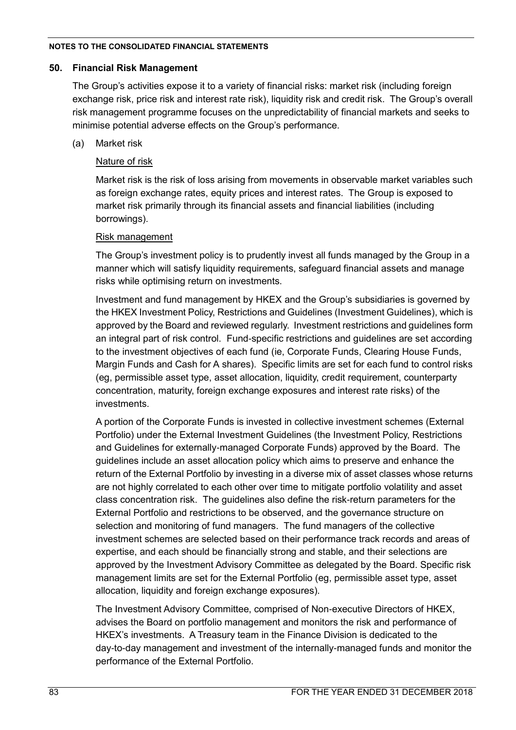### **50. Financial Risk Management**

The Group's activities expose it to a variety of financial risks: market risk (including foreign exchange risk, price risk and interest rate risk), liquidity risk and credit risk. The Group's overall risk management programme focuses on the unpredictability of financial markets and seeks to minimise potential adverse effects on the Group's performance.

## (a) Market risk

## Nature of risk

Market risk is the risk of loss arising from movements in observable market variables such as foreign exchange rates, equity prices and interest rates. The Group is exposed to market risk primarily through its financial assets and financial liabilities (including borrowings).

## Risk management

The Group's investment policy is to prudently invest all funds managed by the Group in a manner which will satisfy liquidity requirements, safeguard financial assets and manage risks while optimising return on investments.

Investment and fund management by HKEX and the Group's subsidiaries is governed by the HKEX Investment Policy, Restrictions and Guidelines (Investment Guidelines), which is approved by the Board and reviewed regularly. Investment restrictions and guidelines form an integral part of risk control. Fund-specific restrictions and guidelines are set according to the investment objectives of each fund (ie, Corporate Funds, Clearing House Funds, Margin Funds and Cash for A shares). Specific limits are set for each fund to control risks (eg, permissible asset type, asset allocation, liquidity, credit requirement, counterparty concentration, maturity, foreign exchange exposures and interest rate risks) of the investments.

A portion of the Corporate Funds is invested in collective investment schemes (External Portfolio) under the External Investment Guidelines (the Investment Policy, Restrictions and Guidelines for externally-managed Corporate Funds) approved by the Board. The guidelines include an asset allocation policy which aims to preserve and enhance the return of the External Portfolio by investing in a diverse mix of asset classes whose returns are not highly correlated to each other over time to mitigate portfolio volatility and asset class concentration risk. The guidelines also define the risk-return parameters for the External Portfolio and restrictions to be observed, and the governance structure on selection and monitoring of fund managers. The fund managers of the collective investment schemes are selected based on their performance track records and areas of expertise, and each should be financially strong and stable, and their selections are approved by the Investment Advisory Committee as delegated by the Board. Specific risk management limits are set for the External Portfolio (eg, permissible asset type, asset allocation, liquidity and foreign exchange exposures).

The Investment Advisory Committee, comprised of Non-executive Directors of HKEX, advises the Board on portfolio management and monitors the risk and performance of HKEX's investments. A Treasury team in the Finance Division is dedicated to the day-to-day management and investment of the internally-managed funds and monitor the performance of the External Portfolio.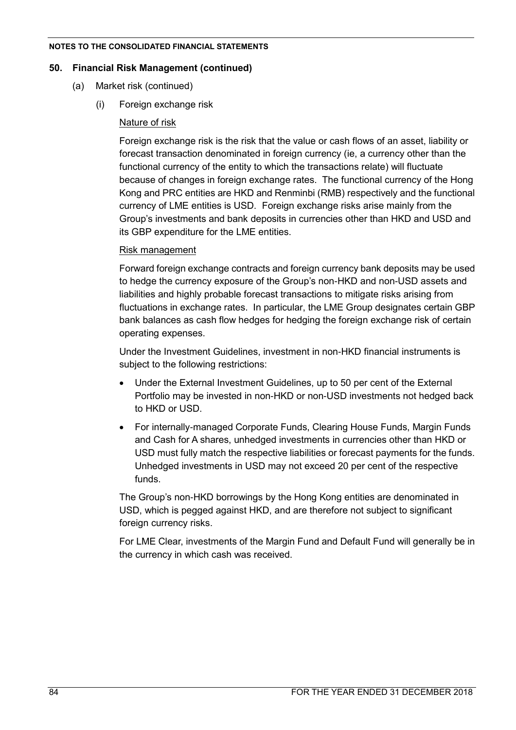### **50. Financial Risk Management (continued)**

- (a) Market risk (continued)
	- (i) Foreign exchange risk

## Nature of risk

Foreign exchange risk is the risk that the value or cash flows of an asset, liability or forecast transaction denominated in foreign currency (ie, a currency other than the functional currency of the entity to which the transactions relate) will fluctuate because of changes in foreign exchange rates. The functional currency of the Hong Kong and PRC entities are HKD and Renminbi (RMB) respectively and the functional currency of LME entities is USD. Foreign exchange risks arise mainly from the Group's investments and bank deposits in currencies other than HKD and USD and its GBP expenditure for the LME entities.

## Risk management

Forward foreign exchange contracts and foreign currency bank deposits may be used to hedge the currency exposure of the Group's non-HKD and non-USD assets and liabilities and highly probable forecast transactions to mitigate risks arising from fluctuations in exchange rates. In particular, the LME Group designates certain GBP bank balances as cash flow hedges for hedging the foreign exchange risk of certain operating expenses.

Under the Investment Guidelines, investment in non-HKD financial instruments is subject to the following restrictions:

- Under the External Investment Guidelines, up to 50 per cent of the External Portfolio may be invested in non-HKD or non-USD investments not hedged back to HKD or USD.
- For internally-managed Corporate Funds, Clearing House Funds, Margin Funds and Cash for A shares, unhedged investments in currencies other than HKD or USD must fully match the respective liabilities or forecast payments for the funds. Unhedged investments in USD may not exceed 20 per cent of the respective funds.

The Group's non-HKD borrowings by the Hong Kong entities are denominated in USD, which is pegged against HKD, and are therefore not subject to significant foreign currency risks.

For LME Clear, investments of the Margin Fund and Default Fund will generally be in the currency in which cash was received.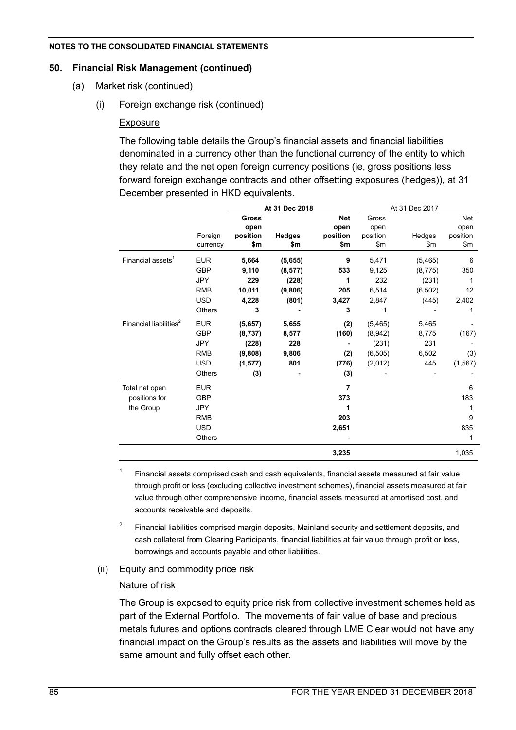### **50. Financial Risk Management (continued)**

- (a) Market risk (continued)
	- (i) Foreign exchange risk (continued)

## Exposure

The following table details the Group's financial assets and financial liabilities denominated in a currency other than the functional currency of the entity to which they relate and the net open foreign currency positions (ie, gross positions less forward foreign exchange contracts and other offsetting exposures (hedges)), at 31 December presented in HKD equivalents.

|                                    |            | At 31 Dec 2018 |               |            | At 31 Dec 2017 |          |          |
|------------------------------------|------------|----------------|---------------|------------|----------------|----------|----------|
|                                    |            | <b>Gross</b>   |               | <b>Net</b> | Gross          |          | Net      |
|                                    |            | open           |               | open       | open           |          | open     |
|                                    | Foreign    | position       | <b>Hedges</b> | position   | position       | Hedges   | position |
|                                    | currency   | \$m            | \$m           | \$m        | \$m            | \$m      | \$m      |
| Financial assets <sup>1</sup>      | <b>EUR</b> | 5,664          | (5,655)       | 9          | 5,471          | (5,465)  | 6        |
|                                    | <b>GBP</b> | 9,110          | (8, 577)      | 533        | 9,125          | (8,775)  | 350      |
|                                    | <b>JPY</b> | 229            | (228)         | 1          | 232            | (231)    | 1        |
|                                    | <b>RMB</b> | 10,011         | (9,806)       | 205        | 6,514          | (6, 502) | 12       |
|                                    | <b>USD</b> | 4,228          | (801)         | 3,427      | 2,847          | (445)    | 2,402    |
|                                    | Others     | 3              |               | 3          | 1              |          | 1        |
| Financial liabilities <sup>2</sup> | <b>EUR</b> | (5,657)        | 5,655         | (2)        | (5, 465)       | 5,465    |          |
|                                    | <b>GBP</b> | (8,737)        | 8,577         | (160)      | (8,942)        | 8,775    | (167)    |
|                                    | <b>JPY</b> | (228)          | 228           |            | (231)          | 231      |          |
|                                    | <b>RMB</b> | (9,808)        | 9,806         | (2)        | (6, 505)       | 6,502    | (3)      |
|                                    | <b>USD</b> | (1, 577)       | 801           | (776)      | (2,012)        | 445      | (1, 567) |
|                                    | Others     | (3)            |               | (3)        |                |          |          |
| Total net open                     | <b>EUR</b> |                |               | 7          |                |          | 6        |
| positions for                      | <b>GBP</b> |                |               | 373        |                |          | 183      |
| the Group                          | <b>JPY</b> |                |               |            |                |          |          |
|                                    | <b>RMB</b> |                |               | 203        |                |          | 9        |
|                                    | <b>USD</b> |                |               | 2,651      |                |          | 835      |
|                                    | Others     |                |               |            |                |          | 1        |
|                                    |            |                |               | 3,235      |                |          | 1,035    |

1 Financial assets comprised cash and cash equivalents, financial assets measured at fair value through profit or loss (excluding collective investment schemes), financial assets measured at fair value through other comprehensive income, financial assets measured at amortised cost, and accounts receivable and deposits.

2 Financial liabilities comprised margin deposits, Mainland security and settlement deposits, and cash collateral from Clearing Participants, financial liabilities at fair value through profit or loss, borrowings and accounts payable and other liabilities.

(ii) Equity and commodity price risk

## Nature of risk

The Group is exposed to equity price risk from collective investment schemes held as part of the External Portfolio. The movements of fair value of base and precious metals futures and options contracts cleared through LME Clear would not have any financial impact on the Group's results as the assets and liabilities will move by the same amount and fully offset each other.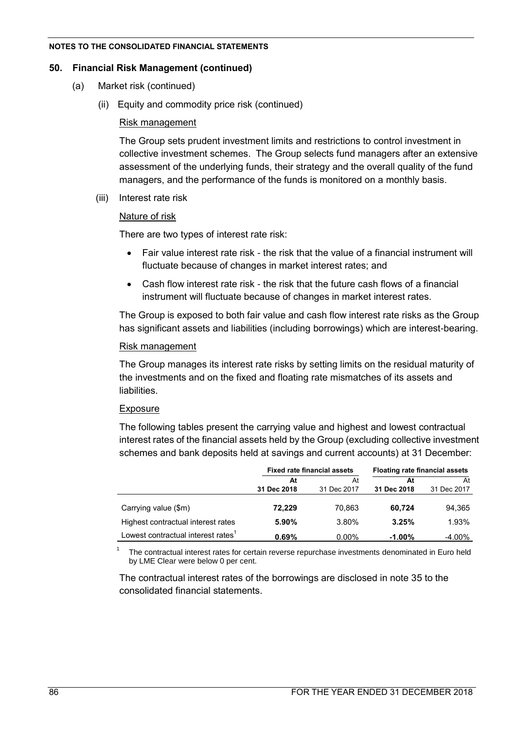### **50. Financial Risk Management (continued)**

- (a) Market risk (continued)
	- (ii) Equity and commodity price risk (continued)

### Risk management

The Group sets prudent investment limits and restrictions to control investment in collective investment schemes. The Group selects fund managers after an extensive assessment of the underlying funds, their strategy and the overall quality of the fund managers, and the performance of the funds is monitored on a monthly basis.

(iii) Interest rate risk

## Nature of risk

There are two types of interest rate risk:

- Fair value interest rate risk the risk that the value of a financial instrument will fluctuate because of changes in market interest rates; and
- Cash flow interest rate risk the risk that the future cash flows of a financial instrument will fluctuate because of changes in market interest rates.

The Group is exposed to both fair value and cash flow interest rate risks as the Group has significant assets and liabilities (including borrowings) which are interest-bearing.

## Risk management

The Group manages its interest rate risks by setting limits on the residual maturity of the investments and on the fixed and floating rate mismatches of its assets and liabilities.

## Exposure

1

The following tables present the carrying value and highest and lowest contractual interest rates of the financial assets held by the Group (excluding collective investment schemes and bank deposits held at savings and current accounts) at 31 December:

|                                                |             | <b>Fixed rate financial assets</b> | <b>Floating rate financial assets</b> |             |  |
|------------------------------------------------|-------------|------------------------------------|---------------------------------------|-------------|--|
|                                                | At          | At                                 | At                                    | At          |  |
|                                                | 31 Dec 2018 | 31 Dec 2017                        | 31 Dec 2018                           | 31 Dec 2017 |  |
| Carrying value (\$m)                           | 72.229      | 70.863                             | 60,724                                | 94,365      |  |
| Highest contractual interest rates             | 5.90%       | 3.80%                              | 3.25%                                 | 1.93%       |  |
| Lowest contractual interest rates <sup>1</sup> | 0.69%       | $0.00\%$                           | $-1.00\%$                             | $-4.00\%$   |  |

The contractual interest rates for certain reverse repurchase investments denominated in Euro held by LME Clear were below 0 per cent.

The contractual interest rates of the borrowings are disclosed in note 35 to the consolidated financial statements.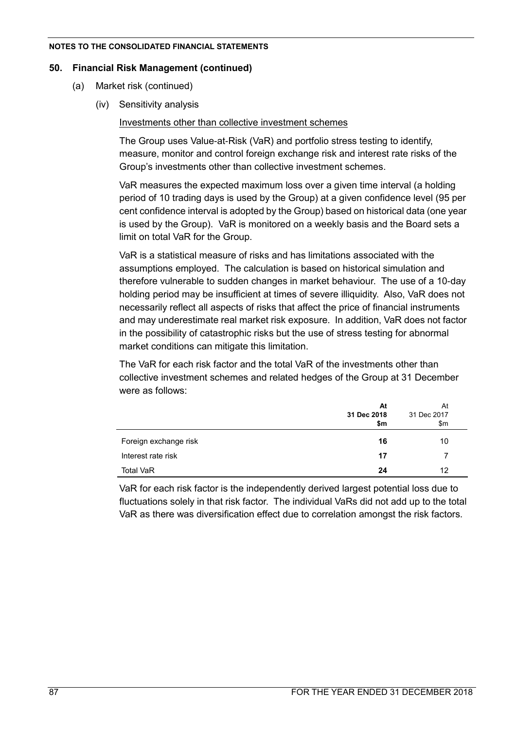### **50. Financial Risk Management (continued)**

- (a) Market risk (continued)
	- (iv) Sensitivity analysis

Investments other than collective investment schemes

The Group uses Value-at-Risk (VaR) and portfolio stress testing to identify, measure, monitor and control foreign exchange risk and interest rate risks of the Group's investments other than collective investment schemes.

VaR measures the expected maximum loss over a given time interval (a holding period of 10 trading days is used by the Group) at a given confidence level (95 per cent confidence interval is adopted by the Group) based on historical data (one year is used by the Group). VaR is monitored on a weekly basis and the Board sets a limit on total VaR for the Group.

VaR is a statistical measure of risks and has limitations associated with the assumptions employed. The calculation is based on historical simulation and therefore vulnerable to sudden changes in market behaviour. The use of a 10-day holding period may be insufficient at times of severe illiquidity. Also, VaR does not necessarily reflect all aspects of risks that affect the price of financial instruments and may underestimate real market risk exposure. In addition, VaR does not factor in the possibility of catastrophic risks but the use of stress testing for abnormal market conditions can mitigate this limitation.

The VaR for each risk factor and the total VaR of the investments other than collective investment schemes and related hedges of the Group at 31 December were as follows:

|                       | At<br>31 Dec 2018<br>\$m | At<br>31 Dec 2017<br>\$m |
|-----------------------|--------------------------|--------------------------|
| Foreign exchange risk | 16                       | 10                       |
| Interest rate risk    | 17                       |                          |
| <b>Total VaR</b>      | 24                       | 12                       |

VaR for each risk factor is the independently derived largest potential loss due to fluctuations solely in that risk factor. The individual VaRs did not add up to the total VaR as there was diversification effect due to correlation amongst the risk factors.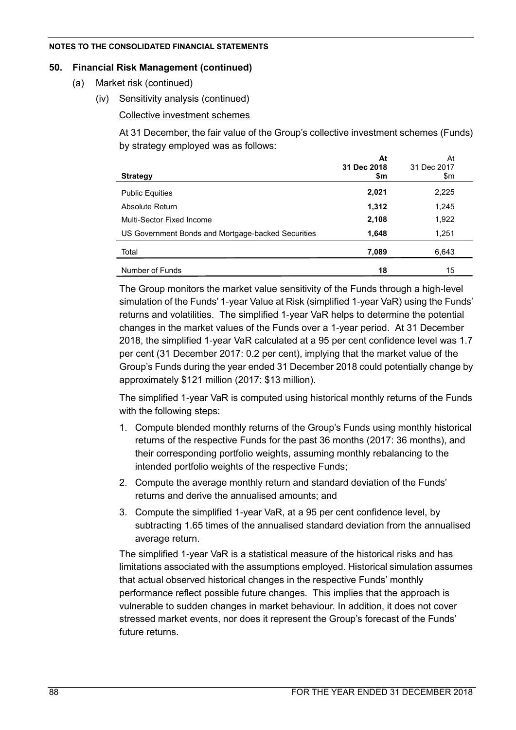## **50. Financial Risk Management (continued)**

- (a) Market risk (continued)
	- (iv) Sensitivity analysis (continued)

## Collective investment schemes

At 31 December, the fair value of the Group's collective investment schemes (Funds) by strategy employed was as follows:

| <b>Strategy</b>                                    | At<br>31 Dec 2018<br>\$m | At<br>31 Dec 2017<br>\$m |
|----------------------------------------------------|--------------------------|--------------------------|
| <b>Public Equities</b>                             | 2,021                    | 2,225                    |
| Absolute Return                                    | 1,312                    | 1,245                    |
| Multi-Sector Fixed Income                          | 2,108                    | 1,922                    |
| US Government Bonds and Mortgage-backed Securities | 1,648                    | 1,251                    |
| Total                                              | 7,089                    | 6,643                    |
| Number of Funds                                    | 18                       | 15                       |

The Group monitors the market value sensitivity of the Funds through a high-level simulation of the Funds' 1-year Value at Risk (simplified 1-year VaR) using the Funds' returns and volatilities. The simplified 1-year VaR helps to determine the potential changes in the market values of the Funds over a 1-year period. At 31 December 2018, the simplified 1-year VaR calculated at a 95 per cent confidence level was 1.7 per cent (31 December 2017: 0.2 per cent), implying that the market value of the Group's Funds during the year ended 31 December 2018 could potentially change by approximately \$121 million (2017: \$13 million).

The simplified 1-year VaR is computed using historical monthly returns of the Funds with the following steps:

- 1. Compute blended monthly returns of the Group's Funds using monthly historical returns of the respective Funds for the past 36 months (2017: 36 months), and their corresponding portfolio weights, assuming monthly rebalancing to the intended portfolio weights of the respective Funds;
- 2. Compute the average monthly return and standard deviation of the Funds' returns and derive the annualised amounts; and
- 3. Compute the simplified 1-year VaR, at a 95 per cent confidence level, by subtracting 1.65 times of the annualised standard deviation from the annualised average return.

The simplified 1-year VaR is a statistical measure of the historical risks and has limitations associated with the assumptions employed. Historical simulation assumes that actual observed historical changes in the respective Funds' monthly performance reflect possible future changes. This implies that the approach is vulnerable to sudden changes in market behaviour. In addition, it does not cover stressed market events, nor does it represent the Group's forecast of the Funds' future returns.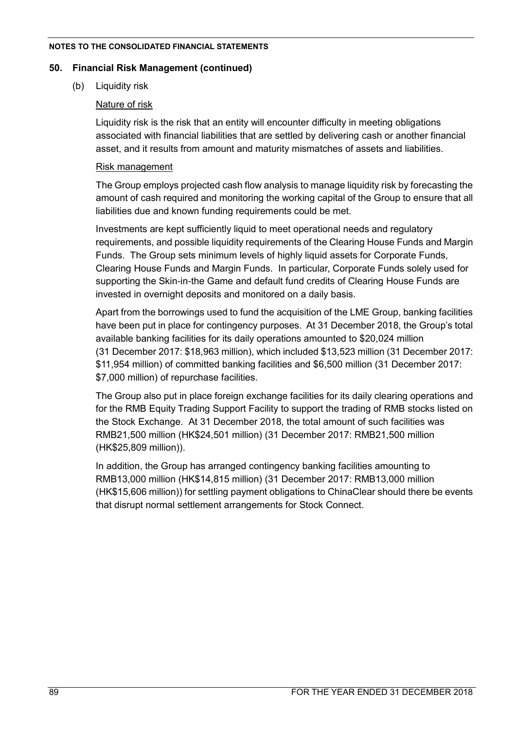### **50. Financial Risk Management (continued)**

(b) Liquidity risk

## Nature of risk

Liquidity risk is the risk that an entity will encounter difficulty in meeting obligations associated with financial liabilities that are settled by delivering cash or another financial asset, and it results from amount and maturity mismatches of assets and liabilities.

## Risk management

The Group employs projected cash flow analysis to manage liquidity risk by forecasting the amount of cash required and monitoring the working capital of the Group to ensure that all liabilities due and known funding requirements could be met.

Investments are kept sufficiently liquid to meet operational needs and regulatory requirements, and possible liquidity requirements of the Clearing House Funds and Margin Funds. The Group sets minimum levels of highly liquid assets for Corporate Funds, Clearing House Funds and Margin Funds. In particular, Corporate Funds solely used for supporting the Skin-in-the Game and default fund credits of Clearing House Funds are invested in overnight deposits and monitored on a daily basis.

Apart from the borrowings used to fund the acquisition of the LME Group, banking facilities have been put in place for contingency purposes. At 31 December 2018, the Group's total available banking facilities for its daily operations amounted to \$20,024 million (31 December 2017: \$18,963 million), which included \$13,523 million (31 December 2017: \$11,954 million) of committed banking facilities and \$6,500 million (31 December 2017: \$7,000 million) of repurchase facilities.

The Group also put in place foreign exchange facilities for its daily clearing operations and for the RMB Equity Trading Support Facility to support the trading of RMB stocks listed on the Stock Exchange. At 31 December 2018, the total amount of such facilities was RMB21,500 million (HK\$24,501 million) (31 December 2017: RMB21,500 million (HK\$25,809 million)).

In addition, the Group has arranged contingency banking facilities amounting to RMB13,000 million (HK\$14,815 million) (31 December 2017: RMB13,000 million (HK\$15,606 million)) for settling payment obligations to ChinaClear should there be events that disrupt normal settlement arrangements for Stock Connect.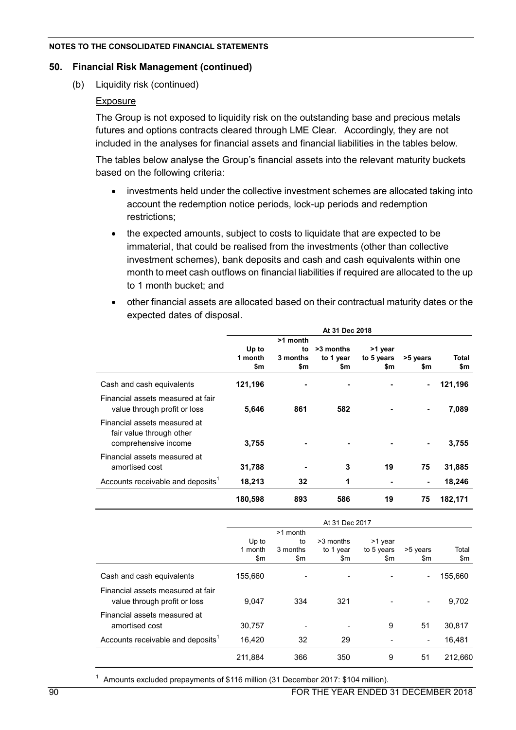### **50. Financial Risk Management (continued)**

(b) Liquidity risk (continued)

### Exposure

The Group is not exposed to liquidity risk on the outstanding base and precious metals futures and options contracts cleared through LME Clear. Accordingly, they are not included in the analyses for financial assets and financial liabilities in the tables below.

The tables below analyse the Group's financial assets into the relevant maturity buckets based on the following criteria:

- investments held under the collective investment schemes are allocated taking into account the redemption notice periods, lock-up periods and redemption restrictions;
- the expected amounts, subject to costs to liquidate that are expected to be immaterial, that could be realised from the investments (other than collective investment schemes), bank deposits and cash and cash equivalents within one month to meet cash outflows on financial liabilities if required are allocated to the up to 1 month bucket; and
- other financial assets are allocated based on their contractual maturity dates or the expected dates of disposal.

|                                                          | At 31 Dec 2018 |          |           |            |          |         |
|----------------------------------------------------------|----------------|----------|-----------|------------|----------|---------|
|                                                          |                | >1 month |           |            |          |         |
|                                                          | Up to          | to       | >3 months | >1 year    |          |         |
|                                                          | 1 month        | 3 months | to 1 year | to 5 years | >5 years | Total   |
|                                                          | \$m            | \$m      | \$m       | \$m        | \$m      | \$m     |
| Cash and cash equivalents                                | 121,196        |          |           |            |          | 121,196 |
| Financial assets measured at fair                        |                |          |           |            |          |         |
| value through profit or loss                             | 5,646          | 861      | 582       |            |          | 7,089   |
| Financial assets measured at<br>fair value through other |                |          |           |            |          |         |
| comprehensive income                                     | 3,755          |          |           |            |          | 3,755   |
| Financial assets measured at                             |                |          |           |            |          |         |
| amortised cost                                           | 31,788         |          | 3         | 19         | 75       | 31,885  |
| Accounts receivable and deposits <sup>1</sup>            | 18,213         | 32       | 1         |            | ۰        | 18,246  |
|                                                          | 180,598        | 893      | 586       | 19         | 75       | 182.171 |

|                                                                   | At 31 Dec 2017          |                       |                               |                              |                 |              |  |
|-------------------------------------------------------------------|-------------------------|-----------------------|-------------------------------|------------------------------|-----------------|--------------|--|
|                                                                   |                         | >1 month              |                               |                              |                 |              |  |
|                                                                   | Up to<br>1 month<br>\$m | to<br>3 months<br>\$m | >3 months<br>to 1 year<br>\$m | >1 year<br>to 5 years<br>\$m | >5 years<br>\$m | Total<br>\$m |  |
| Cash and cash equivalents                                         | 155.660                 |                       |                               |                              |                 | 155,660      |  |
| Financial assets measured at fair<br>value through profit or loss | 9,047                   | 334                   | 321                           |                              |                 | 9,702        |  |
| Financial assets measured at<br>amortised cost                    | 30,757                  |                       |                               | 9                            | 51              | 30.817       |  |
| Accounts receivable and deposits <sup>1</sup>                     | 16.420                  | 32                    | 29                            |                              | ۰.              | 16,481       |  |
|                                                                   | 211.884                 | 366                   | 350                           | 9                            | 51              | 212.660      |  |

<sup>1</sup> Amounts excluded prepayments of \$116 million (31 December 2017: \$104 million).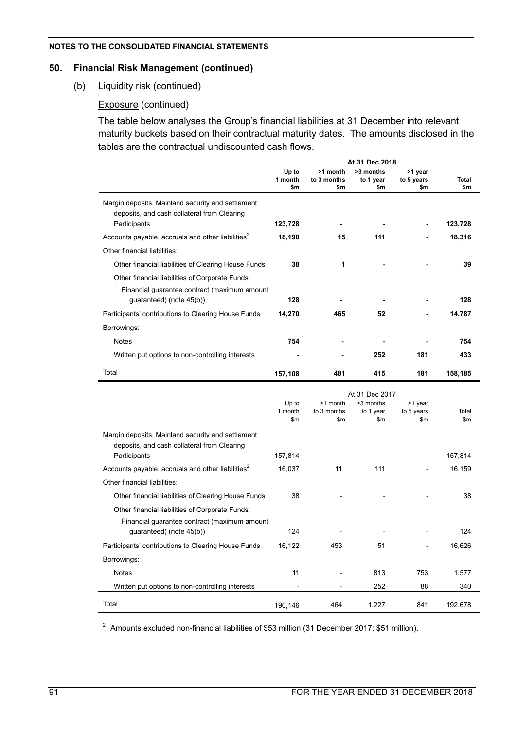### **50. Financial Risk Management (continued)**

(b) Liquidity risk (continued)

### Exposure (continued)

The table below analyses the Group's financial liabilities at 31 December into relevant maturity buckets based on their contractual maturity dates. The amounts disclosed in the tables are the contractual undiscounted cash flows.

|                                                                                                                             | At 31 Dec 2018          |                                |                               |                              |                     |  |  |
|-----------------------------------------------------------------------------------------------------------------------------|-------------------------|--------------------------------|-------------------------------|------------------------------|---------------------|--|--|
|                                                                                                                             | Up to<br>1 month<br>\$m | >1 month<br>to 3 months<br>\$m | >3 months<br>to 1 year<br>\$m | >1 year<br>to 5 years<br>\$m | <b>Total</b><br>\$m |  |  |
| Margin deposits, Mainland security and settlement<br>deposits, and cash collateral from Clearing                            |                         |                                |                               |                              |                     |  |  |
| Participants                                                                                                                | 123,728                 |                                |                               |                              | 123,728             |  |  |
| Accounts payable, accruals and other liabilities <sup>2</sup>                                                               | 18,190                  | 15                             | 111                           |                              | 18,316              |  |  |
| Other financial liabilities:                                                                                                |                         |                                |                               |                              |                     |  |  |
| Other financial liabilities of Clearing House Funds                                                                         | 38                      | 1                              |                               |                              | 39                  |  |  |
| Other financial liabilities of Corporate Funds:<br>Financial guarantee contract (maximum amount<br>quaranteed) (note 45(b)) | 128                     |                                |                               |                              | 128                 |  |  |
|                                                                                                                             |                         |                                |                               |                              |                     |  |  |
| Participants' contributions to Clearing House Funds                                                                         | 14,270                  | 465                            | 52                            | -                            | 14,787              |  |  |
| Borrowings:                                                                                                                 |                         |                                |                               |                              |                     |  |  |
| <b>Notes</b>                                                                                                                | 754                     |                                |                               |                              | 754                 |  |  |
| Written put options to non-controlling interests                                                                            |                         |                                | 252                           | 181                          | 433                 |  |  |
| Total                                                                                                                       | 157,108                 | 481                            | 415                           | 181                          | 158,185             |  |  |
|                                                                                                                             |                         |                                | At 31 Dec 2017                |                              |                     |  |  |
|                                                                                                                             | Up to                   | >1 month                       | >3 months                     | >1 year                      |                     |  |  |
|                                                                                                                             | 1 month                 | to 3 months                    | to 1 year                     | to 5 years                   | Total               |  |  |

|                                                                                                  |         |       | $\sim$ $\sim$ $\sim$ $\sim$ |     |         |  |
|--------------------------------------------------------------------------------------------------|---------|-------|-----------------------------|-----|---------|--|
|                                                                                                  | \$m     | \$m\$ | \$m                         | \$m | \$m\$   |  |
| Margin deposits, Mainland security and settlement<br>deposits, and cash collateral from Clearing |         |       |                             |     |         |  |
| Participants                                                                                     | 157,814 |       |                             |     | 157,814 |  |
| Accounts payable, accruals and other liabilities <sup>2</sup>                                    | 16,037  | 11    | 111                         |     | 16,159  |  |
| Other financial liabilities:                                                                     |         |       |                             |     |         |  |
| Other financial liabilities of Clearing House Funds                                              | 38      |       |                             |     | 38      |  |
| Other financial liabilities of Corporate Funds:<br>Financial guarantee contract (maximum amount  |         |       |                             |     |         |  |
| guaranteed) (note 45(b))                                                                         | 124     |       |                             |     | 124     |  |
| Participants' contributions to Clearing House Funds                                              | 16,122  | 453   | 51                          |     | 16,626  |  |
| Borrowings:                                                                                      |         |       |                             |     |         |  |
| <b>Notes</b>                                                                                     | 11      |       | 813                         | 753 | 1,577   |  |
| Written put options to non-controlling interests                                                 |         |       | 252                         | 88  | 340     |  |
| Total                                                                                            | 190,146 | 464   | 1,227                       | 841 | 192,678 |  |

<sup>2</sup> Amounts excluded non-financial liabilities of \$53 million (31 December 2017: \$51 million).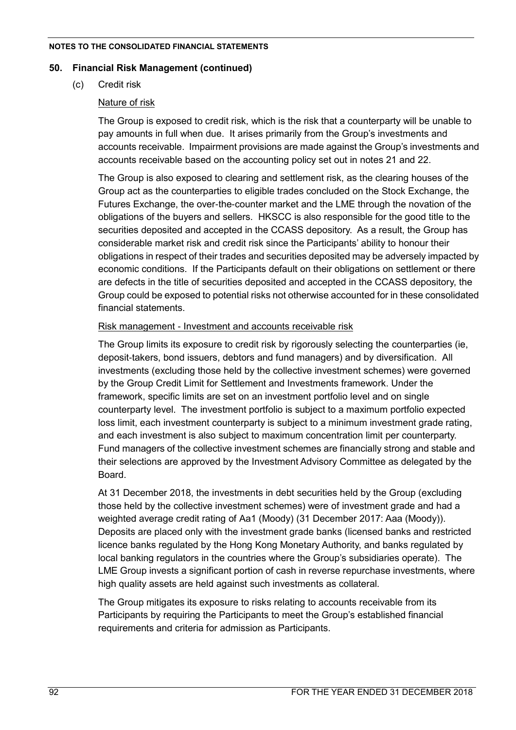### **50. Financial Risk Management (continued)**

(c) Credit risk

## Nature of risk

The Group is exposed to credit risk, which is the risk that a counterparty will be unable to pay amounts in full when due. It arises primarily from the Group's investments and accounts receivable. Impairment provisions are made against the Group's investments and accounts receivable based on the accounting policy set out in notes 21 and 22.

The Group is also exposed to clearing and settlement risk, as the clearing houses of the Group act as the counterparties to eligible trades concluded on the Stock Exchange, the Futures Exchange, the over-the-counter market and the LME through the novation of the obligations of the buyers and sellers. HKSCC is also responsible for the good title to the securities deposited and accepted in the CCASS depository. As a result, the Group has considerable market risk and credit risk since the Participants' ability to honour their obligations in respect of their trades and securities deposited may be adversely impacted by economic conditions. If the Participants default on their obligations on settlement or there are defects in the title of securities deposited and accepted in the CCASS depository, the Group could be exposed to potential risks not otherwise accounted for in these consolidated financial statements.

## Risk management - Investment and accounts receivable risk

The Group limits its exposure to credit risk by rigorously selecting the counterparties (ie, deposit-takers, bond issuers, debtors and fund managers) and by diversification. All investments (excluding those held by the collective investment schemes) were governed by the Group Credit Limit for Settlement and Investments framework. Under the framework, specific limits are set on an investment portfolio level and on single counterparty level. The investment portfolio is subject to a maximum portfolio expected loss limit, each investment counterparty is subject to a minimum investment grade rating, and each investment is also subject to maximum concentration limit per counterparty. Fund managers of the collective investment schemes are financially strong and stable and their selections are approved by the Investment Advisory Committee as delegated by the Board.

At 31 December 2018, the investments in debt securities held by the Group (excluding those held by the collective investment schemes) were of investment grade and had a weighted average credit rating of Aa1 (Moody) (31 December 2017: Aaa (Moody)). Deposits are placed only with the investment grade banks (licensed banks and restricted licence banks regulated by the Hong Kong Monetary Authority, and banks regulated by local banking regulators in the countries where the Group's subsidiaries operate). The LME Group invests a significant portion of cash in reverse repurchase investments, where high quality assets are held against such investments as collateral.

The Group mitigates its exposure to risks relating to accounts receivable from its Participants by requiring the Participants to meet the Group's established financial requirements and criteria for admission as Participants.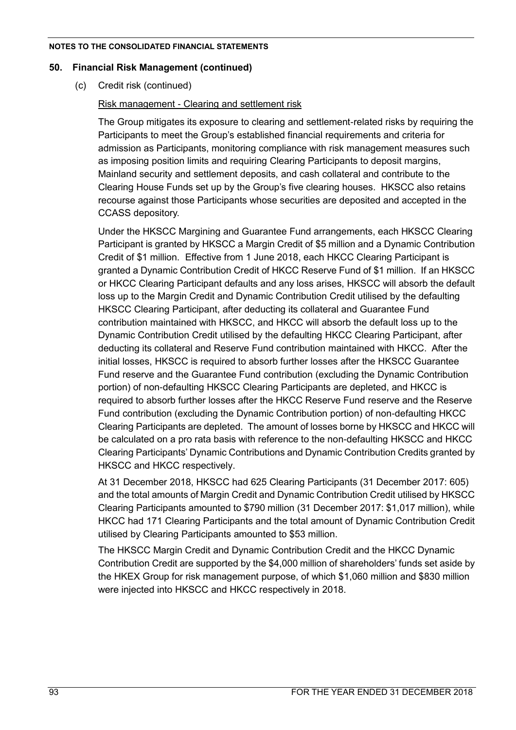### **50. Financial Risk Management (continued)**

(c) Credit risk (continued)

## Risk management - Clearing and settlement risk

The Group mitigates its exposure to clearing and settlement-related risks by requiring the Participants to meet the Group's established financial requirements and criteria for admission as Participants, monitoring compliance with risk management measures such as imposing position limits and requiring Clearing Participants to deposit margins, Mainland security and settlement deposits, and cash collateral and contribute to the Clearing House Funds set up by the Group's five clearing houses. HKSCC also retains recourse against those Participants whose securities are deposited and accepted in the CCASS depository.

Under the HKSCC Margining and Guarantee Fund arrangements, each HKSCC Clearing Participant is granted by HKSCC a Margin Credit of \$5 million and a Dynamic Contribution Credit of \$1 million. Effective from 1 June 2018, each HKCC Clearing Participant is granted a Dynamic Contribution Credit of HKCC Reserve Fund of \$1 million. If an HKSCC or HKCC Clearing Participant defaults and any loss arises, HKSCC will absorb the default loss up to the Margin Credit and Dynamic Contribution Credit utilised by the defaulting HKSCC Clearing Participant, after deducting its collateral and Guarantee Fund contribution maintained with HKSCC, and HKCC will absorb the default loss up to the Dynamic Contribution Credit utilised by the defaulting HKCC Clearing Participant, after deducting its collateral and Reserve Fund contribution maintained with HKCC. After the initial losses, HKSCC is required to absorb further losses after the HKSCC Guarantee Fund reserve and the Guarantee Fund contribution (excluding the Dynamic Contribution portion) of non-defaulting HKSCC Clearing Participants are depleted, and HKCC is required to absorb further losses after the HKCC Reserve Fund reserve and the Reserve Fund contribution (excluding the Dynamic Contribution portion) of non-defaulting HKCC Clearing Participants are depleted. The amount of losses borne by HKSCC and HKCC will be calculated on a pro rata basis with reference to the non-defaulting HKSCC and HKCC Clearing Participants' Dynamic Contributions and Dynamic Contribution Credits granted by HKSCC and HKCC respectively.

At 31 December 2018, HKSCC had 625 Clearing Participants (31 December 2017: 605) and the total amounts of Margin Credit and Dynamic Contribution Credit utilised by HKSCC Clearing Participants amounted to \$790 million (31 December 2017: \$1,017 million), while HKCC had 171 Clearing Participants and the total amount of Dynamic Contribution Credit utilised by Clearing Participants amounted to \$53 million.

The HKSCC Margin Credit and Dynamic Contribution Credit and the HKCC Dynamic Contribution Credit are supported by the \$4,000 million of shareholders' funds set aside by the HKEX Group for risk management purpose, of which \$1,060 million and \$830 million were injected into HKSCC and HKCC respectively in 2018.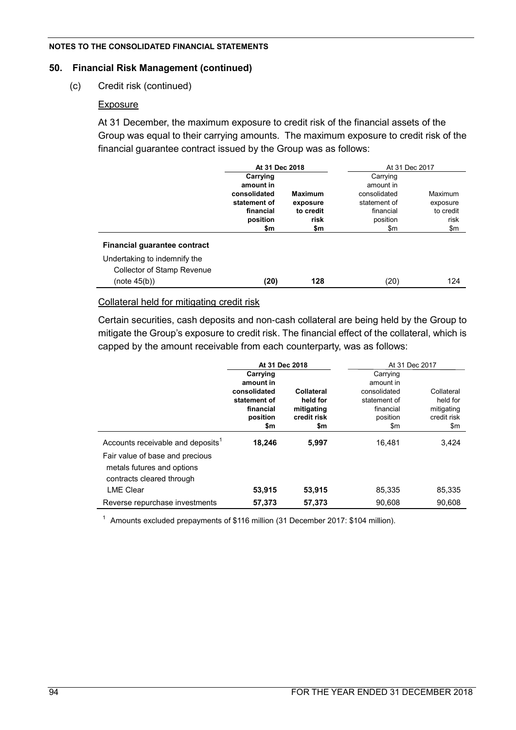### **50. Financial Risk Management (continued)**

(c) Credit risk (continued)

## Exposure

At 31 December, the maximum exposure to credit risk of the financial assets of the Group was equal to their carrying amounts. The maximum exposure to credit risk of the financial guarantee contract issued by the Group was as follows:

|                                   | At 31 Dec 2018            |                | At 31 Dec 2017            |           |  |
|-----------------------------------|---------------------------|----------------|---------------------------|-----------|--|
|                                   | Carrying                  |                | Carrying                  |           |  |
|                                   | amount in<br>consolidated | <b>Maximum</b> | amount in<br>consolidated | Maximum   |  |
|                                   | statement of              | exposure       | statement of              | exposure  |  |
|                                   | financial                 | to credit      | financial                 | to credit |  |
|                                   | position                  | risk           | position                  | risk      |  |
|                                   | \$m                       | \$m            | \$m                       | \$m       |  |
| Financial guarantee contract      |                           |                |                           |           |  |
| Undertaking to indemnify the      |                           |                |                           |           |  |
| <b>Collector of Stamp Revenue</b> |                           |                |                           |           |  |
| (note 45(b))                      | (20)                      | 128            | (20)                      | 124       |  |

## Collateral held for mitigating credit risk

Certain securities, cash deposits and non-cash collateral are being held by the Group to mitigate the Group's exposure to credit risk. The financial effect of the collateral, which is capped by the amount receivable from each counterparty, was as follows:

|                                                                                                                                             | At 31 Dec 2018                                                                        |                                                            | At 31 Dec 2017                                                                        |                                                            |  |
|---------------------------------------------------------------------------------------------------------------------------------------------|---------------------------------------------------------------------------------------|------------------------------------------------------------|---------------------------------------------------------------------------------------|------------------------------------------------------------|--|
|                                                                                                                                             | Carrying<br>amount in<br>consolidated<br>statement of<br>financial<br>position<br>\$m | Collateral<br>held for<br>mitigating<br>credit risk<br>\$m | Carrying<br>amount in<br>consolidated<br>statement of<br>financial<br>position<br>\$m | Collateral<br>held for<br>mitigating<br>credit risk<br>\$m |  |
| Accounts receivable and deposits <sup>1</sup><br>Fair value of base and precious<br>metals futures and options<br>contracts cleared through | 18,246                                                                                | 5,997                                                      | 16.481                                                                                | 3,424                                                      |  |
| <b>LME Clear</b>                                                                                                                            | 53,915                                                                                | 53,915                                                     | 85.335                                                                                | 85.335                                                     |  |
| Reverse repurchase investments                                                                                                              | 57,373                                                                                | 57,373                                                     | 90,608                                                                                | 90,608                                                     |  |

<sup>1</sup> Amounts excluded prepayments of \$116 million (31 December 2017: \$104 million).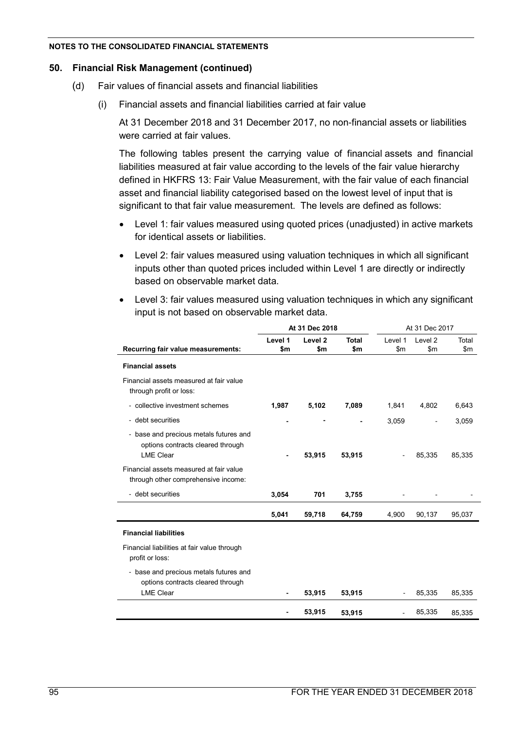### **50. Financial Risk Management (continued)**

- (d) Fair values of financial assets and financial liabilities
	- (i) Financial assets and financial liabilities carried at fair value

At 31 December 2018 and 31 December 2017, no non-financial assets or liabilities were carried at fair values.

The following tables present the carrying value of financial assets and financial liabilities measured at fair value according to the levels of the fair value hierarchy defined in HKFRS 13: Fair Value Measurement, with the fair value of each financial asset and financial liability categorised based on the lowest level of input that is significant to that fair value measurement. The levels are defined as follows:

- Level 1: fair values measured using quoted prices (unadjusted) in active markets for identical assets or liabilities.
- Level 2: fair values measured using valuation techniques in which all significant inputs other than quoted prices included within Level 1 are directly or indirectly based on observable market data.

| • Level 3: fair values measured using valuation techniques in which any significant |
|-------------------------------------------------------------------------------------|
| input is not based on observable market data.                                       |

|                                                                                                 | At 31 Dec 2018 |                           |                     | At 31 Dec 2017 |                             |              |
|-------------------------------------------------------------------------------------------------|----------------|---------------------------|---------------------|----------------|-----------------------------|--------------|
| Recurring fair value measurements:                                                              | Level 1<br>\$m | Level <sub>2</sub><br>\$m | <b>Total</b><br>\$m | Level 1<br>\$m | Level <sub>2</sub><br>\$m\$ | Total<br>\$m |
| <b>Financial assets</b>                                                                         |                |                           |                     |                |                             |              |
| Financial assets measured at fair value<br>through profit or loss:                              |                |                           |                     |                |                             |              |
| - collective investment schemes                                                                 | 1,987          | 5,102                     | 7,089               | 1,841          | 4,802                       | 6,643        |
| - debt securities                                                                               |                |                           |                     | 3,059          |                             | 3,059        |
| - base and precious metals futures and<br>options contracts cleared through<br><b>LME Clear</b> | $\blacksquare$ | 53,915                    | 53,915              |                | 85,335                      | 85,335       |
| Financial assets measured at fair value<br>through other comprehensive income:                  |                |                           |                     |                |                             |              |
| - debt securities                                                                               | 3,054          | 701                       | 3,755               |                |                             |              |
|                                                                                                 | 5,041          | 59,718                    | 64,759              | 4,900          | 90,137                      | 95,037       |
| <b>Financial liabilities</b>                                                                    |                |                           |                     |                |                             |              |
| Financial liabilities at fair value through<br>profit or loss:                                  |                |                           |                     |                |                             |              |
| - base and precious metals futures and<br>options contracts cleared through                     |                |                           |                     |                |                             |              |
| <b>LME Clear</b>                                                                                |                | 53,915                    | 53,915              |                | 85,335                      | 85,335       |
|                                                                                                 |                | 53,915                    | 53,915              |                | 85,335                      | 85,335       |
|                                                                                                 |                |                           |                     |                |                             |              |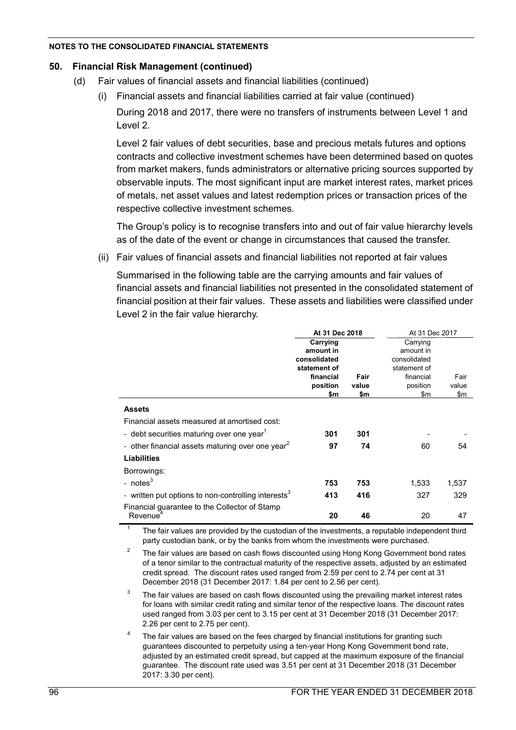## **50. Financial Risk Management (continued)**

- (d) Fair values of financial assets and financial liabilities (continued)
	- (i) Financial assets and financial liabilities carried at fair value (continued)

During 2018 and 2017, there were no transfers of instruments between Level 1 and Level 2.

Level 2 fair values of debt securities, base and precious metals futures and options contracts and collective investment schemes have been determined based on quotes from market makers, funds administrators or alternative pricing sources supported by observable inputs. The most significant input are market interest rates, market prices of metals, net asset values and latest redemption prices or transaction prices of the respective collective investment schemes.

The Group's policy is to recognise transfers into and out of fair value hierarchy levels as of the date of the event or change in circumstances that caused the transfer.

(ii) Fair values of financial assets and financial liabilities not reported at fair values

Summarised in the following table are the carrying amounts and fair values of financial assets and financial liabilities not presented in the consolidated statement of financial position at their fair values. These assets and liabilities were classified under Level 2 in the fair value hierarchy.

|                                                                 | At 31 Dec 2018 |       | At 31 Dec 2017 |       |
|-----------------------------------------------------------------|----------------|-------|----------------|-------|
|                                                                 | Carrying       |       | Carrying       |       |
|                                                                 | amount in      |       | amount in      |       |
|                                                                 | consolidated   |       | consolidated   |       |
|                                                                 | statement of   |       | statement of   |       |
|                                                                 | financial      | Fair  | financial      | Fair  |
|                                                                 | position       | value | position       | value |
|                                                                 | \$m            | \$m   | \$m            | \$m   |
| <b>Assets</b>                                                   |                |       |                |       |
| Financial assets measured at amortised cost:                    |                |       |                |       |
| - debt securities maturing over one year <sup>1</sup>           | 301            | 301   |                |       |
| - other financial assets maturing over one year <sup>2</sup>    | 97             | 74    | 60             | 54    |
| <b>Liabilities</b>                                              |                |       |                |       |
| Borrowings:                                                     |                |       |                |       |
| - $notes3$                                                      | 753            | 753   | 1,533          | 1,537 |
| - written put options to non-controlling interests <sup>3</sup> | 413            | 416   | 327            | 329   |
| Financial guarantee to the Collector of Stamp                   |                |       |                |       |
| Revenue <sup>4</sup>                                            | 20             | 46    | 20             | 47    |

1 The fair values are provided by the custodian of the investments, a reputable independent third party custodian bank, or by the banks from whom the investments were purchased.

 $\mathcal{P}$ The fair values are based on cash flows discounted using Hong Kong Government bond rates of a tenor similar to the contractual maturity of the respective assets, adjusted by an estimated credit spread. The discount rates used ranged from 2.59 per cent to 2.74 per cent at 31 December 2018 (31 December 2017: 1.84 per cent to 2.56 per cent).

- 3 The fair values are based on cash flows discounted using the prevailing market interest rates for loans with similar credit rating and similar tenor of the respective loans. The discount rates used ranged from 3.03 per cent to 3.15 per cent at 31 December 2018 (31 December 2017: 2.26 per cent to 2.75 per cent).
- 4 The fair values are based on the fees charged by financial institutions for granting such guarantees discounted to perpetuity using a ten-year Hong Kong Government bond rate, adjusted by an estimated credit spread, but capped at the maximum exposure of the financial guarantee. The discount rate used was 3.51 per cent at 31 December 2018 (31 December 2017: 3.30 per cent).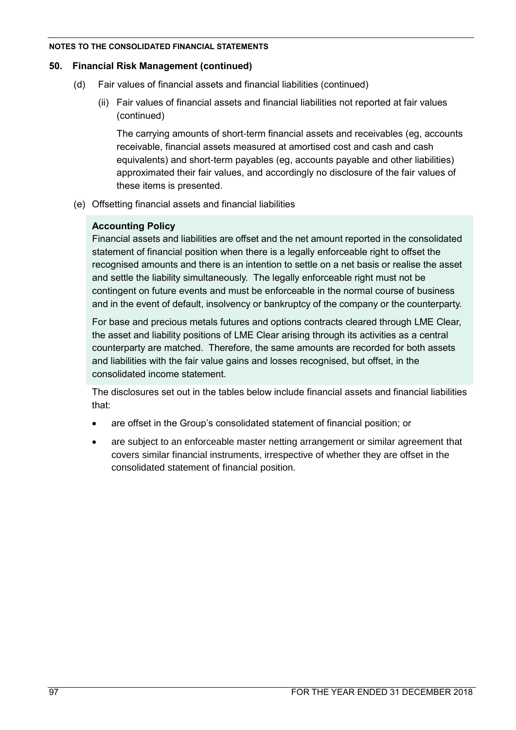### **50. Financial Risk Management (continued)**

- (d) Fair values of financial assets and financial liabilities (continued)
	- (ii) Fair values of financial assets and financial liabilities not reported at fair values (continued)

The carrying amounts of short-term financial assets and receivables (eg, accounts receivable, financial assets measured at amortised cost and cash and cash equivalents) and short-term payables (eg, accounts payable and other liabilities) approximated their fair values, and accordingly no disclosure of the fair values of these items is presented.

(e) Offsetting financial assets and financial liabilities

## **Accounting Policy**

Financial assets and liabilities are offset and the net amount reported in the consolidated statement of financial position when there is a legally enforceable right to offset the recognised amounts and there is an intention to settle on a net basis or realise the asset and settle the liability simultaneously. The legally enforceable right must not be contingent on future events and must be enforceable in the normal course of business and in the event of default, insolvency or bankruptcy of the company or the counterparty.

For base and precious metals futures and options contracts cleared through LME Clear, the asset and liability positions of LME Clear arising through its activities as a central counterparty are matched. Therefore, the same amounts are recorded for both assets and liabilities with the fair value gains and losses recognised, but offset, in the consolidated income statement.

The disclosures set out in the tables below include financial assets and financial liabilities that:

- are offset in the Group's consolidated statement of financial position; or
- are subject to an enforceable master netting arrangement or similar agreement that covers similar financial instruments, irrespective of whether they are offset in the consolidated statement of financial position.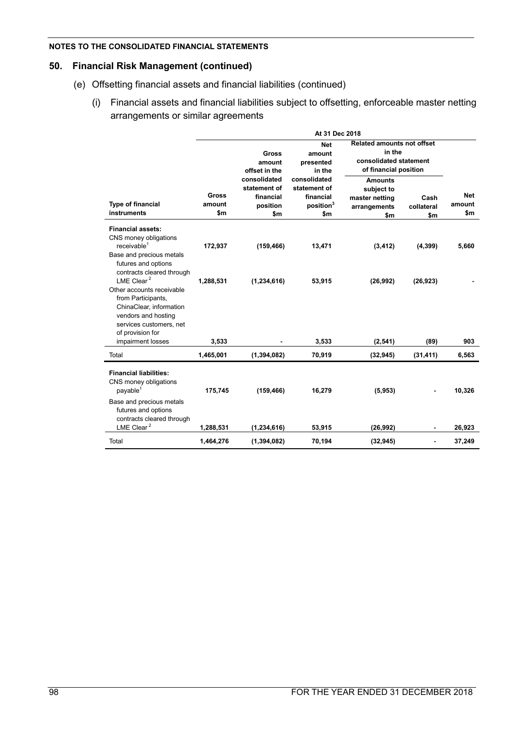## **50. Financial Risk Management (continued)**

- (e) Offsetting financial assets and financial liabilities (continued)
	- (i) Financial assets and financial liabilities subject to offsetting, enforceable master netting arrangements or similar agreements

|                                                                                                                                                 | At 31 Dec 2018         |                                                              |                                                                           |                                                                                                |                           |                      |
|-------------------------------------------------------------------------------------------------------------------------------------------------|------------------------|--------------------------------------------------------------|---------------------------------------------------------------------------|------------------------------------------------------------------------------------------------|---------------------------|----------------------|
|                                                                                                                                                 |                        | Gross<br>amount<br>offset in the                             | <b>Net</b><br>amount<br>presented<br>in the                               | <b>Related amounts not offset</b><br>in the<br>consolidated statement<br>of financial position |                           |                      |
| <b>Type of financial</b><br>instruments                                                                                                         | Gross<br>amount<br>\$m | consolidated<br>statement of<br>financial<br>position<br>\$m | consolidated<br>statement of<br>financial<br>position <sup>3</sup><br>\$m | <b>Amounts</b><br>subject to<br>master netting<br>arrangements<br>\$m                          | Cash<br>collateral<br>\$m | Net<br>amount<br>\$m |
| <b>Financial assets:</b><br>CNS money obligations<br>receivable <sup>1</sup><br>Base and precious metals<br>futures and options                 | 172,937                | (159, 466)                                                   | 13,471                                                                    | (3, 412)                                                                                       | (4, 399)                  | 5,660                |
| contracts cleared through<br>LME Clear $2$<br>Other accounts receivable<br>from Participants,<br>ChinaClear, information<br>vendors and hosting | 1,288,531              | (1, 234, 616)                                                | 53,915                                                                    | (26,992)                                                                                       | (26, 923)                 |                      |
| services customers, net<br>of provision for<br>impairment losses                                                                                | 3,533                  |                                                              | 3,533                                                                     | (2, 541)                                                                                       | (89)                      | 903                  |
| Total                                                                                                                                           | 1,465,001              | (1, 394, 082)                                                | 70,919                                                                    | (32, 945)                                                                                      | (31, 411)                 | 6,563                |
| <b>Financial liabilities:</b><br>CNS money obligations<br>payable <sup>1</sup>                                                                  | 175,745                | (159, 466)                                                   | 16,279                                                                    | (5,953)                                                                                        |                           | 10,326               |
| Base and precious metals<br>futures and options<br>contracts cleared through<br>LME Clear $2$                                                   | 1,288,531              | (1, 234, 616)                                                | 53,915                                                                    | (26, 992)                                                                                      | ٠                         | 26,923               |
| Total                                                                                                                                           | 1,464,276              | (1, 394, 082)                                                | 70,194                                                                    | (32, 945)                                                                                      |                           | 37,249               |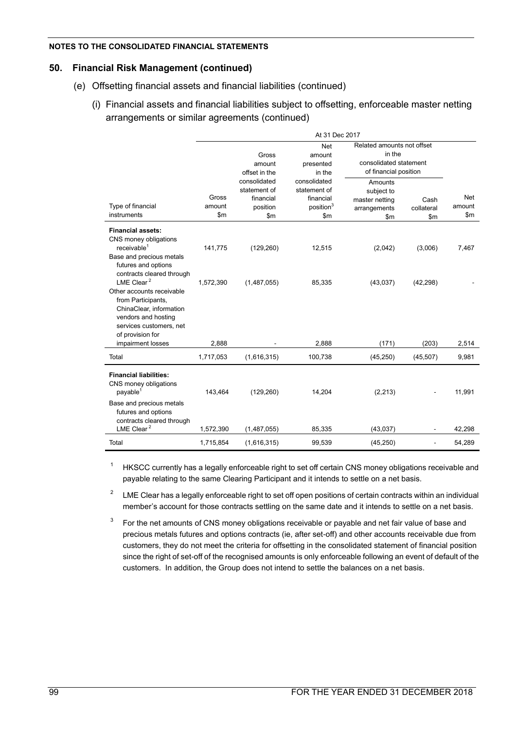### **50. Financial Risk Management (continued)**

- (e) Offsetting financial assets and financial liabilities (continued)
	- (i) Financial assets and financial liabilities subject to offsetting, enforceable master netting arrangements or similar agreements (continued)

|                                                                                                                                                                            | At 31 Dec 2017         |                                                                        |                                                                           |                                                                                         |                                     |                             |
|----------------------------------------------------------------------------------------------------------------------------------------------------------------------------|------------------------|------------------------------------------------------------------------|---------------------------------------------------------------------------|-----------------------------------------------------------------------------------------|-------------------------------------|-----------------------------|
|                                                                                                                                                                            |                        | Gross<br>amount<br>offset in the                                       | <b>Net</b><br>amount<br>presented<br>in the                               | Related amounts not offset<br>in the<br>consolidated statement<br>of financial position |                                     |                             |
| Type of financial<br>instruments                                                                                                                                           | Gross<br>amount<br>\$m | consolidated<br>statement of<br>financial<br>position<br>$\mathsf{Sm}$ | consolidated<br>statement of<br>financial<br>position <sup>3</sup><br>\$m | Amounts<br>subject to<br>master netting<br>arrangements<br>$\mathsf{S}$ m               | Cash<br>collateral<br>$\mathsf{Sm}$ | <b>Net</b><br>amount<br>\$m |
| <b>Financial assets:</b><br>CNS money obligations<br>receivable <sup>1</sup><br>Base and precious metals<br>futures and options<br>contracts cleared through               | 141,775                | (129, 260)                                                             | 12,515                                                                    | (2,042)                                                                                 | (3,006)                             | 7,467                       |
| LME Clear <sup>2</sup><br>Other accounts receivable<br>from Participants,<br>ChinaClear, information<br>vendors and hosting<br>services customers, net<br>of provision for | 1,572,390              | (1,487,055)                                                            | 85,335                                                                    | (43,037)                                                                                | (42, 298)                           |                             |
| impairment losses                                                                                                                                                          | 2,888                  |                                                                        | 2,888                                                                     | (171)                                                                                   | (203)                               | 2,514                       |
| Total                                                                                                                                                                      | 1,717,053              | (1,616,315)                                                            | 100,738                                                                   | (45, 250)                                                                               | (45, 507)                           | 9,981                       |
| <b>Financial liabilities:</b><br>CNS money obligations<br>payable <sup>1</sup><br>Base and precious metals                                                                 | 143,464                | (129, 260)                                                             | 14,204                                                                    | (2, 213)                                                                                |                                     | 11,991                      |
| futures and options<br>contracts cleared through<br>LME Clear <sup>2</sup>                                                                                                 | 1,572,390              | (1,487,055)                                                            | 85,335                                                                    | (43, 037)                                                                               |                                     | 42.298                      |
| Total                                                                                                                                                                      | 1,715,854              | (1,616,315)                                                            | 99,539                                                                    | (45, 250)                                                                               |                                     | 54,289                      |

<sup>1</sup> HKSCC currently has a legally enforceable right to set off certain CNS money obligations receivable and payable relating to the same Clearing Participant and it intends to settle on a net basis.

2 LME Clear has a legally enforceable right to set off open positions of certain contracts within an individual member's account for those contracts settling on the same date and it intends to settle on a net basis.

3 For the net amounts of CNS money obligations receivable or payable and net fair value of base and precious metals futures and options contracts (ie, after set-off) and other accounts receivable due from customers, they do not meet the criteria for offsetting in the consolidated statement of financial position since the right of set-off of the recognised amounts is only enforceable following an event of default of the customers. In addition, the Group does not intend to settle the balances on a net basis.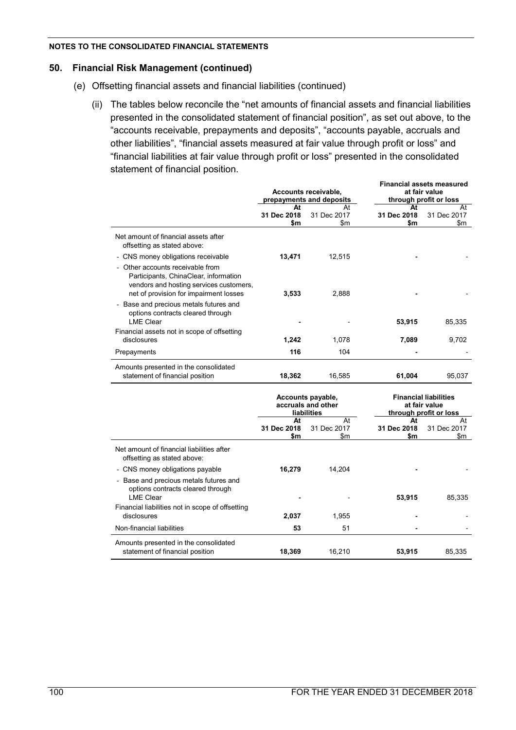### **50. Financial Risk Management (continued)**

- (e) Offsetting financial assets and financial liabilities (continued)
	- (ii) The tables below reconcile the "net amounts of financial assets and financial liabilities presented in the consolidated statement of financial position", as set out above, to the "accounts receivable, prepayments and deposits", "accounts payable, accruals and other liabilities", "financial assets measured at fair value through profit or loss" and "financial liabilities at fair value through profit or loss" presented in the consolidated statement of financial position.

|                                                                                                                                                              |                                                        |                                                  | <b>Financial assets measured</b> |                                                                               |  |  |
|--------------------------------------------------------------------------------------------------------------------------------------------------------------|--------------------------------------------------------|--------------------------------------------------|----------------------------------|-------------------------------------------------------------------------------|--|--|
|                                                                                                                                                              |                                                        | Accounts receivable,<br>prepayments and deposits |                                  | at fair value<br>through profit or loss                                       |  |  |
|                                                                                                                                                              | At                                                     | At                                               | At                               | At                                                                            |  |  |
|                                                                                                                                                              | 31 Dec 2018                                            | 31 Dec 2017                                      | 31 Dec 2018                      | 31 Dec 2017                                                                   |  |  |
|                                                                                                                                                              | \$m                                                    | \$m                                              | \$m                              | \$m                                                                           |  |  |
| Net amount of financial assets after<br>offsetting as stated above:                                                                                          |                                                        |                                                  |                                  |                                                                               |  |  |
| - CNS money obligations receivable                                                                                                                           | 13,471                                                 | 12,515                                           |                                  |                                                                               |  |  |
| Other accounts receivable from<br>Participants, ChinaClear, information<br>vendors and hosting services customers,<br>net of provision for impairment losses | 3,533                                                  | 2,888                                            |                                  |                                                                               |  |  |
| - Base and precious metals futures and<br>options contracts cleared through<br><b>LME Clear</b>                                                              |                                                        |                                                  | 53,915                           | 85,335                                                                        |  |  |
| Financial assets not in scope of offsetting                                                                                                                  |                                                        |                                                  |                                  |                                                                               |  |  |
| disclosures                                                                                                                                                  | 1,242                                                  | 1,078                                            | 7,089                            | 9,702                                                                         |  |  |
| Prepayments                                                                                                                                                  | 116                                                    | 104                                              |                                  |                                                                               |  |  |
| Amounts presented in the consolidated<br>statement of financial position                                                                                     | 18,362                                                 | 16,585                                           | 61,004                           | 95,037                                                                        |  |  |
|                                                                                                                                                              | Accounts payable,<br>accruals and other<br>liabilities |                                                  |                                  | <b>Financial liabilities</b><br>at fair value<br>through profit or loss<br>At |  |  |
|                                                                                                                                                              | At                                                     | At                                               |                                  | At                                                                            |  |  |
|                                                                                                                                                              | 31 Dec 2018                                            | 31 Dec 2017                                      | 31 Dec 2018                      | 31 Dec 2017                                                                   |  |  |
|                                                                                                                                                              | \$m                                                    | \$m                                              | \$m                              | \$m                                                                           |  |  |
| Net amount of financial liabilities after<br>offsetting as stated above:                                                                                     |                                                        |                                                  |                                  |                                                                               |  |  |
| - CNS money obligations payable                                                                                                                              | 16,279                                                 | 14,204                                           |                                  |                                                                               |  |  |
| Base and precious metals futures and<br>options contracts cleared through<br><b>LME Clear</b>                                                                |                                                        |                                                  | 53,915                           | 85,335                                                                        |  |  |
| Financial liabilities not in scope of offsetting                                                                                                             |                                                        |                                                  |                                  |                                                                               |  |  |
| disclosures                                                                                                                                                  | 2,037                                                  | 1,955                                            |                                  |                                                                               |  |  |
| Non-financial liabilities                                                                                                                                    | 53                                                     | 51                                               |                                  |                                                                               |  |  |
| Amounts presented in the consolidated<br>statement of financial position                                                                                     | 18,369                                                 | 16,210                                           | 53,915                           | 85,335                                                                        |  |  |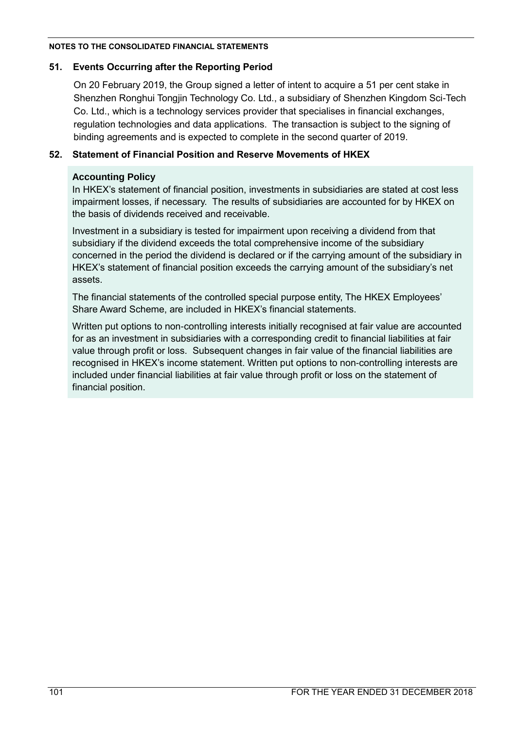## **51. Events Occurring after the Reporting Period**

On 20 February 2019, the Group signed a letter of intent to acquire a 51 per cent stake in Shenzhen Ronghui Tongjin Technology Co. Ltd., a subsidiary of Shenzhen Kingdom Sci-Tech Co. Ltd., which is a technology services provider that specialises in financial exchanges, regulation technologies and data applications. The transaction is subject to the signing of binding agreements and is expected to complete in the second quarter of 2019.

## **52. Statement of Financial Position and Reserve Movements of HKEX**

## **Accounting Policy**

In HKEX's statement of financial position, investments in subsidiaries are stated at cost less impairment losses, if necessary. The results of subsidiaries are accounted for by HKEX on the basis of dividends received and receivable.

Investment in a subsidiary is tested for impairment upon receiving a dividend from that subsidiary if the dividend exceeds the total comprehensive income of the subsidiary concerned in the period the dividend is declared or if the carrying amount of the subsidiary in HKEX's statement of financial position exceeds the carrying amount of the subsidiary's net assets.

The financial statements of the controlled special purpose entity, The HKEX Employees' Share Award Scheme, are included in HKEX's financial statements.

Written put options to non-controlling interests initially recognised at fair value are accounted for as an investment in subsidiaries with a corresponding credit to financial liabilities at fair value through profit or loss. Subsequent changes in fair value of the financial liabilities are recognised in HKEX's income statement. Written put options to non-controlling interests are included under financial liabilities at fair value through profit or loss on the statement of financial position.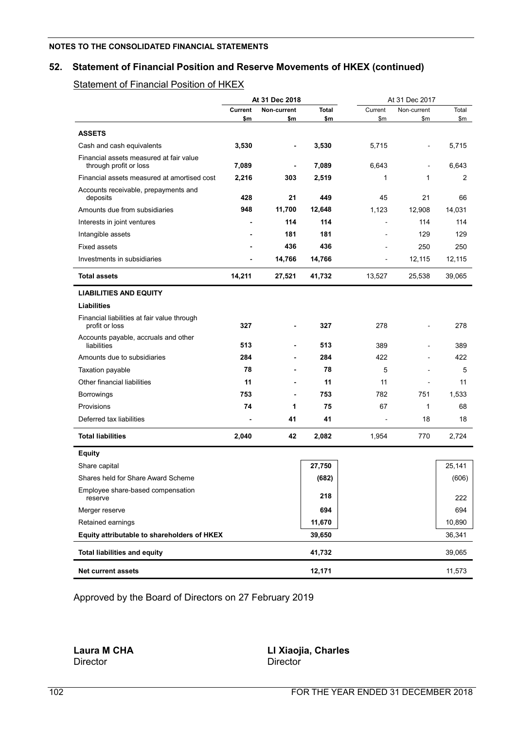## **52. Statement of Financial Position and Reserve Movements of HKEX (continued)**

## **Statement of Financial Position of HKEX**

|                                                                   |                | At 31 Dec 2018 |              |         | At 31 Dec 2017 |        |
|-------------------------------------------------------------------|----------------|----------------|--------------|---------|----------------|--------|
|                                                                   | <b>Current</b> | Non-current    | <b>Total</b> | Current | Non-current    | Total  |
|                                                                   | \$m            | \$m            | \$m          | \$m     | \$m            | \$m    |
| <b>ASSETS</b>                                                     |                |                |              |         |                |        |
| Cash and cash equivalents                                         | 3,530          | -              | 3,530        | 5,715   |                | 5,715  |
| Financial assets measured at fair value<br>through profit or loss | 7,089          | $\blacksquare$ | 7,089        | 6,643   |                | 6,643  |
| Financial assets measured at amortised cost                       | 2,216          | 303            | 2,519        | 1       | 1              | 2      |
| Accounts receivable, prepayments and<br>deposits                  | 428            | 21             | 449          | 45      | 21             | 66     |
| Amounts due from subsidiaries                                     | 948            | 11,700         | 12,648       | 1,123   | 12,908         | 14,031 |
| Interests in joint ventures                                       | $\blacksquare$ | 114            | 114          |         | 114            | 114    |
| Intangible assets                                                 |                | 181            | 181          |         | 129            | 129    |
| <b>Fixed assets</b>                                               |                | 436            | 436          |         | 250            | 250    |
| Investments in subsidiaries                                       | $\blacksquare$ | 14,766         | 14,766       |         | 12,115         | 12,115 |
| <b>Total assets</b>                                               | 14,211         | 27,521         | 41,732       | 13,527  | 25,538         | 39,065 |
| <b>LIABILITIES AND EQUITY</b>                                     |                |                |              |         |                |        |
| <b>Liabilities</b>                                                |                |                |              |         |                |        |
| Financial liabilities at fair value through<br>profit or loss     | 327            |                | 327          | 278     |                | 278    |
| Accounts payable, accruals and other<br>liabilities               | 513            | -              | 513          | 389     | $\blacksquare$ | 389    |
| Amounts due to subsidiaries                                       | 284            |                | 284          | 422     |                | 422    |
| Taxation payable                                                  | 78             |                | 78           | 5       |                | 5      |
| Other financial liabilities                                       | 11             |                | 11           | 11      |                | 11     |
| <b>Borrowings</b>                                                 | 753            |                | 753          | 782     | 751            | 1,533  |
| Provisions                                                        | 74             | 1              | 75           | 67      | 1              | 68     |
| Deferred tax liabilities                                          | ٠              | 41             | 41           |         | 18             | 18     |
| <b>Total liabilities</b>                                          | 2,040          | 42             | 2,082        | 1,954   | 770            | 2,724  |
| <b>Equity</b>                                                     |                |                |              |         |                |        |
| Share capital                                                     |                |                | 27,750       |         |                | 25,141 |
| Shares held for Share Award Scheme                                |                |                | (682)        |         |                | (606)  |
| Employee share-based compensation<br>reserve                      |                |                | 218          |         |                | 222    |
| Merger reserve                                                    |                |                | 694          |         |                | 694    |
| Retained earnings                                                 |                |                | 11,670       |         |                | 10,890 |
| Equity attributable to shareholders of HKEX                       |                |                | 39,650       |         |                | 36,341 |
| <b>Total liabilities and equity</b>                               |                |                | 41,732       |         |                | 39,065 |
| <b>Net current assets</b>                                         |                |                | 12,171       |         |                | 11,573 |

Approved by the Board of Directors on 27 February 2019

Director

**Laura M CHA LI Xiaojia, Charles**